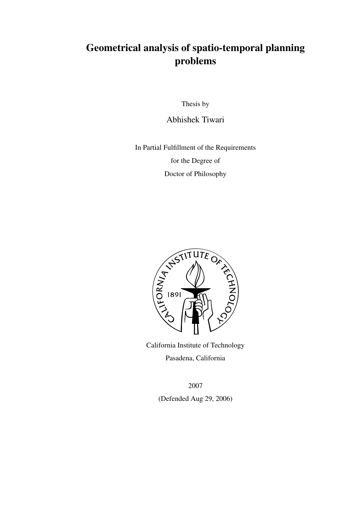### Geometrical analysis of spatio-temporal planning problems

Thesis by

Abhishek Tiwari

In Partial Fulfillment of the Requirements for the Degree of Doctor of Philosophy



California Institute of Technology Pasadena, California

2007

(Defended Aug 29, 2006)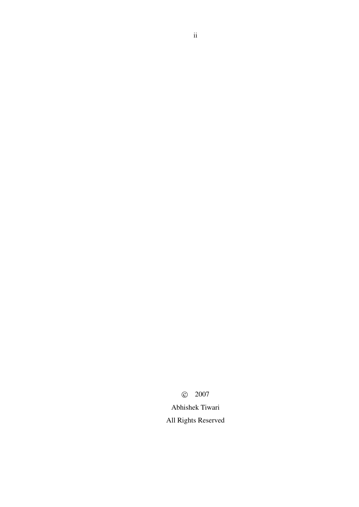c 2007

Abhishek Tiwari All Rights Reserved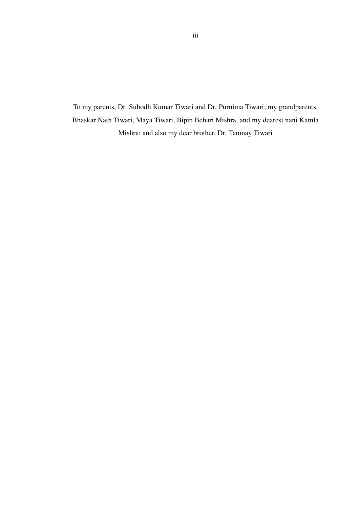To my parents, Dr. Subodh Kumar Tiwari and Dr. Purnima Tiwari; my grandparents, Bhaskar Nath Tiwari, Maya Tiwari, Bipin Behari Mishra, and my dearest nani Kamla Mishra; and also my dear brother, Dr. Tanmay Tiwari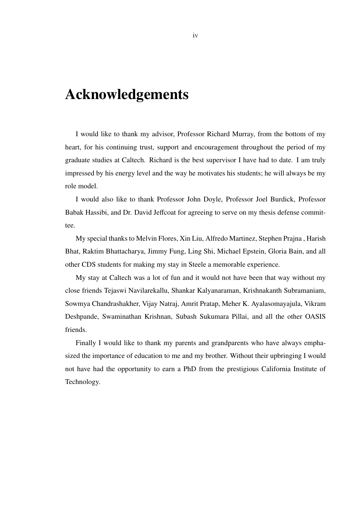## Acknowledgements

I would like to thank my advisor, Professor Richard Murray, from the bottom of my heart, for his continuing trust, support and encouragement throughout the period of my graduate studies at Caltech. Richard is the best supervisor I have had to date. I am truly impressed by his energy level and the way he motivates his students; he will always be my role model.

I would also like to thank Professor John Doyle, Professor Joel Burdick, Professor Babak Hassibi, and Dr. David Jeffcoat for agreeing to serve on my thesis defense committee.

My special thanks to Melvin Flores, Xin Liu, Alfredo Martinez, Stephen Prajna , Harish Bhat, Raktim Bhattacharya, Jimmy Fung, Ling Shi, Michael Epstein, Gloria Bain, and all other CDS students for making my stay in Steele a memorable experience.

My stay at Caltech was a lot of fun and it would not have been that way without my close friends Tejaswi Navilarekallu, Shankar Kalyanaraman, Krishnakanth Subramaniam, Sowmya Chandrashakher, Vijay Natraj, Amrit Pratap, Meher K. Ayalasomayajula, Vikram Deshpande, Swaminathan Krishnan, Subash Sukumara Pillai, and all the other OASIS friends.

Finally I would like to thank my parents and grandparents who have always emphasized the importance of education to me and my brother. Without their upbringing I would not have had the opportunity to earn a PhD from the prestigious California Institute of Technology.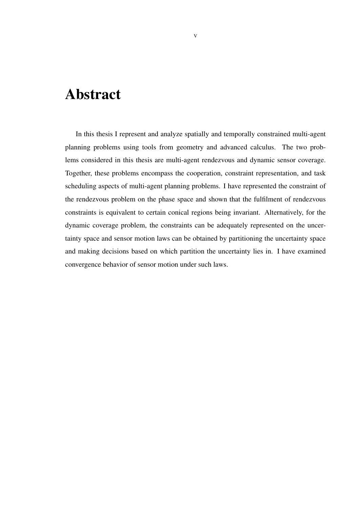## Abstract

In this thesis I represent and analyze spatially and temporally constrained multi-agent planning problems using tools from geometry and advanced calculus. The two problems considered in this thesis are multi-agent rendezvous and dynamic sensor coverage. Together, these problems encompass the cooperation, constraint representation, and task scheduling aspects of multi-agent planning problems. I have represented the constraint of the rendezvous problem on the phase space and shown that the fulfilment of rendezvous constraints is equivalent to certain conical regions being invariant. Alternatively, for the dynamic coverage problem, the constraints can be adequately represented on the uncertainty space and sensor motion laws can be obtained by partitioning the uncertainty space and making decisions based on which partition the uncertainty lies in. I have examined convergence behavior of sensor motion under such laws.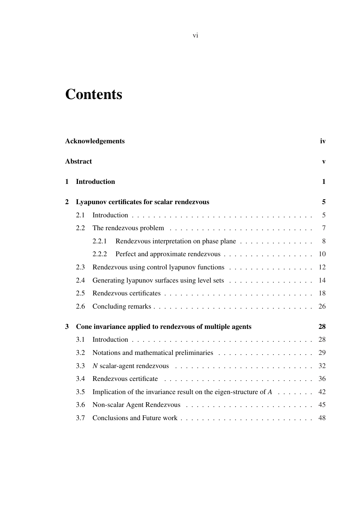# **Contents**

| <b>Acknowledgements</b> |                 |                                                                                         |                |  |
|-------------------------|-----------------|-----------------------------------------------------------------------------------------|----------------|--|
|                         | <b>Abstract</b> |                                                                                         | $\mathbf{v}$   |  |
| $\mathbf{1}$            |                 | <b>Introduction</b>                                                                     | $\mathbf{1}$   |  |
| $\overline{2}$          |                 | Lyapunov certificates for scalar rendezvous                                             | 5              |  |
|                         | 2.1             |                                                                                         | 5              |  |
|                         | 2.2             | The rendezvous problem $\ldots \ldots \ldots \ldots \ldots \ldots \ldots \ldots \ldots$ | $\overline{7}$ |  |
|                         |                 | 2.2.1<br>Rendezvous interpretation on phase plane                                       | 8 <sup>8</sup> |  |
|                         |                 | 2.2.2                                                                                   | 10             |  |
|                         | 2.3             | Rendezvous using control lyapunov functions                                             | 12             |  |
|                         | 2.4             | Generating lyapunov surfaces using level sets                                           | 14             |  |
|                         | 2.5             |                                                                                         | 18             |  |
|                         | 2.6             |                                                                                         | 26             |  |
| $\overline{\mathbf{3}}$ |                 | Cone invariance applied to rendezvous of multiple agents                                | 28             |  |
|                         | 3.1             |                                                                                         | 28             |  |
|                         | 3.2             |                                                                                         | 29             |  |
|                         | 3.3             |                                                                                         | 32             |  |
|                         | 3.4             |                                                                                         | 36             |  |
|                         | 3.5             | Implication of the invariance result on the eigen-structure of $A \dots \dots$          | 42             |  |
|                         | 3.6             |                                                                                         | 45             |  |
|                         | 3.7             |                                                                                         | 48             |  |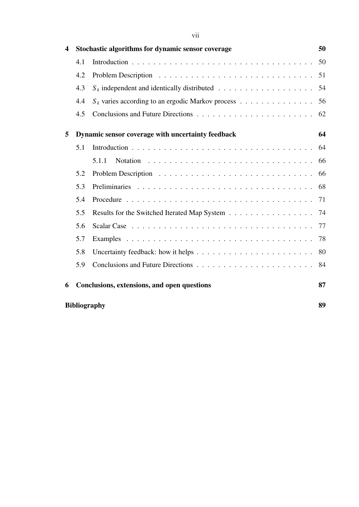| 4 |                     | Stochastic algorithms for dynamic sensor coverage                                          | 50 |
|---|---------------------|--------------------------------------------------------------------------------------------|----|
|   | 4.1                 |                                                                                            | 50 |
|   | 4.2                 |                                                                                            | 51 |
|   | 4.3                 |                                                                                            | 54 |
|   | 4.4                 | $S_k$ varies according to an ergodic Markov process                                        | 56 |
|   | 4.5                 |                                                                                            | 62 |
| 5 |                     | Dynamic sensor coverage with uncertainty feedback                                          | 64 |
|   | 5.1                 |                                                                                            | 64 |
|   |                     | 5.1.1                                                                                      | 66 |
|   | 5.2                 |                                                                                            | 66 |
|   | 5.3                 |                                                                                            | 68 |
|   | 5.4                 |                                                                                            | 71 |
|   | 5.5                 | Results for the Switched Iterated Map System                                               | 74 |
|   | 5.6                 |                                                                                            | 77 |
|   | 5.7                 |                                                                                            | 78 |
|   | 5.8                 | Uncertainty feedback: how it helps $\dots \dots \dots \dots \dots \dots \dots \dots \dots$ | 80 |
|   | 5.9                 |                                                                                            | 84 |
| 6 |                     | Conclusions, extensions, and open questions                                                | 87 |
|   | <b>Bibliography</b> |                                                                                            | 89 |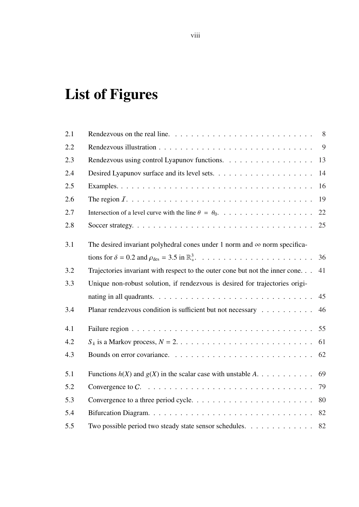# List of Figures

| 2.1 | Rendezvous on the real line. $\ldots \ldots \ldots \ldots \ldots \ldots \ldots \ldots \ldots$                     |                |
|-----|-------------------------------------------------------------------------------------------------------------------|----------------|
| 2.2 |                                                                                                                   | $\overline{9}$ |
| 2.3 | Rendezvous using control Lyapunov functions.                                                                      | 13             |
| 2.4 |                                                                                                                   | 14             |
| 2.5 |                                                                                                                   | 16             |
| 2.6 |                                                                                                                   | 19             |
| 2.7 |                                                                                                                   | 22             |
| 2.8 |                                                                                                                   | 25             |
| 3.1 | The desired invariant polyhedral cones under 1 norm and $\infty$ norm specifica-                                  |                |
|     |                                                                                                                   | 36             |
| 3.2 | Trajectories invariant with respect to the outer cone but not the inner cone.                                     | 41             |
| 3.3 | Unique non-robust solution, if rendezvous is desired for trajectories origi-                                      |                |
|     | nating in all quadrants. $\ldots \ldots \ldots \ldots \ldots \ldots \ldots \ldots \ldots \ldots$                  | 45             |
| 3.4 | Planar rendezvous condition is sufficient but not necessary                                                       | 46             |
| 4.1 |                                                                                                                   |                |
| 4.2 | $S_k$ is a Markov process, $N = 2, \ldots, \ldots, \ldots, \ldots, \ldots, \ldots, \ldots, \ldots$                | 61             |
| 4.3 |                                                                                                                   | 62             |
| 5.1 | Functions $h(X)$ and $g(X)$ in the scalar case with unstable A                                                    | 69             |
| 5.2 | Convergence to $C. \ldots \ldots \ldots \ldots \ldots \ldots \ldots \ldots \ldots \ldots \ldots \ldots \ldots$ 79 |                |
| 5.3 |                                                                                                                   |                |
| 5.4 |                                                                                                                   |                |
| 5.5 | Two possible period two steady state sensor schedules. 82                                                         |                |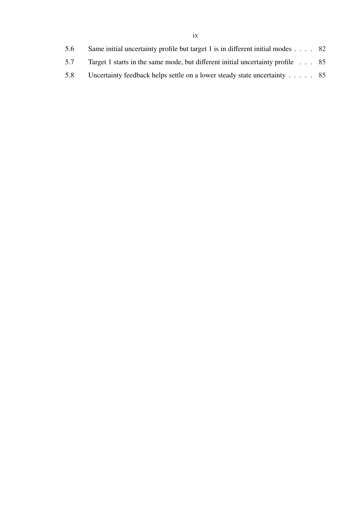| 5.6 | Same initial uncertainty profile but target 1 is in different initial modes $\ldots$ 82 |  |
|-----|-----------------------------------------------------------------------------------------|--|
| 5.7 | Target 1 starts in the same mode, but different initial uncertainty profile 85          |  |
| 5.8 |                                                                                         |  |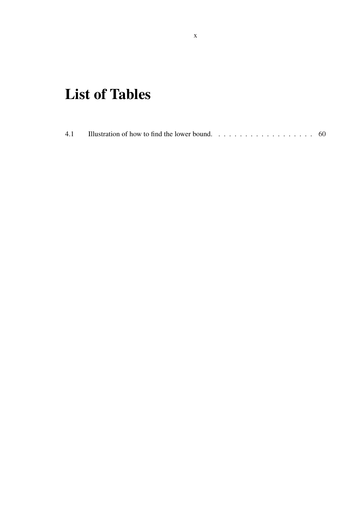# List of Tables

| 4.1<br>Illustration of how to find the lower bound. $\ldots \ldots \ldots \ldots \ldots \ldots \ldots$ |  |
|--------------------------------------------------------------------------------------------------------|--|
|--------------------------------------------------------------------------------------------------------|--|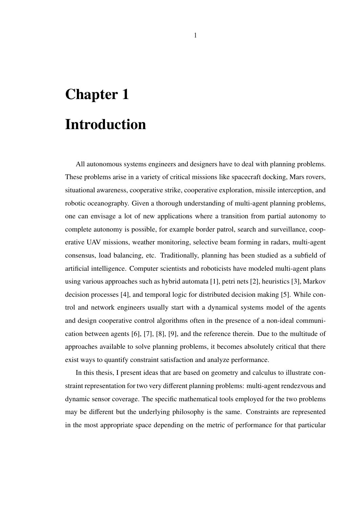# Chapter 1 Introduction

All autonomous systems engineers and designers have to deal with planning problems. These problems arise in a variety of critical missions like spacecraft docking, Mars rovers, situational awareness, cooperative strike, cooperative exploration, missile interception, and robotic oceanography. Given a thorough understanding of multi-agent planning problems, one can envisage a lot of new applications where a transition from partial autonomy to complete autonomy is possible, for example border patrol, search and surveillance, cooperative UAV missions, weather monitoring, selective beam forming in radars, multi-agent consensus, load balancing, etc. Traditionally, planning has been studied as a subfield of artificial intelligence. Computer scientists and roboticists have modeled multi-agent plans using various approaches such as hybrid automata [1], petri nets [2], heuristics [3], Markov decision processes [4], and temporal logic for distributed decision making [5]. While control and network engineers usually start with a dynamical systems model of the agents and design cooperative control algorithms often in the presence of a non-ideal communication between agents [6], [7], [8], [9], and the reference therein. Due to the multitude of approaches available to solve planning problems, it becomes absolutely critical that there exist ways to quantify constraint satisfaction and analyze performance.

In this thesis, I present ideas that are based on geometry and calculus to illustrate constraint representation for two very different planning problems: multi-agent rendezvous and dynamic sensor coverage. The specific mathematical tools employed for the two problems may be different but the underlying philosophy is the same. Constraints are represented in the most appropriate space depending on the metric of performance for that particular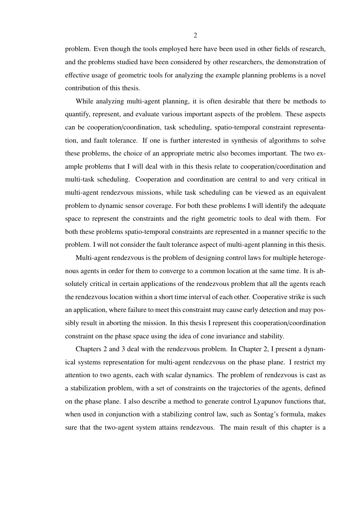problem. Even though the tools employed here have been used in other fields of research, and the problems studied have been considered by other researchers, the demonstration of effective usage of geometric tools for analyzing the example planning problems is a novel contribution of this thesis.

While analyzing multi-agent planning, it is often desirable that there be methods to quantify, represent, and evaluate various important aspects of the problem. These aspects can be cooperation/coordination, task scheduling, spatio-temporal constraint representation, and fault tolerance. If one is further interested in synthesis of algorithms to solve these problems, the choice of an appropriate metric also becomes important. The two example problems that I will deal with in this thesis relate to cooperation/coordination and multi-task scheduling. Cooperation and coordination are central to and very critical in multi-agent rendezvous missions, while task scheduling can be viewed as an equivalent problem to dynamic sensor coverage. For both these problems I will identify the adequate space to represent the constraints and the right geometric tools to deal with them. For both these problems spatio-temporal constraints are represented in a manner specific to the problem. I will not consider the fault tolerance aspect of multi-agent planning in this thesis.

Multi-agent rendezvous is the problem of designing control laws for multiple heterogenous agents in order for them to converge to a common location at the same time. It is absolutely critical in certain applications of the rendezvous problem that all the agents reach the rendezvous location within a short time interval of each other. Cooperative strike is such an application, where failure to meet this constraint may cause early detection and may possibly result in aborting the mission. In this thesis I represent this cooperation/coordination constraint on the phase space using the idea of cone invariance and stability.

Chapters 2 and 3 deal with the rendezvous problem. In Chapter 2, I present a dynamical systems representation for multi-agent rendezvous on the phase plane. I restrict my attention to two agents, each with scalar dynamics. The problem of rendezvous is cast as a stabilization problem, with a set of constraints on the trajectories of the agents, defined on the phase plane. I also describe a method to generate control Lyapunov functions that, when used in conjunction with a stabilizing control law, such as Sontag's formula, makes sure that the two-agent system attains rendezvous. The main result of this chapter is a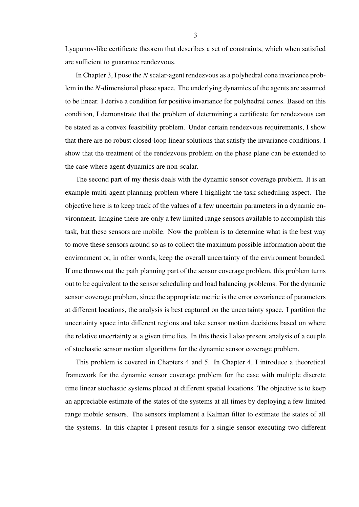Lyapunov-like certificate theorem that describes a set of constraints, which when satisfied are sufficient to guarantee rendezvous.

In Chapter 3, I pose the *N* scalar-agent rendezvous as a polyhedral cone invariance problem in the *N*-dimensional phase space. The underlying dynamics of the agents are assumed to be linear. I derive a condition for positive invariance for polyhedral cones. Based on this condition, I demonstrate that the problem of determining a certificate for rendezvous can be stated as a convex feasibility problem. Under certain rendezvous requirements, I show that there are no robust closed-loop linear solutions that satisfy the invariance conditions. I show that the treatment of the rendezvous problem on the phase plane can be extended to the case where agent dynamics are non-scalar.

The second part of my thesis deals with the dynamic sensor coverage problem. It is an example multi-agent planning problem where I highlight the task scheduling aspect. The objective here is to keep track of the values of a few uncertain parameters in a dynamic environment. Imagine there are only a few limited range sensors available to accomplish this task, but these sensors are mobile. Now the problem is to determine what is the best way to move these sensors around so as to collect the maximum possible information about the environment or, in other words, keep the overall uncertainty of the environment bounded. If one throws out the path planning part of the sensor coverage problem, this problem turns out to be equivalent to the sensor scheduling and load balancing problems. For the dynamic sensor coverage problem, since the appropriate metric is the error covariance of parameters at different locations, the analysis is best captured on the uncertainty space. I partition the uncertainty space into different regions and take sensor motion decisions based on where the relative uncertainty at a given time lies. In this thesis I also present analysis of a couple of stochastic sensor motion algorithms for the dynamic sensor coverage problem.

This problem is covered in Chapters 4 and 5. In Chapter 4, I introduce a theoretical framework for the dynamic sensor coverage problem for the case with multiple discrete time linear stochastic systems placed at different spatial locations. The objective is to keep an appreciable estimate of the states of the systems at all times by deploying a few limited range mobile sensors. The sensors implement a Kalman filter to estimate the states of all the systems. In this chapter I present results for a single sensor executing two different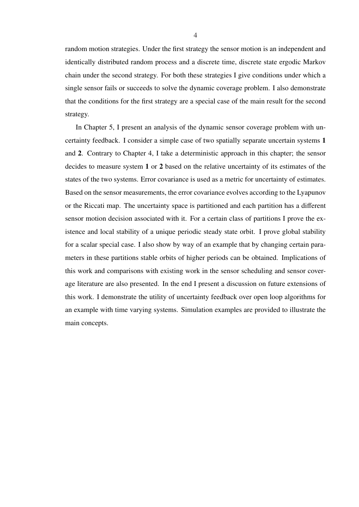random motion strategies. Under the first strategy the sensor motion is an independent and identically distributed random process and a discrete time, discrete state ergodic Markov chain under the second strategy. For both these strategies I give conditions under which a single sensor fails or succeeds to solve the dynamic coverage problem. I also demonstrate that the conditions for the first strategy are a special case of the main result for the second strategy.

In Chapter 5, I present an analysis of the dynamic sensor coverage problem with uncertainty feedback. I consider a simple case of two spatially separate uncertain systems 1 and 2. Contrary to Chapter 4, I take a deterministic approach in this chapter; the sensor decides to measure system 1 or 2 based on the relative uncertainty of its estimates of the states of the two systems. Error covariance is used as a metric for uncertainty of estimates. Based on the sensor measurements, the error covariance evolves according to the Lyapunov or the Riccati map. The uncertainty space is partitioned and each partition has a different sensor motion decision associated with it. For a certain class of partitions I prove the existence and local stability of a unique periodic steady state orbit. I prove global stability for a scalar special case. I also show by way of an example that by changing certain parameters in these partitions stable orbits of higher periods can be obtained. Implications of this work and comparisons with existing work in the sensor scheduling and sensor coverage literature are also presented. In the end I present a discussion on future extensions of this work. I demonstrate the utility of uncertainty feedback over open loop algorithms for an example with time varying systems. Simulation examples are provided to illustrate the main concepts.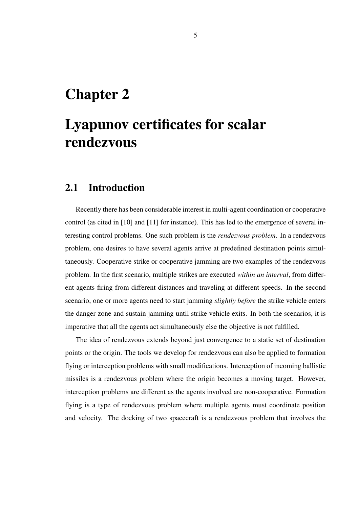## Chapter 2

## Lyapunov certificates for scalar rendezvous

#### 2.1 Introduction

Recently there has been considerable interest in multi-agent coordination or cooperative control (as cited in [10] and [11] for instance). This has led to the emergence of several interesting control problems. One such problem is the *rendezvous problem*. In a rendezvous problem, one desires to have several agents arrive at predefined destination points simultaneously. Cooperative strike or cooperative jamming are two examples of the rendezvous problem. In the first scenario, multiple strikes are executed *within an interval*, from different agents firing from different distances and traveling at different speeds. In the second scenario, one or more agents need to start jamming *slightly before* the strike vehicle enters the danger zone and sustain jamming until strike vehicle exits. In both the scenarios, it is imperative that all the agents act simultaneously else the objective is not fulfilled.

The idea of rendezvous extends beyond just convergence to a static set of destination points or the origin. The tools we develop for rendezvous can also be applied to formation flying or interception problems with small modifications. Interception of incoming ballistic missiles is a rendezvous problem where the origin becomes a moving target. However, interception problems are different as the agents involved are non-cooperative. Formation flying is a type of rendezvous problem where multiple agents must coordinate position and velocity. The docking of two spacecraft is a rendezvous problem that involves the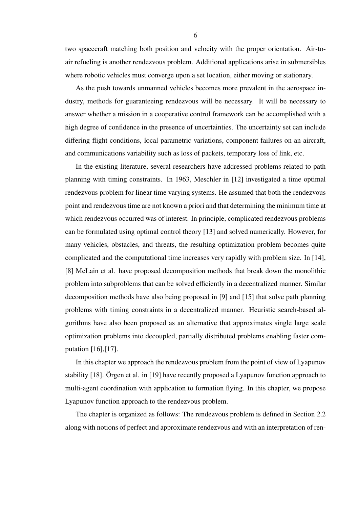two spacecraft matching both position and velocity with the proper orientation. Air-toair refueling is another rendezvous problem. Additional applications arise in submersibles where robotic vehicles must converge upon a set location, either moving or stationary.

As the push towards unmanned vehicles becomes more prevalent in the aerospace industry, methods for guaranteeing rendezvous will be necessary. It will be necessary to answer whether a mission in a cooperative control framework can be accomplished with a high degree of confidence in the presence of uncertainties. The uncertainty set can include differing flight conditions, local parametric variations, component failures on an aircraft, and communications variability such as loss of packets, temporary loss of link, etc.

In the existing literature, several researchers have addressed problems related to path planning with timing constraints. In 1963, Meschler in [12] investigated a time optimal rendezvous problem for linear time varying systems. He assumed that both the rendezvous point and rendezvous time are not known a priori and that determining the minimum time at which rendezvous occurred was of interest. In principle, complicated rendezvous problems can be formulated using optimal control theory [13] and solved numerically. However, for many vehicles, obstacles, and threats, the resulting optimization problem becomes quite complicated and the computational time increases very rapidly with problem size. In [14], [8] McLain et al. have proposed decomposition methods that break down the monolithic problem into subproblems that can be solved efficiently in a decentralized manner. Similar decomposition methods have also being proposed in [9] and [15] that solve path planning problems with timing constraints in a decentralized manner. Heuristic search-based algorithms have also been proposed as an alternative that approximates single large scale optimization problems into decoupled, partially distributed problems enabling faster computation [16],[17].

In this chapter we approach the rendezvous problem from the point of view of Lyapunov stability [18]. Orgen et al. in [19] have recently proposed a Lyapunov function approach to multi-agent coordination with application to formation flying. In this chapter, we propose Lyapunov function approach to the rendezvous problem.

The chapter is organized as follows: The rendezvous problem is defined in Section 2.2 along with notions of perfect and approximate rendezvous and with an interpretation of ren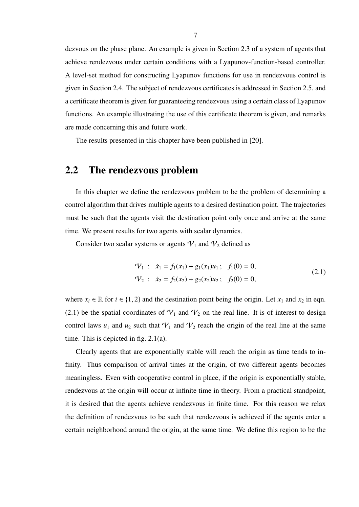dezvous on the phase plane. An example is given in Section 2.3 of a system of agents that achieve rendezvous under certain conditions with a Lyapunov-function-based controller. A level-set method for constructing Lyapunov functions for use in rendezvous control is given in Section 2.4. The subject of rendezvous certificates is addressed in Section 2.5, and a certificate theorem is given for guaranteeing rendezvous using a certain class of Lyapunov functions. An example illustrating the use of this certificate theorem is given, and remarks are made concerning this and future work.

The results presented in this chapter have been published in [20].

#### 2.2 The rendezvous problem

In this chapter we define the rendezvous problem to be the problem of determining a control algorithm that drives multiple agents to a desired destination point. The trajectories must be such that the agents visit the destination point only once and arrive at the same time. We present results for two agents with scalar dynamics.

Consider two scalar systems or agents  $V_1$  and  $V_2$  defined as

$$
\mathcal{V}_1: \quad \dot{x}_1 = f_1(x_1) + g_1(x_1)u_1; \quad f_1(0) = 0,
$$
\n
$$
\mathcal{V}_2: \quad \dot{x}_2 = f_2(x_2) + g_2(x_2)u_2; \quad f_2(0) = 0,
$$
\n
$$
(2.1)
$$

where  $x_i \in \mathbb{R}$  for  $i \in \{1, 2\}$  and the destination point being the origin. Let  $x_1$  and  $x_2$  in eqn. (2.1) be the spatial coordinates of  $V_1$  and  $V_2$  on the real line. It is of interest to design control laws  $u_1$  and  $u_2$  such that  $V_1$  and  $V_2$  reach the origin of the real line at the same time. This is depicted in fig. 2.1(a).

Clearly agents that are exponentially stable will reach the origin as time tends to infinity. Thus comparison of arrival times at the origin, of two different agents becomes meaningless. Even with cooperative control in place, if the origin is exponentially stable, rendezvous at the origin will occur at infinite time in theory. From a practical standpoint, it is desired that the agents achieve rendezvous in finite time. For this reason we relax the definition of rendezvous to be such that rendezvous is achieved if the agents enter a certain neighborhood around the origin, at the same time. We define this region to be the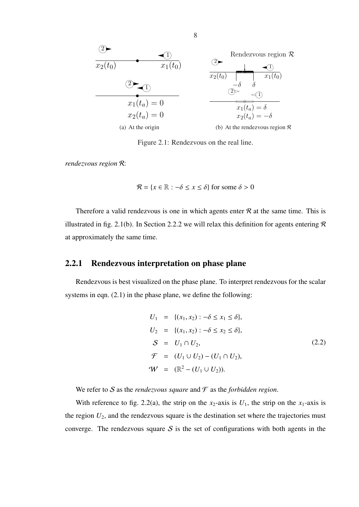

Figure 2.1: Rendezvous on the real line.

*rendezvous region* R:

$$
\mathcal{R} = \{x \in \mathbb{R} : -\delta \le x \le \delta\} \text{ for some } \delta > 0
$$

Therefore a valid rendezvous is one in which agents enter  $R$  at the same time. This is illustrated in fig. 2.1(b). In Section 2.2.2 we will relax this definition for agents entering  $\mathcal R$ at approximately the same time.

#### 2.2.1 Rendezvous interpretation on phase plane

Rendezvous is best visualized on the phase plane. To interpret rendezvous for the scalar systems in eqn. (2.1) in the phase plane, we define the following:

$$
U_1 = \{(x_1, x_2) : -\delta \le x_1 \le \delta\},
$$
  
\n
$$
U_2 = \{(x_1, x_2) : -\delta \le x_2 \le \delta\},
$$
  
\n
$$
S = U_1 \cap U_2,
$$
  
\n
$$
\mathcal{F} = (U_1 \cup U_2) - (U_1 \cap U_2),
$$
  
\n
$$
\mathcal{W} = (\mathbb{R}^2 - (U_1 \cup U_2)).
$$
\n(2.2)

We refer to S as the *rendezvous square* and  $\mathcal F$  as the *forbidden region*.

With reference to fig. 2.2(a), the strip on the  $x_2$ -axis is  $U_1$ , the strip on the  $x_1$ -axis is the region  $U_2$ , and the rendezvous square is the destination set where the trajectories must converge. The rendezvous square  $S$  is the set of configurations with both agents in the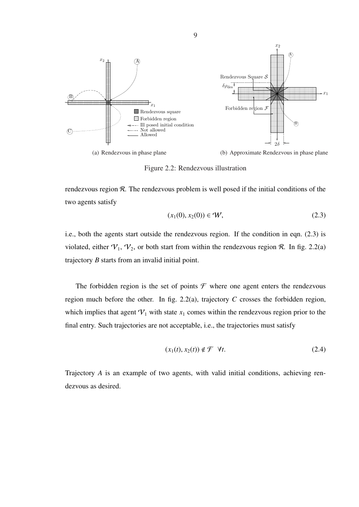

Figure 2.2: Rendezvous illustration

rendezvous region R. The rendezvous problem is well posed if the initial conditions of the two agents satisfy

$$
(x_1(0), x_2(0)) \in W, \tag{2.3}
$$

i.e., both the agents start outside the rendezvous region. If the condition in eqn. (2.3) is violated, either  $V_1$ ,  $V_2$ , or both start from within the rendezvous region  $R$ . In fig. 2.2(a) trajectory *B* starts from an invalid initial point.

The forbidden region is the set of points  $\mathcal F$  where one agent enters the rendezvous region much before the other. In fig. 2.2(a), trajectory *C* crosses the forbidden region, which implies that agent  $V_1$  with state  $x_1$  comes within the rendezvous region prior to the final entry. Such trajectories are not acceptable, i.e., the trajectories must satisfy

$$
(x_1(t), x_2(t)) \notin \mathcal{F} \quad \forall t. \tag{2.4}
$$

Trajectory *A* is an example of two agents, with valid initial conditions, achieving rendezvous as desired.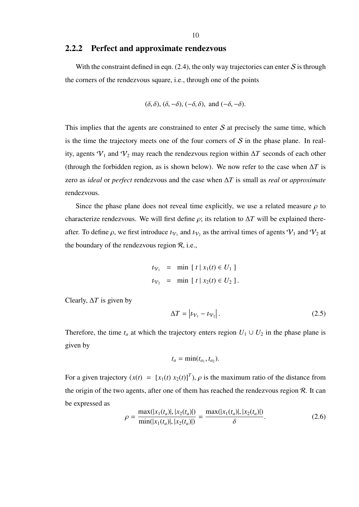#### 2.2.2 Perfect and approximate rendezvous

With the constraint defined in eqn.  $(2.4)$ , the only way trajectories can enter S is through the corners of the rendezvous square, i.e., through one of the points

$$
(\delta, \delta), (\delta, -\delta), (-\delta, \delta), \text{ and } (-\delta, -\delta).
$$

This implies that the agents are constrained to enter  $S$  at precisely the same time, which is the time the trajectory meets one of the four corners of  $S$  in the phase plane. In reality, agents  $V_1$  and  $V_2$  may reach the rendezvous region within  $\Delta T$  seconds of each other (through the forbidden region, as is shown below). We now refer to the case when ∆*T* is zero as *ideal* or *perfect* rendezvous and the case when ∆*T* is small as *real* or *approximate* rendezvous.

Since the phase plane does not reveal time explicitly, we use a related measure  $\rho$  to characterize rendezvous. We will first define  $\rho$ ; its relation to  $\Delta T$  will be explained thereafter. To define  $\rho$ , we first introduce  $t_{V_1}$  and  $t_{V_2}$  as the arrival times of agents  $V_1$  and  $V_2$  at the boundary of the rendezvous region  $\mathcal{R}$ , i.e.,

$$
t_{V_1} = \min [t | x_1(t) \in U_1]
$$
  

$$
t_{V_2} = \min [t | x_2(t) \in U_2].
$$

Clearly, ∆*T* is given by

$$
\Delta T = \left| t_{\mathcal{V}_1} - t_{\mathcal{V}_2} \right|.
$$
 (2.5)

Therefore, the time  $t_a$  at which the trajectory enters region  $U_1 \cup U_2$  in the phase plane is given by

$$
t_a=\min(t_{a_1},t_{a_2}).
$$

For a given trajectory  $(x(t) = [x_1(t) x_2(t)]^T$ ,  $\rho$  is the maximum ratio of the distance from the origin of the two agents, after one of them has reached the rendezvous region  $\mathcal{R}$ . It can be expressed as

$$
\rho = \frac{\max(|x_1(t_a)|, |x_2(t_a)|)}{\min(|x_1(t_a)|, |x_2(t_a)|)} = \frac{\max(|x_1(t_a)|, |x_2(t_a)|)}{\delta}.
$$
\n(2.6)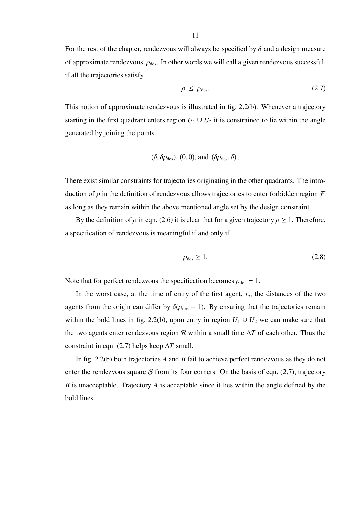For the rest of the chapter, rendezvous will always be specified by  $\delta$  and a design measure of approximate rendezvous,  $\rho_{des}$ . In other words we will call a given rendezvous successful, if all the trajectories satisfy

$$
\rho \le \rho_{\text{des}}.\tag{2.7}
$$

This notion of approximate rendezvous is illustrated in fig. 2.2(b). Whenever a trajectory starting in the first quadrant enters region  $U_1 \cup U_2$  it is constrained to lie within the angle generated by joining the points

$$
(\delta, \delta \rho_{\text{des}}), (0, 0), \text{ and } (\delta \rho_{\text{des}}, \delta).
$$

There exist similar constraints for trajectories originating in the other quadrants. The introduction of  $\rho$  in the definition of rendezvous allows trajectories to enter forbidden region  $\mathcal F$ as long as they remain within the above mentioned angle set by the design constraint.

By the definition of  $\rho$  in eqn. (2.6) it is clear that for a given trajectory  $\rho \geq 1$ . Therefore, a specification of rendezvous is meaningful if and only if

$$
\rho_{\text{des}} \ge 1. \tag{2.8}
$$

Note that for perfect rendezvous the specification becomes  $\rho_{des} = 1$ .

In the worst case, at the time of entry of the first agent,  $t_a$ , the distances of the two agents from the origin can differ by  $\delta(\rho_{des} - 1)$ . By ensuring that the trajectories remain within the bold lines in fig. 2.2(b), upon entry in region  $U_1 \cup U_2$  we can make sure that the two agents enter rendezvous region R within a small time ∆*T* of each other. Thus the constraint in eqn. (2.7) helps keep ∆*T* small.

In fig. 2.2(b) both trajectories *A* and *B* fail to achieve perfect rendezvous as they do not enter the rendezvous square  $S$  from its four corners. On the basis of eqn. (2.7), trajectory *B* is unacceptable. Trajectory *A* is acceptable since it lies within the angle defined by the bold lines.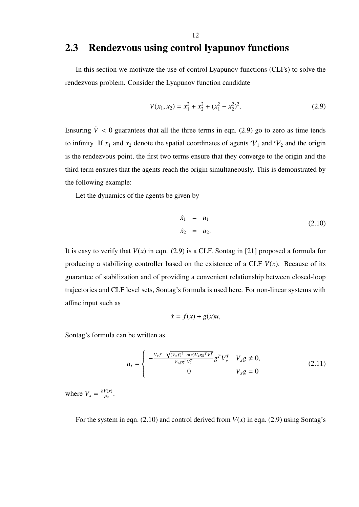#### 12

#### 2.3 Rendezvous using control lyapunov functions

In this section we motivate the use of control Lyapunov functions (CLFs) to solve the rendezvous problem. Consider the Lyapunov function candidate

$$
V(x_1, x_2) = x_1^2 + x_2^2 + (x_1^2 - x_2^2)^2.
$$
 (2.9)

Ensuring  $\dot{V}$  < 0 guarantees that all the three terms in eqn. (2.9) go to zero as time tends to infinity. If  $x_1$  and  $x_2$  denote the spatial coordinates of agents  $V_1$  and  $V_2$  and the origin is the rendezvous point, the first two terms ensure that they converge to the origin and the third term ensures that the agents reach the origin simultaneously. This is demonstrated by the following example:

Let the dynamics of the agents be given by

$$
\dot{x}_1 = u_1 \n\dot{x}_2 = u_2.
$$
\n(2.10)

It is easy to verify that  $V(x)$  in eqn. (2.9) is a CLF. Sontag in [21] proposed a formula for producing a stabilizing controller based on the existence of a CLF  $V(x)$ . Because of its guarantee of stabilization and of providing a convenient relationship between closed-loop trajectories and CLF level sets, Sontag's formula is used here. For non-linear systems with affine input such as

$$
\dot{x} = f(x) + g(x)u,
$$

Sontag's formula can be written as

$$
u_{s} = \begin{cases} -\frac{V_{x}f + \sqrt{(V_{x}f)^{2} + q(x)V_{x}gg^{T}V_{x}^{T}}}{V_{x}gg^{T}V_{x}^{T}}g^{T}V_{x}^{T} & V_{x}g \neq 0, \\ 0 & V_{x}g = 0 \end{cases}
$$
(2.11)

where  $V_x = \frac{\partial V(x)}{\partial x}$  $\frac{V(x)}{\partial x}$ .

For the system in eqn.  $(2.10)$  and control derived from  $V(x)$  in eqn.  $(2.9)$  using Sontag's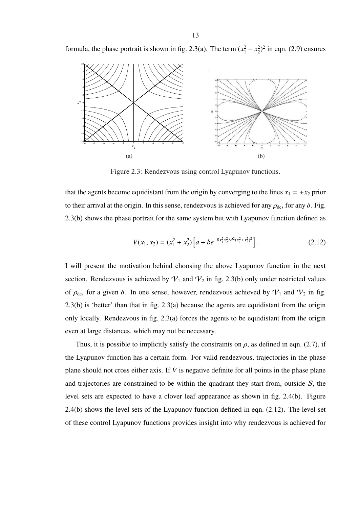formula, the phase portrait is shown in fig. 2.3(a). The term  $(x_1^2 - x_2^2)$  $^{2}_{2}$ )<sup>2</sup> in eqn. (2.9) ensures



Figure 2.3: Rendezvous using control Lyapunov functions.

that the agents become equidistant from the origin by converging to the lines  $x_1 = \pm x_2$  prior to their arrival at the origin. In this sense, rendezvous is achieved for any  $\rho_{des}$  for any  $\delta$ . Fig. 2.3(b) shows the phase portrait for the same system but with Lyapunov function defined as

$$
V(x_1, x_2) = (x_1^2 + x_2^2) \left[ a + b e^{-8x_1^2 x_2^2 / d^2 (x_1^2 + x_2^2)^2} \right].
$$
 (2.12)

I will present the motivation behind choosing the above Lyapunov function in the next section. Rendezvous is achieved by  $V_1$  and  $V_2$  in fig. 2.3(b) only under restricted values of  $\rho_{des}$  for a given  $\delta$ . In one sense, however, rendezvous achieved by  $\mathcal{V}_1$  and  $\mathcal{V}_2$  in fig. 2.3(b) is 'better' than that in fig. 2.3(a) because the agents are equidistant from the origin only locally. Rendezvous in fig. 2.3(a) forces the agents to be equidistant from the origin even at large distances, which may not be necessary.

Thus, it is possible to implicitly satisfy the constraints on  $\rho$ , as defined in eqn. (2.7), if the Lyapunov function has a certain form. For valid rendezvous, trajectories in the phase plane should not cross either axis. If  $\dot{V}$  is negative definite for all points in the phase plane and trajectories are constrained to be within the quadrant they start from, outside  $S$ , the level sets are expected to have a clover leaf appearance as shown in fig. 2.4(b). Figure 2.4(b) shows the level sets of the Lyapunov function defined in eqn. (2.12). The level set of these control Lyapunov functions provides insight into why rendezvous is achieved for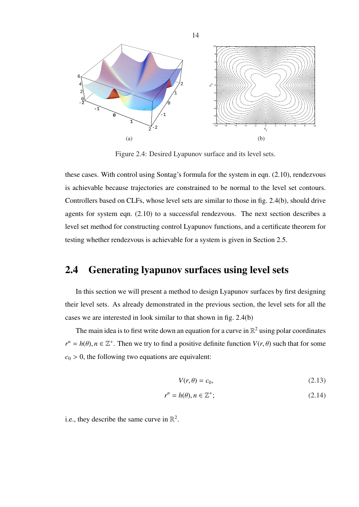

Figure 2.4: Desired Lyapunov surface and its level sets.

these cases. With control using Sontag's formula for the system in eqn. (2.10), rendezvous is achievable because trajectories are constrained to be normal to the level set contours. Controllers based on CLFs, whose level sets are similar to those in fig. 2.4(b), should drive agents for system eqn. (2.10) to a successful rendezvous. The next section describes a level set method for constructing control Lyapunov functions, and a certificate theorem for testing whether rendezvous is achievable for a system is given in Section 2.5.

#### 2.4 Generating lyapunov surfaces using level sets

In this section we will present a method to design Lyapunov surfaces by first designing their level sets. As already demonstrated in the previous section, the level sets for all the cases we are interested in look similar to that shown in fig. 2.4(b)

The main idea is to first write down an equation for a curve in  $\mathbb{R}^2$  using polar coordinates  $r^n = h(\theta), n \in \mathbb{Z}^+$ . Then we try to find a positive definite function  $V(r, \theta)$  such that for some  $c_0$  > 0, the following two equations are equivalent:

$$
V(r,\theta) = c_0,\tag{2.13}
$$

$$
r^n = h(\theta), n \in \mathbb{Z}^+; \tag{2.14}
$$

i.e., they describe the same curve in  $\mathbb{R}^2$ .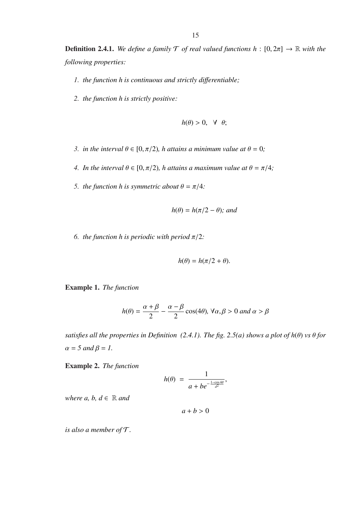**Definition 2.4.1.** *We define a family*  $\mathcal{T}$  *of real valued functions*  $h : [0, 2\pi] \rightarrow \mathbb{R}$  *with the following properties:*

- *1. the function h is continuous and strictly di*ff*erentiable;*
- *2. the function h is strictly positive:*

$$
h(\theta) > 0, \quad \forall \ \theta;
$$

- *3. in the interval*  $\theta \in [0, \pi/2)$ *, h attains a minimum value at*  $\theta = 0$ *;*
- *4. In the interval*  $\theta \in [0, \pi/2)$ *, h attains a maximum value at*  $\theta = \pi/4$ *;*
- *5. the function h is symmetric about*  $\theta = \pi/4$ *:*

$$
h(\theta) = h(\pi/2 - \theta)
$$
; and

*6. the function h is periodic with period*  $\pi/2$ *:* 

$$
h(\theta) = h(\pi/2 + \theta).
$$

Example 1. *The function*

$$
h(\theta) = \frac{\alpha + \beta}{2} - \frac{\alpha - \beta}{2} \cos(4\theta), \forall \alpha, \beta > 0 \text{ and } \alpha > \beta
$$

*satisfies all the properties in Definition (2.4.1). The fig. 2.5(a) shows a plot of*  $h(\theta)$  *<i>vs*  $\theta$  *for*  $\alpha = 5$  and  $\beta = 1$ .

Example 2. *The function*

$$
h(\theta) = \frac{1}{a + be^{-\frac{1-\cos 4\theta}{d^2}}},
$$

*where*  $a, b, d \in \mathbb{R}$  and

 $a + b > 0$ 

*is also a member of* T*.*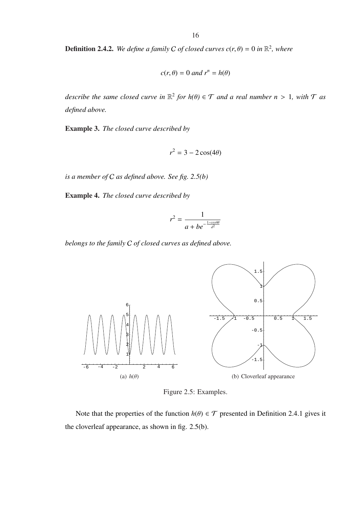**Definition 2.4.2.** We define a family C of closed curves  $c(r, \theta) = 0$  in  $\mathbb{R}^2$ , where

$$
c(r, \theta) = 0 \text{ and } r^n = h(\theta)
$$

*describe the same closed curve in*  $\mathbb{R}^2$  *for h*( $\theta$ )  $\in \mathcal{T}$  *and a real number n* > 1, with  $\mathcal{T}$  *as defined above.*

Example 3. *The closed curve described by*

$$
r^2 = 3 - 2\cos(4\theta)
$$

*is a member of* C *as defined above. See fig. 2.5(b)*

Example 4. *The closed curve described by*

$$
r^2 = \frac{1}{a + be^{-\frac{1 - \cos 4\theta}{d^2}}}
$$

*belongs to the family* C *of closed curves as defined above.*



Figure 2.5: Examples.

Note that the properties of the function  $h(\theta) \in \mathcal{T}$  presented in Definition 2.4.1 gives it the cloverleaf appearance, as shown in fig. 2.5(b).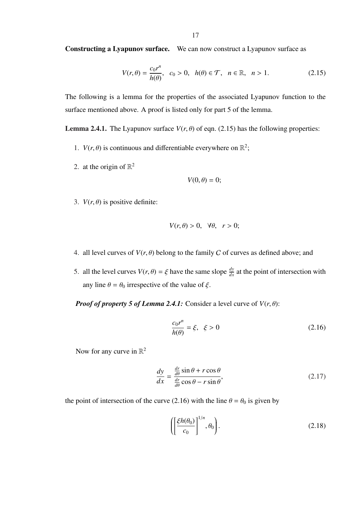Constructing a Lyapunov surface. We can now construct a Lyapunov surface as

$$
V(r,\theta) = \frac{c_0 r^n}{h(\theta)}, \quad c_0 > 0, \quad h(\theta) \in \mathcal{T}, \quad n \in \mathbb{R}, \quad n > 1.
$$

The following is a lemma for the properties of the associated Lyapunov function to the surface mentioned above. A proof is listed only for part 5 of the lemma.

**Lemma 2.4.1.** The Lyapunov surface  $V(r, \theta)$  of eqn. (2.15) has the following properties:

- 1.  $V(r, \theta)$  is continuous and differentiable everywhere on  $\mathbb{R}^2$ ;
- 2. at the origin of  $\mathbb{R}^2$

$$
V(0,\theta)=0;
$$

3.  $V(r, \theta)$  is positive definite:

$$
V(r,\theta) > 0, \quad \forall \theta, \quad r > 0;
$$

- 4. all level curves of  $V(r, \theta)$  belong to the family C of curves as defined above; and
- 5. all the level curves  $V(r, \theta) = \xi$  have the same slope  $\frac{dy}{dx}$  at the point of intersection with any line  $\theta = \theta_0$  irrespective of the value of  $\xi$ .

*Proof of property 5 of Lemma 2.4.1:* Consider a level curve of  $V(r, \theta)$ :

$$
\frac{c_0 r^n}{h(\theta)} = \xi, \quad \xi > 0 \tag{2.16}
$$

Now for any curve in  $\mathbb{R}^2$ 

$$
\frac{dy}{dx} = \frac{\frac{dr}{d\theta}\sin\theta + r\cos\theta}{\frac{dr}{d\theta}\cos\theta - r\sin\theta},
$$
\n(2.17)

the point of intersection of the curve (2.16) with the line  $\theta = \theta_0$  is given by

$$
\left(\left[\frac{\xi h(\theta_0)}{c_0}\right]^{1/n}, \theta_0\right). \tag{2.18}
$$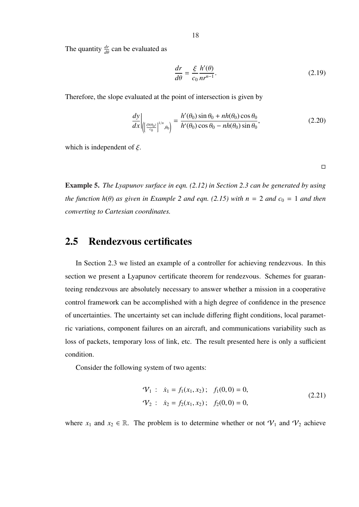The quantity  $\frac{dr}{d\theta}$  can be evaluated as

$$
\frac{dr}{d\theta} = \frac{\xi}{c_0} \frac{h'(\theta)}{nr^{n-1}}.
$$
\n(2.19)

Therefore, the slope evaluated at the point of intersection is given by

$$
\frac{dy}{dx}\bigg|_{\left(\left[\frac{\xi h(\theta_0)}{c_0}\right]^{1/n},\theta_0\right)} = \frac{h'(\theta_0)\sin\theta_0 + nh(\theta_0)\cos\theta_0}{h'(\theta_0)\cos\theta_0 - nh(\theta_0)\sin\theta_0},\tag{2.20}
$$

which is independent of  $\xi$ .

 $\Box$ 

Example 5. *The Lyapunov surface in eqn. (2.12) in Section 2.3 can be generated by using the function*  $h(\theta)$  *as given in Example 2 and eqn.* (2.15) with  $n = 2$  *and*  $c_0 = 1$  *and then converting to Cartesian coordinates.*

#### 2.5 Rendezvous certificates

In Section 2.3 we listed an example of a controller for achieving rendezvous. In this section we present a Lyapunov certificate theorem for rendezvous. Schemes for guaranteeing rendezvous are absolutely necessary to answer whether a mission in a cooperative control framework can be accomplished with a high degree of confidence in the presence of uncertainties. The uncertainty set can include differing flight conditions, local parametric variations, component failures on an aircraft, and communications variability such as loss of packets, temporary loss of link, etc. The result presented here is only a sufficient condition.

Consider the following system of two agents:

$$
\mathcal{V}_1: \quad \dot{x}_1 = f_1(x_1, x_2); \quad f_1(0, 0) = 0,
$$
\n
$$
\mathcal{V}_2: \quad \dot{x}_2 = f_2(x_1, x_2); \quad f_2(0, 0) = 0,
$$
\n
$$
(2.21)
$$

where  $x_1$  and  $x_2 \in \mathbb{R}$ . The problem is to determine whether or not  $\mathcal{V}_1$  and  $\mathcal{V}_2$  achieve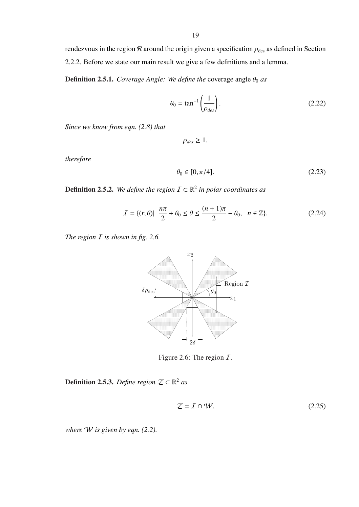rendezvous in the region  $\mathcal R$  around the origin given a specification  $\rho_{\text{des}}$  as defined in Section 2.2.2. Before we state our main result we give a few definitions and a lemma.

**Definition 2.5.1.** *Coverage Angle: We define the* coverage angle  $\theta_0$  *as* 

$$
\theta_0 = \tan^{-1}\left(\frac{1}{\rho_{des}}\right). \tag{2.22}
$$

*Since we know from eqn. (2.8) that*

 $\rho_{des} \geq 1$ ,

*therefore*

$$
\theta_0 \in [0, \pi/4].\tag{2.23}
$$

**Definition 2.5.2.** We define the region  $\mathcal{I} \subset \mathbb{R}^2$  in polar coordinates as

$$
I = \{(r, \theta) | \frac{n\pi}{2} + \theta_0 \le \theta \le \frac{(n+1)\pi}{2} - \theta_0, \quad n \in \mathbb{Z}\}.
$$
 (2.24)

*The region I* is shown in fig. 2.6.



Figure 2.6: The region  $I$ .

**Definition 2.5.3.** *Define region*  $\mathcal{Z} \subset \mathbb{R}^2$  *as* 

$$
Z = I \cap W,\tag{2.25}
$$

*where* W *is given by eqn. (2.2).*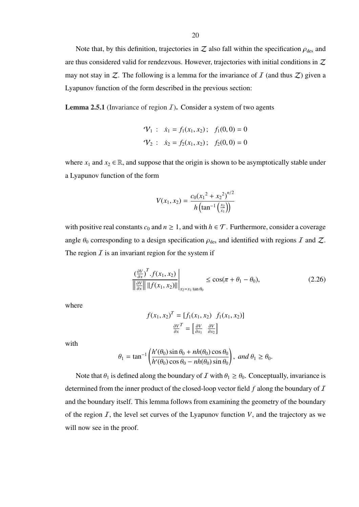Note that, by this definition, trajectories in  $Z$  also fall within the specification  $\rho_{des}$  and are thus considered valid for rendezvous. However, trajectories with initial conditions in  $Z$ may not stay in  $Z$ . The following is a lemma for the invariance of  $I$  (and thus  $Z$ ) given a Lyapunov function of the form described in the previous section:

**Lemma 2.5.1** (Invariance of region  $I$ ). Consider a system of two agents

$$
\mathcal{V}_1: \quad \dot{x}_1 = f_1(x_1, x_2); \quad f_1(0, 0) = 0
$$
\n
$$
\mathcal{V}_2: \quad \dot{x}_2 = f_2(x_1, x_2); \quad f_2(0, 0) = 0
$$

where  $x_1$  and  $x_2 \in \mathbb{R}$ , and suppose that the origin is shown to be asymptotically stable under a Lyapunov function of the form

$$
V(x_1, x_2) = \frac{c_0(x_1^2 + x_2^2)^{n/2}}{h\left(\tan^{-1}\left(\frac{x_2}{x_1}\right)\right)}
$$

with positive real constants  $c_0$  and  $n \ge 1$ , and with  $h \in \mathcal{T}$ . Furthermore, consider a coverage angle  $\theta_0$  corresponding to a design specification  $\rho_{des}$  and identified with regions I and Z. The region  $I$  is an invariant region for the system if

$$
\frac{\left(\frac{\partial V}{\partial x}\right)^{T} f(x_1, x_2)}{\left\|\frac{\partial V}{\partial x}\right\| \|f(x_1, x_2)\| \Big|_{x_2 = x_1 \tan \theta_0}} \le \cos(\pi + \theta_1 - \theta_0),
$$
\n(2.26)

where

$$
f(x_1, x_2)^T = [f_1(x_1, x_2) f_1(x_1, x_2)]
$$

$$
\frac{\partial V}{\partial x}^T = \left[\frac{\partial V}{\partial x_1} \frac{\partial V}{\partial x_2}\right]
$$

with

$$
\theta_1 = \tan^{-1}\left(\frac{h'(\theta_0)\sin\theta_0 + nh(\theta_0)\cos\theta_0}{h'(\theta_0)\cos\theta_0 - nh(\theta_0)\sin\theta_0}\right), \text{ and } \theta_1 \ge \theta_0.
$$

Note that  $\theta_1$  is defined along the boundary of I with  $\theta_1 \ge \theta_0$ . Conceptually, invariance is determined from the inner product of the closed-loop vector field f along the boundary of I and the boundary itself. This lemma follows from examining the geometry of the boundary of the region  $I$ , the level set curves of the Lyapunov function  $V$ , and the trajectory as we will now see in the proof.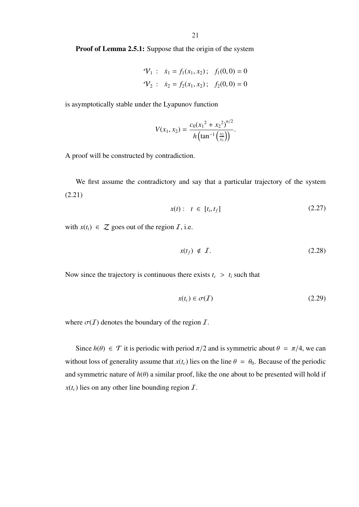Proof of Lemma 2.5.1: Suppose that the origin of the system

$$
\mathcal{V}_1
$$
:  $\dot{x}_1 = f_1(x_1, x_2)$ ;  $f_1(0, 0) = 0$   
\n $\mathcal{V}_2$ :  $\dot{x}_2 = f_2(x_1, x_2)$ ;  $f_2(0, 0) = 0$ 

is asymptotically stable under the Lyapunov function

$$
V(x_1, x_2) = \frac{c_0(x_1^2 + x_2^2)^{n/2}}{h\left(\tan^{-1}\left(\frac{x_2}{x_1}\right)\right)}.
$$

A proof will be constructed by contradiction.

We first assume the contradictory and say that a particular trajectory of the system (2.21)

$$
x(t): \quad t \in [t_i, t_f] \tag{2.27}
$$

with  $x(t_i) \in \mathcal{Z}$  goes out of the region  $\mathcal{I}$ , i.e.

$$
x(t_f) \notin \mathcal{I}.\tag{2.28}
$$

Now since the trajectory is continuous there exists  $t_c > t_i$  such that

$$
x(t_c) \in \sigma(\mathcal{I}) \tag{2.29}
$$

where  $\sigma(\mathcal{I})$  denotes the boundary of the region  $\mathcal{I}$ .

Since  $h(\theta) \in \mathcal{T}$  it is periodic with period  $\pi/2$  and is symmetric about  $\theta = \pi/4$ , we can without loss of generality assume that  $x(t_c)$  lies on the line  $\theta = \theta_0$ . Because of the periodic and symmetric nature of  $h(\theta)$  a similar proof, like the one about to be presented will hold if  $x(t_c)$  lies on any other line bounding region  $\bar{I}$ .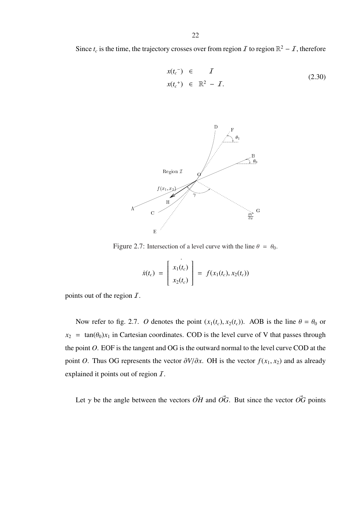$$
x(t_c^-) \in I
$$
  
\n
$$
x(t_c^+) \in \mathbb{R}^2 - I.
$$
\n(2.30)



Figure 2.7: Intersection of a level curve with the line  $\theta = \theta_0$ .

$$
\dot{x}(t_c) = \begin{bmatrix} x_1(t_c) \\ x_2(t_c) \end{bmatrix} = f(x_1(t_c), x_2(t_c))
$$

points out of the region  $\overline{I}$ .

Now refer to fig. 2.7. *O* denotes the point  $(x_1(t_c), x_2(t_c))$ . AOB is the line  $\theta = \theta_0$  or  $x_2$  = tan( $\theta_0$ ) $x_1$  in Cartesian coordinates. COD is the level curve of V that passes through the point *O*. EOF is the tangent and OG is the outward normal to the level curve COD at the point *O*. Thus OG represents the vector  $\partial V/\partial x$ . OH is the vector  $f(x_1, x_2)$  and as already explained it points out of region  $I$ .

Let  $\gamma$  be the angle between the vectors  $\overrightarrow{OH}$  and  $\overrightarrow{OG}$ . But since the vector  $\overrightarrow{OG}$  points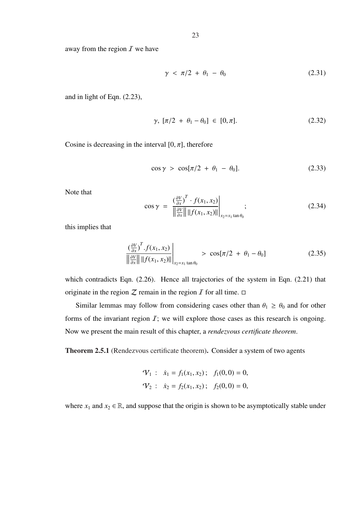away from the region  $\overline{I}$  we have

$$
\gamma < \pi/2 + \theta_1 - \theta_0 \tag{2.31}
$$

and in light of Eqn. (2.23),

$$
\gamma, [\pi/2 + \theta_1 - \theta_0] \in [0, \pi]. \tag{2.32}
$$

Cosine is decreasing in the interval  $[0, \pi]$ , therefore

$$
\cos \gamma > \cos[\pi/2 + \theta_1 - \theta_0]. \tag{2.33}
$$

Note that

$$
\cos \gamma = \frac{\left(\frac{\partial V}{\partial x}\right)^T \cdot f(x_1, x_2)}{\left\| \frac{\partial V}{\partial x} \right\| \left\| f(x_1, x_2) \right\|}_{x_2 = x_1 \tan \theta_0};
$$
\n(2.34)

this implies that

$$
\frac{\left(\frac{\partial V}{\partial x}\right)^T f(x_1, x_2)}{\left\|\frac{\partial V}{\partial x}\right\| \|f(x_1, x_2)\| \Big|_{x_2 = x_1 \tan \theta_0}} > \cos[\pi/2 + \theta_1 - \theta_0]
$$
\n(2.35)

which contradicts Eqn. (2.26). Hence all trajectories of the system in Eqn. (2.21) that originate in the region  $Z$  remain in the region  $I$  for all time.  $\Box$ 

Similar lemmas may follow from considering cases other than  $\theta_1 \ge \theta_0$  and for other forms of the invariant region  $I$ ; we will explore those cases as this research is ongoing. Now we present the main result of this chapter, a *rendezvous certificate theorem*.

Theorem 2.5.1 (Rendezvous certificate theorem). Consider a system of two agents

$$
\mathcal{V}_1
$$
:  $\dot{x}_1 = f_1(x_1, x_2)$ ;  $f_1(0, 0) = 0$ ,  
\n $\mathcal{V}_2$ :  $\dot{x}_2 = f_2(x_1, x_2)$ ;  $f_2(0, 0) = 0$ ,

where  $x_1$  and  $x_2 \in \mathbb{R}$ , and suppose that the origin is shown to be asymptotically stable under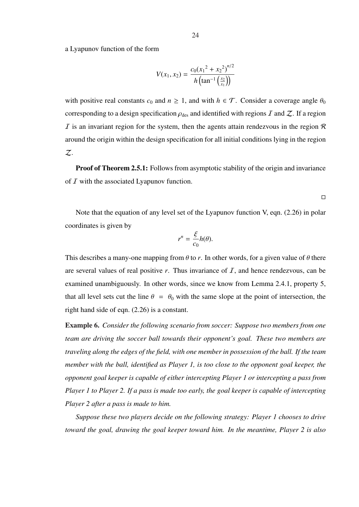a Lyapunov function of the form

$$
V(x_1, x_2) = \frac{c_0(x_1^2 + x_2^2)^{n/2}}{h\left(\tan^{-1}\left(\frac{x_2}{x_1}\right)\right)}
$$

with positive real constants  $c_0$  and  $n \ge 1$ , and with  $h \in \mathcal{T}$ . Consider a coverage angle  $\theta_0$ corresponding to a design specification  $\rho_{des}$  and identified with regions  $I$  and  $Z$ . If a region  $I$  is an invariant region for the system, then the agents attain rendezvous in the region  $R$ around the origin within the design specification for all initial conditions lying in the region Z.

**Proof of Theorem 2.5.1:** Follows from asymptotic stability of the origin and invariance of  $I$  with the associated Lyapunov function.

 $\Box$ 

Note that the equation of any level set of the Lyapunov function V, eqn. (2.26) in polar coordinates is given by

$$
r^n = \frac{\xi}{c_0} h(\theta).
$$

This describes a many-one mapping from  $\theta$  to *r*. In other words, for a given value of  $\theta$  there are several values of real positive  $r$ . Thus invariance of  $I$ , and hence rendezvous, can be examined unambiguously. In other words, since we know from Lemma 2.4.1, property 5, that all level sets cut the line  $\theta = \theta_0$  with the same slope at the point of intersection, the right hand side of eqn. (2.26) is a constant.

Example 6. *Consider the following scenario from soccer: Suppose two members from one team are driving the soccer ball towards their opponent's goal. These two members are traveling along the edges of the field, with one member in possession of the ball. If the team member with the ball, identified as Player 1, is too close to the opponent goal keeper, the opponent goal keeper is capable of either intercepting Player 1 or intercepting a pass from Player 1 to Player 2. If a pass is made too early, the goal keeper is capable of intercepting Player 2 after a pass is made to him.*

*Suppose these two players decide on the following strategy: Player 1 chooses to drive toward the goal, drawing the goal keeper toward him. In the meantime, Player 2 is also*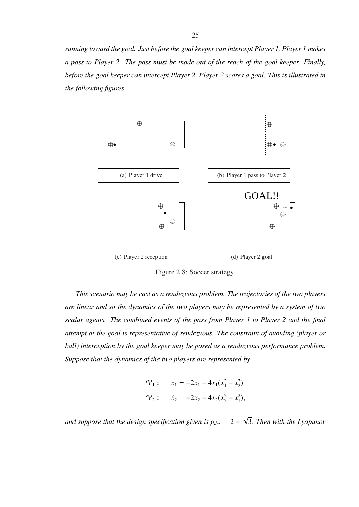*running toward the goal. Just before the goal keeper can intercept Player 1, Player 1 makes a pass to Player 2. The pass must be made out of the reach of the goal keeper. Finally, before the goal keeper can intercept Player 2, Player 2 scores a goal. This is illustrated in the following figures.*



Figure 2.8: Soccer strategy.

*This scenario may be cast as a rendezvous problem. The trajectories of the two players are linear and so the dynamics of the two players may be represented by a system of two scalar agents. The combined events of the pass from Player 1 to Player 2 and the final attempt at the goal is representative of rendezvous. The constraint of avoiding (player or ball) interception by the goal keeper may be posed as a rendezvous performance problem. Suppose that the dynamics of the two players are represented by*

$$
\mathcal{V}_1: \quad \dot{x}_1 = -2x_1 - 4x_1(x_1^2 - x_2^2)
$$
  

$$
\mathcal{V}_2: \quad \dot{x}_2 = -2x_2 - 4x_2(x_2^2 - x_1^2),
$$

*and suppose that the design specification given is*  $\rho_{des} = 2 - 1$ √ 3*. Then with the Lyapunov*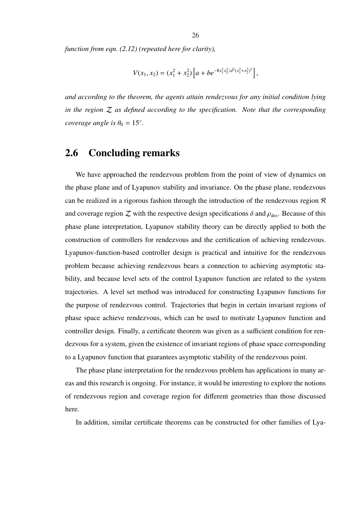*function from eqn. (2.12) (repeated here for clarity),*

$$
V(x_1, x_2) = (x_1^2 + x_2^2) \left[ a + b e^{-8x_1^2 x_2^2 / d^2 (x_1^2 + x_2^2)^2} \right],
$$

*and according to the theorem, the agents attain rendezvous for any initial condition lying in the region* Z *as defined according to the specification. Note that the corresponding coverage angle is*  $\theta_0 = 15^\circ$ *.* 

#### 2.6 Concluding remarks

We have approached the rendezvous problem from the point of view of dynamics on the phase plane and of Lyapunov stability and invariance. On the phase plane, rendezvous can be realized in a rigorous fashion through the introduction of the rendezvous region  $\mathcal R$ and coverage region  $Z$  with the respective design specifications  $\delta$  and  $\rho_{des}$ . Because of this phase plane interpretation, Lyapunov stability theory can be directly applied to both the construction of controllers for rendezvous and the certification of achieving rendezvous. Lyapunov-function-based controller design is practical and intuitive for the rendezvous problem because achieving rendezvous bears a connection to achieving asymptotic stability, and because level sets of the control Lyapunov function are related to the system trajectories. A level set method was introduced for constructing Lyapunov functions for the purpose of rendezvous control. Trajectories that begin in certain invariant regions of phase space achieve rendezvous, which can be used to motivate Lyapunov function and controller design. Finally, a certificate theorem was given as a sufficient condition for rendezvous for a system, given the existence of invariant regions of phase space corresponding to a Lyapunov function that guarantees asymptotic stability of the rendezvous point.

The phase plane interpretation for the rendezvous problem has applications in many areas and this research is ongoing. For instance, it would be interesting to explore the notions of rendezvous region and coverage region for different geometries than those discussed here.

In addition, similar certificate theorems can be constructed for other families of Lya-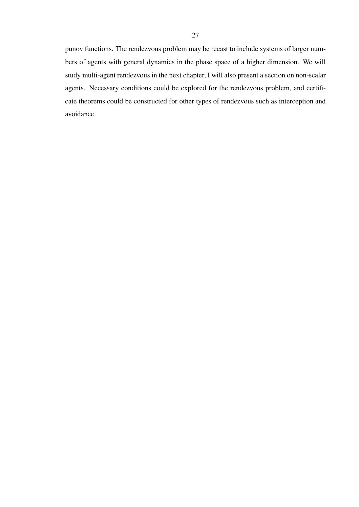punov functions. The rendezvous problem may be recast to include systems of larger numbers of agents with general dynamics in the phase space of a higher dimension. We will study multi-agent rendezvous in the next chapter, I will also present a section on non-scalar agents. Necessary conditions could be explored for the rendezvous problem, and certificate theorems could be constructed for other types of rendezvous such as interception and avoidance.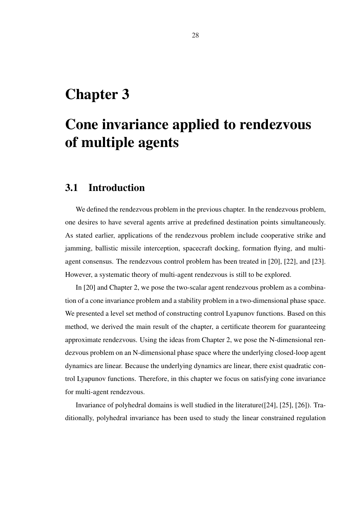## Chapter 3

# Cone invariance applied to rendezvous of multiple agents

#### 3.1 Introduction

We defined the rendezvous problem in the previous chapter. In the rendezvous problem, one desires to have several agents arrive at predefined destination points simultaneously. As stated earlier, applications of the rendezvous problem include cooperative strike and jamming, ballistic missile interception, spacecraft docking, formation flying, and multiagent consensus. The rendezvous control problem has been treated in [20], [22], and [23]. However, a systematic theory of multi-agent rendezvous is still to be explored.

In [20] and Chapter 2, we pose the two-scalar agent rendezvous problem as a combination of a cone invariance problem and a stability problem in a two-dimensional phase space. We presented a level set method of constructing control Lyapunov functions. Based on this method, we derived the main result of the chapter, a certificate theorem for guaranteeing approximate rendezvous. Using the ideas from Chapter 2, we pose the N-dimensional rendezvous problem on an N-dimensional phase space where the underlying closed-loop agent dynamics are linear. Because the underlying dynamics are linear, there exist quadratic control Lyapunov functions. Therefore, in this chapter we focus on satisfying cone invariance for multi-agent rendezvous.

Invariance of polyhedral domains is well studied in the literature([24], [25], [26]). Traditionally, polyhedral invariance has been used to study the linear constrained regulation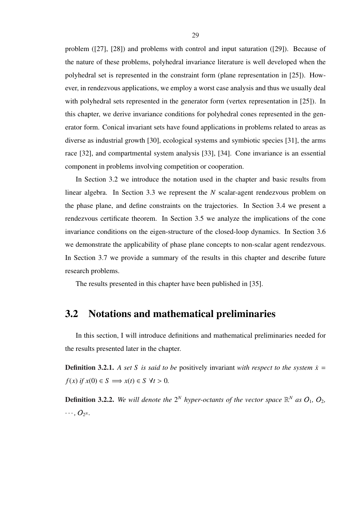problem ([27], [28]) and problems with control and input saturation ([29]). Because of the nature of these problems, polyhedral invariance literature is well developed when the polyhedral set is represented in the constraint form (plane representation in [25]). However, in rendezvous applications, we employ a worst case analysis and thus we usually deal with polyhedral sets represented in the generator form (vertex representation in [25]). In this chapter, we derive invariance conditions for polyhedral cones represented in the generator form. Conical invariant sets have found applications in problems related to areas as diverse as industrial growth [30], ecological systems and symbiotic species [31], the arms race [32], and compartmental system analysis [33], [34]. Cone invariance is an essential component in problems involving competition or cooperation.

In Section 3.2 we introduce the notation used in the chapter and basic results from linear algebra. In Section 3.3 we represent the *N* scalar-agent rendezvous problem on the phase plane, and define constraints on the trajectories. In Section 3.4 we present a rendezvous certificate theorem. In Section 3.5 we analyze the implications of the cone invariance conditions on the eigen-structure of the closed-loop dynamics. In Section 3.6 we demonstrate the applicability of phase plane concepts to non-scalar agent rendezvous. In Section 3.7 we provide a summary of the results in this chapter and describe future research problems.

The results presented in this chapter have been published in [35].

#### 3.2 Notations and mathematical preliminaries

In this section, I will introduce definitions and mathematical preliminaries needed for the results presented later in the chapter.

**Definition 3.2.1.** A set *S* is said to be positively invariant with respect to the system  $\dot{x}$  =  $f(x)$  *if*  $x(0) \in S \implies x(t) \in S \ \forall t > 0.$ 

**Definition 3.2.2.** We will denote the  $2^N$  hyper-octants of the vector space  $\mathbb{R}^N$  as  $O_1$ ,  $O_2$ ,  $\cdots$ ,  $O_{2^N}$ *.*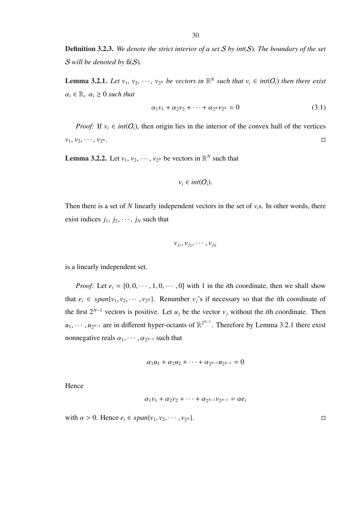Definition 3.2.3. *We denote the strict interior of a set* S *by int*(S)*. The boundary of the set* S *will be denoted by* ß(S)*.*

**Lemma 3.2.1.** Let  $v_1, v_2, \dots, v_{2^N}$  be vectors in  $\mathbb{R}^N$  such that  $v_i \in int(O_i)$  then there exist  $\alpha_i \in \mathbb{R}, \ \alpha_i \geq 0 \text{ such that}$ 

$$
\alpha_1 v_1 + \alpha_2 v_2 + \dots + \alpha_{2^N} v_{2^N} = 0 \tag{3.1}
$$

*Proof:* If  $v_i \in int(O_i)$ , then origin lies in the interior of the convex hull of the vertices  $v_1, v_2, \cdots, v_{2^N}.$ *N* . □

**Lemma 3.2.2.** Let  $v_1, v_2, \dots, v_{2^N}$  be vectors in  $\mathbb{R}^N$  such that

$$
v_i \in int(O_i).
$$

Then there is a set of *N* linearly independent vectors in the set of  $v_i$ s. In other words, there exist indices  $j_1, j_2, \dots, j_N$  such that

$$
v_{j_1}, v_{j_2}, \cdots, v_{j_N}
$$

is a linearly independent set.

*Proof:* Let  $e_i = [0, 0, \dots, 1, 0, \dots, 0]$  with 1 in the *i*th coordinate, then we shall show that  $e_i \in span\{v_1, v_2, \dots, v_{2^N}\}.$  Renumber  $v_j$ 's if necessary so that the *i*th coordinate of the first  $2^{N-1}$  vectors is positive. Let  $u_j$  be the vector  $v_j$  without the *i*th coordinate. Then  $u_1, \dots, u_{2^{N-1}}$  are in different hyper-octants of  $\mathbb{R}^{2^{N-1}}$ . Therefore by Lemma 3.2.1 there exist nonnegative reals  $\alpha_1, \cdots, \alpha_{2^{N-1}}$  such that

$$
\alpha_1u_1 + \alpha_2u_2 + \cdots + \alpha_{2^{N-1}}u_{2^{N-1}} = 0
$$

Hence

$$
\alpha_1v_1 + \alpha_2v_2 + \cdots + \alpha_{2^{N-1}}v_{2^{N-1}} = \alpha e_i
$$

with  $\alpha > 0$ . Hence  $e_i \in span\{v_1, v_2, \dots, v_{2^N}\}.$  $\Box$   $\Box$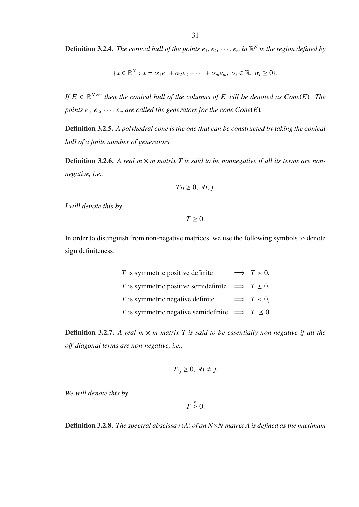**Definition 3.2.4.** The conical hull of the points  $e_1, e_2, \dots, e_m$  in  $\mathbb{R}^N$  is the region defined by

$$
\{x\in\mathbb{R}^N: x=\alpha_1e_1+\alpha_2e_2+\cdots+\alpha_me_m, \ \alpha_i\in\mathbb{R}, \ \alpha_i\geq 0\}.
$$

*If*  $E \in \mathbb{R}^{N \times m}$  then the conical hull of the columns of  $E$  will be denoted as  $Cone(E)$ . The *points*  $e_1, e_2, \dots, e_m$  *are called the generators for the cone*  $Cone(E)$ *.* 

Definition 3.2.5. *A polyhedral cone is the one that can be constructed by taking the conical hull of a finite number of generators.*

**Definition 3.2.6.** A real  $m \times m$  matrix T is said to be nonnegative if all its terms are non*negative, i.e.,*

$$
T_{ij} \geq 0, \ \forall i, j.
$$

*I will denote this by*

 $T \geq 0$ .

In order to distinguish from non-negative matrices, we use the following symbols to denote sign definiteness:

| $T$ is symmetric positive definite                          | $\implies$ T > 0. |
|-------------------------------------------------------------|-------------------|
| T is symmetric positive semidefinite $\implies$ T $\geq$ 0, |                   |
| T is symmetric negative definite $\implies$ T < 0,          |                   |
| T is symmetric negative semidefinite $\implies$ T. $\leq 0$ |                   |

**Definition 3.2.7.** A real  $m \times m$  matrix T is said to be essentially non-negative if all the *o*ff*-diagonal terms are non-negative, i.e.,*

$$
T_{ij} \geq 0, \ \forall i \neq j.
$$

*We will denote this by*

 $T \stackrel{e}{\geq} 0$ .

Definition 3.2.8. *The spectral abscissa r*(*A*) *of an N*×*N matrix A is defined as the maximum*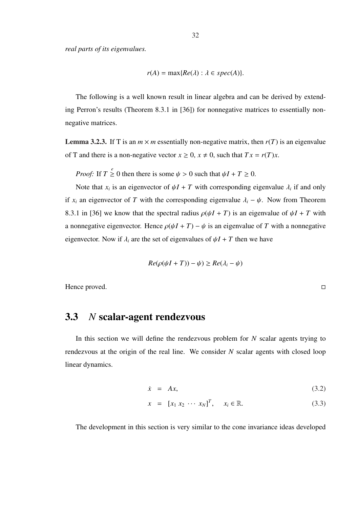*real parts of its eigenvalues.*

$$
r(A) = \max\{Re(\lambda) : \lambda \in spec(A)\}.
$$

The following is a well known result in linear algebra and can be derived by extending Perron's results (Theorem 8.3.1 in [36]) for nonnegative matrices to essentially nonnegative matrices.

**Lemma 3.2.3.** If T is an  $m \times m$  essentially non-negative matrix, then  $r(T)$  is an eigenvalue of T and there is a non-negative vector  $x \ge 0$ ,  $x \ne 0$ , such that  $Tx = r(T)x$ .

*Proof:* If  $T \leq 0$  then there is some  $\psi > 0$  such that  $\psi I + T \geq 0$ .

Note that  $x_i$  is an eigenvector of  $\psi I + T$  with corresponding eigenvalue  $\lambda_i$  if and only if  $x_i$  an eigenvector of *T* with the corresponding eigenvalue  $\lambda_i - \psi$ . Now from Theorem 8.3.1 in [36] we know that the spectral radius  $\rho(\psi I + T)$  is an eigenvalue of  $\psi I + T$  with a nonnegative eigenvector. Hence  $\rho(\psi I + T) - \psi$  is an eigenvalue of *T* with a nonnegative eigenvector. Now if  $\lambda_i$  are the set of eigenvalues of  $\psi I + T$  then we have

$$
Re(\rho(\psi I + T)) - \psi) \ge Re(\lambda_i - \psi)
$$

Hence proved.

#### 3.3 *N* scalar-agent rendezvous

In this section we will define the rendezvous problem for *N* scalar agents trying to rendezvous at the origin of the real line. We consider *N* scalar agents with closed loop linear dynamics.

$$
\dot{x} = Ax,\tag{3.2}
$$

$$
x = [x_1 \ x_2 \ \cdots \ x_N]^T, \quad x_i \in \mathbb{R}.
$$
 (3.3)

The development in this section is very similar to the cone invariance ideas developed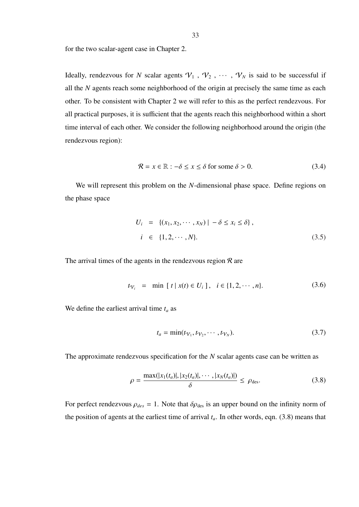33

for the two scalar-agent case in Chapter 2.

Ideally, rendezvous for *N* scalar agents  $V_1$ ,  $V_2$ ,  $\cdots$ ,  $V_N$  is said to be successful if all the *N* agents reach some neighborhood of the origin at precisely the same time as each other. To be consistent with Chapter 2 we will refer to this as the perfect rendezvous. For all practical purposes, it is sufficient that the agents reach this neighborhood within a short time interval of each other. We consider the following neighborhood around the origin (the rendezvous region):

$$
\mathcal{R} = x \in \mathbb{R} : -\delta \le x \le \delta \text{ for some } \delta > 0. \tag{3.4}
$$

We will represent this problem on the *N*-dimensional phase space. Define regions on the phase space

$$
U_i = \{ (x_1, x_2, \cdots, x_N) \mid -\delta \le x_i \le \delta \},
$$
  
\n
$$
i \in \{1, 2, \cdots, N\}.
$$
 (3.5)

The arrival times of the agents in the rendezvous region  $\mathcal R$  are

$$
t_{\mathcal{V}_i} = \min [t \mid x(t) \in U_i], \quad i \in \{1, 2, \cdots, n\}.
$$
 (3.6)

We define the earliest arrival time *t<sup>a</sup>* as

$$
t_a = \min(t_{\mathcal{V}_1}, t_{\mathcal{V}_2}, \cdots, t_{\mathcal{V}_N}).
$$
\n(3.7)

The approximate rendezvous specification for the *N* scalar agents case can be written as

$$
\rho = \frac{\max(|x_1(t_a)|, |x_2(t_a)|, \cdots, |x_N(t_a)|)}{\delta} \le \rho_{\text{des}}.
$$
\n(3.8)

For perfect rendezvous  $\rho_{des} = 1$ . Note that  $\delta \rho_{des}$  is an upper bound on the infinity norm of the position of agents at the earliest time of arrival  $t_a$ . In other words, eqn. (3.8) means that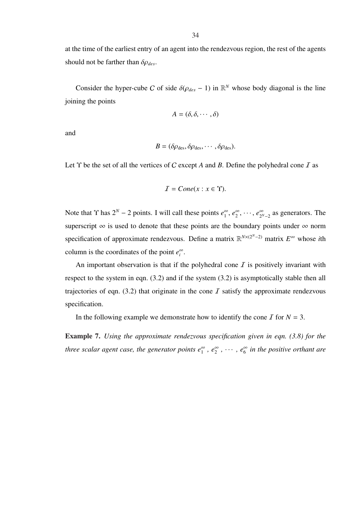at the time of the earliest entry of an agent into the rendezvous region, the rest of the agents should not be farther than δρ*des*.

Consider the hyper-cube C of side  $\delta(\rho_{des} - 1)$  in  $\mathbb{R}^N$  whose body diagonal is the line joining the points

$$
A = (\delta, \delta, \cdots, \delta)
$$

and

$$
B = (\delta \rho_{\text{des}}, \delta \rho_{\text{des}}, \cdots, \delta \rho_{\text{des}}).
$$

Let  $\Upsilon$  be the set of all the vertices of C except A and B. Define the polyhedral cone  $I$  as

$$
I = Cone(x : x \in \Upsilon).
$$

Note that  $\Upsilon$  has  $2^N - 2$  points. I will call these points  $e_1^{\infty}$  $\frac{\infty}{1}$ ,  $e_2^{\infty}$  $e_2^{\infty}, \cdots, e_{2^N}^{\infty}$  $\sum_{2^N-2}^{\infty}$  as generators. The superscript  $\infty$  is used to denote that these points are the boundary points under  $\infty$  norm specification of approximate rendezvous. Define a matrix  $\mathbb{R}^{N\times(2^N-2)}$  matrix  $E^{\infty}$  whose *i*th column is the coordinates of the point  $e_i^{\infty}$ .

An important observation is that if the polyhedral cone  $I$  is positively invariant with respect to the system in eqn. (3.2) and if the system (3.2) is asymptotically stable then all trajectories of eqn. (3.2) that originate in the cone  $I$  satisfy the approximate rendezvous specification.

In the following example we demonstrate how to identify the cone  $\overline{I}$  for  $N = 3$ .

Example 7. *Using the approximate rendezvous specification given in eqn. (3.8) for the three scalar agent case, the generator points e* ∞  $\frac{\infty}{1}$ ,  $e_2^{\infty}$  $e_2^{\infty}$ ,  $\cdots$ ,  $e_6^{\infty}$ 6 *in the positive orthant are*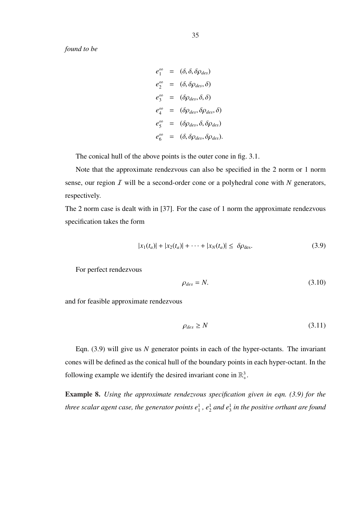*found to be*

$$
e_1^{\infty} = (\delta, \delta, \delta \rho_{des})
$$
  
\n
$$
e_2^{\infty} = (\delta, \delta \rho_{des}, \delta)
$$
  
\n
$$
e_3^{\infty} = (\delta \rho_{des}, \delta, \delta)
$$
  
\n
$$
e_4^{\infty} = (\delta \rho_{des}, \delta \rho_{des}, \delta)
$$
  
\n
$$
e_5^{\infty} = (\delta \rho_{des}, \delta, \delta \rho_{des})
$$
  
\n
$$
e_6^{\infty} = (\delta, \delta \rho_{des}, \delta \rho_{des}).
$$

The conical hull of the above points is the outer cone in fig. 3.1.

Note that the approximate rendezvous can also be specified in the 2 norm or 1 norm sense, our region I will be a second-order cone or a polyhedral cone with *N* generators, respectively.

The 2 norm case is dealt with in [37]. For the case of 1 norm the approximate rendezvous specification takes the form

$$
|x_1(t_a)| + |x_2(t_a)| + \dots + |x_N(t_a)| \le \delta \rho_{\text{des}}.\tag{3.9}
$$

For perfect rendezvous

$$
\rho_{des} = N. \tag{3.10}
$$

and for feasible approximate rendezvous

$$
\rho_{des} \ge N \tag{3.11}
$$

Eqn. (3.9) will give us *N* generator points in each of the hyper-octants. The invariant cones will be defined as the conical hull of the boundary points in each hyper-octant. In the following example we identify the desired invariant cone in  $\mathbb{R}^3_+$ .

Example 8. *Using the approximate rendezvous specification given in eqn. (3.9) for the three scalar agent case, the generator points e* 1  $^{1}_{1}$ ,  $e^{1}_{2}$  $\frac{1}{2}$  *and*  $e_3^1$ 3 *in the positive orthant are found*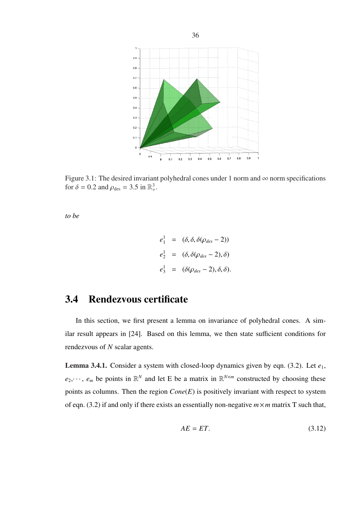

Figure 3.1: The desired invariant polyhedral cones under 1 norm and  $\infty$  norm specifications for  $\delta = 0.2$  and  $\rho_{\text{des}} = 3.5$  in  $\mathbb{R}^3_+$ .

*to be*

$$
e_1^1 = (\delta, \delta, \delta(\rho_{des} - 2))
$$
  
\n
$$
e_2^1 = (\delta, \delta(\rho_{des} - 2), \delta)
$$
  
\n
$$
e_3^1 = (\delta(\rho_{des} - 2), \delta, \delta).
$$

### 3.4 Rendezvous certificate

In this section, we first present a lemma on invariance of polyhedral cones. A similar result appears in [24]. Based on this lemma, we then state sufficient conditions for rendezvous of *N* scalar agents.

**Lemma 3.4.1.** Consider a system with closed-loop dynamics given by eqn. (3.2). Let  $e_1$ ,  $e_2, \dots, e_m$  be points in  $\mathbb{R}^N$  and let E be a matrix in  $\mathbb{R}^{N \times m}$  constructed by choosing these points as columns. Then the region *Cone*(*E*) is positively invariant with respect to system of eqn. (3.2) if and only if there exists an essentially non-negative  $m \times m$  matrix T such that,

$$
AE = ET.
$$
 (3.12)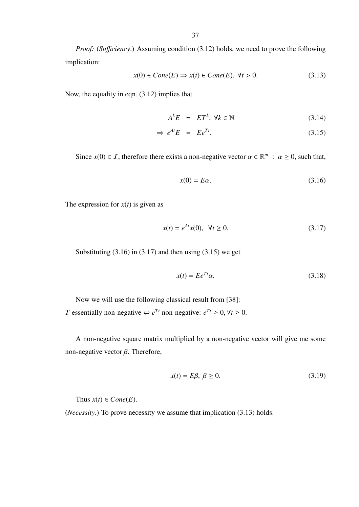*Proof:* (*Sufficiency*.) Assuming condition (3.12) holds, we need to prove the following implication:

$$
x(0) \in Cone(E) \Rightarrow x(t) \in Cone(E), \ \forall t > 0.
$$
\n
$$
(3.13)
$$

Now, the equality in eqn. (3.12) implies that

$$
A^k E = ET^k, \ \forall k \in \mathbb{N} \tag{3.14}
$$

$$
\Rightarrow e^{At}E = E e^{Tt}.
$$
\n(3.15)

Since  $x(0) \in I$ , therefore there exists a non-negative vector  $\alpha \in \mathbb{R}^m$ :  $\alpha \ge 0$ , such that,

$$
x(0) = E\alpha. \tag{3.16}
$$

The expression for  $x(t)$  is given as

$$
x(t) = e^{At}x(0), \ \forall t \ge 0.
$$
 (3.17)

Substituting  $(3.16)$  in  $(3.17)$  and then using  $(3.15)$  we get

$$
x(t) = E e^{Tt} \alpha. \tag{3.18}
$$

Now we will use the following classical result from [38]: *T* essentially non-negative  $\Leftrightarrow e^{Tt}$  non-negative:  $e^{Tt} \ge 0$ ,  $\forall t \ge 0$ .

A non-negative square matrix multiplied by a non-negative vector will give me some non-negative vector  $β$ . Therefore,

$$
x(t) = E\beta, \ \beta \ge 0. \tag{3.19}
$$

Thus  $x(t) \in Cone(E)$ .

(*Necessity*.) To prove necessity we assume that implication (3.13) holds.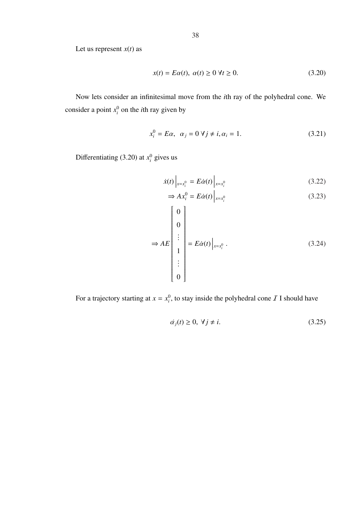Let us represent  $x(t)$  as

$$
x(t) = E\alpha(t), \ \alpha(t) \ge 0 \ \forall t \ge 0. \tag{3.20}
$$

Now lets consider an infinitesimal move from the *i*th ray of the polyhedral cone. We consider a point  $x_i^0$  on the *i*th ray given by

$$
x_i^0 = E\alpha, \quad \alpha_j = 0 \,\forall j \neq i, \alpha_i = 1. \tag{3.21}
$$

Differentiating (3.20) at  $x_i^0$  gives us

$$
\dot{x}(t)\Big|_{x=x_i^0} = E\dot{\alpha}(t)\Big|_{x=x_i^0}
$$
\n(3.22)

$$
\Rightarrow Ax_i^0 = E\dot{\alpha}(t)\Big|_{x=x_i^0} \tag{3.23}
$$

$$
\Rightarrow AE \begin{bmatrix} 0 \\ 0 \\ \vdots \\ 1 \\ \vdots \\ 0 \end{bmatrix} = E\dot{\alpha}(t) \begin{vmatrix} 0 \\ x = x_i^0 \end{vmatrix}.
$$
 (3.24)

For a trajectory starting at  $x = x_i^0$ , to stay inside the polyhedral cone  $\mathcal I$  I should have

$$
\dot{\alpha}_j(t) \ge 0, \ \forall j \ne i. \tag{3.25}
$$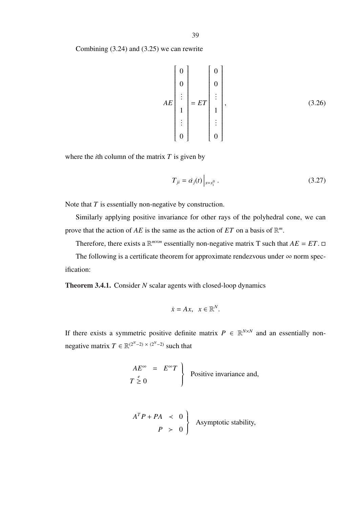$$
AE\begin{bmatrix} 0 \\ 0 \\ \vdots \\ 1 \\ \vdots \\ 0 \end{bmatrix} = ET \begin{bmatrix} 0 \\ 0 \\ \vdots \\ 1 \\ \vdots \\ 0 \end{bmatrix},
$$
 (3.26)

where the *i*th column of the matrix *T* is given by

$$
T_{ji} = \dot{\alpha_j}(t) \Big|_{x = x_i^0} \,. \tag{3.27}
$$

Note that *T* is essentially non-negative by construction.

Similarly applying positive invariance for other rays of the polyhedral cone, we can prove that the action of  $AE$  is the same as the action of  $ET$  on a basis of  $\mathbb{R}^m$ .

Therefore, there exists a  $\mathbb{R}^{m \times m}$  essentially non-negative matrix T such that  $AE = ET$ .

The following is a certificate theorem for approximate rendezvous under  $\infty$  norm specification:

Theorem 3.4.1. Consider *N* scalar agents with closed-loop dynamics

$$
\dot{x} = Ax, \quad x \in \mathbb{R}^N.
$$

If there exists a symmetric positive definite matrix  $P \in \mathbb{R}^{N \times N}$  and an essentially nonnegative matrix  $T \in \mathbb{R}^{(2^N-2) \times (2^N-2)}$  such that

$$
\begin{array}{rcl}\nAE^{\infty} & = & E^{\infty}T \\
T \geq 0\n\end{array}\n\bigg\} \quad \text{Positive invariance and,}
$$

$$
AT P + P A < 0
$$
  
\n
$$
P > 0
$$
 Asymptotic stability,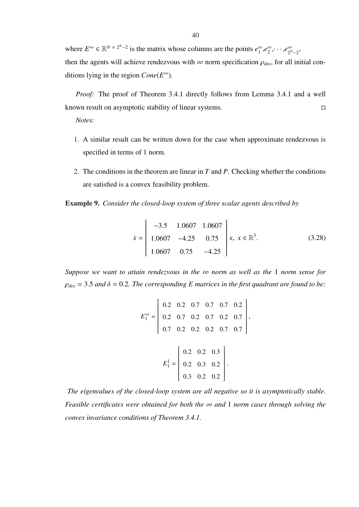where  $E^{\infty} \in \mathbb{R}^{N \times 2^{N}-2}$  is the matrix whose columns are the points  $e_1^{\infty}$  $\int_{1}^{\infty}$ , $e_2^{\infty}$  $e_2^{\infty},\cdots,e_{2^N}^{\infty}$ ∞<br>2<sup>*N*</sup>−2</sub> then the agents will achieve rendezvous with  $\infty$  norm specification  $\rho_{des}$ , for all initial conditions lying in the region  $Cone(E^{\infty})$ .

*Proof:* The proof of Theorem 3.4.1 directly follows from Lemma 3.4.1 and a well known result on asymptotic stability of linear systems.

*Notes:*

- 1. A similar result can be written down for the case when approximate rendezvous is specified in terms of 1 norm.
- 2. The conditions in the theorem are linear in *T* and *P*. Checking whether the conditions are satisfied is a convex feasibility problem.

Example 9. *Consider the closed-loop system of three scalar agents described by*

$$
\dot{x} = \begin{bmatrix} -3.5 & 1.0607 & 1.0607 \\ 1.0607 & -4.25 & 0.75 \\ 1.0607 & 0.75 & -4.25 \end{bmatrix} x, \ x \in \mathbb{R}^{3}.
$$
 (3.28)

*Suppose we want to attain rendezvous in the*  $\infty$  *norm as well as the* 1 *norm sense for*  $\rho_{des} = 3.5$  and  $\delta = 0.2$ *. The corresponding E* matrices in the first quadrant are found to be:

$$
E_1^{\infty} = \begin{bmatrix} 0.2 & 0.2 & 0.7 & 0.7 & 0.7 & 0.2 \\ 0.2 & 0.7 & 0.2 & 0.7 & 0.2 & 0.7 \\ 0.7 & 0.2 & 0.2 & 0.2 & 0.7 & 0.7 \end{bmatrix},
$$

$$
E_1^1 = \begin{bmatrix} 0.2 & 0.2 & 0.3 \\ 0.2 & 0.3 & 0.2 \\ 0.3 & 0.2 & 0.2 \end{bmatrix}.
$$

*The eigenvalues of the closed-loop system are all negative so it is asymptotically stable. Feasible certificates were obtained for both the* ∞ *and* 1 *norm cases through solving the convex invariance conditions of Theorem 3.4.1.*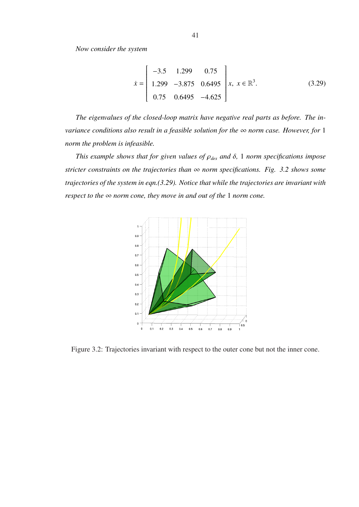*Now consider the system*

$$
\dot{x} = \begin{bmatrix} -3.5 & 1.299 & 0.75 \\ 1.299 & -3.875 & 0.6495 \\ 0.75 & 0.6495 & -4.625 \end{bmatrix} x, x \in \mathbb{R}^{3}.
$$
 (3.29)

*The eigenvalues of the closed-loop matrix have negative real parts as before. The invariance conditions also result in a feasible solution for the* ∞ *norm case. However, for* 1 *norm the problem is infeasible.*

*This example shows that for given values of* ρ*des and* δ*,* 1 *norm specifications impose stricter constraints on the trajectories than* ∞ *norm specifications. Fig. 3.2 shows some trajectories of the system in eqn.(3.29). Notice that while the trajectories are invariant with respect to the* ∞ *norm cone, they move in and out of the* 1 *norm cone.*



Figure 3.2: Trajectories invariant with respect to the outer cone but not the inner cone.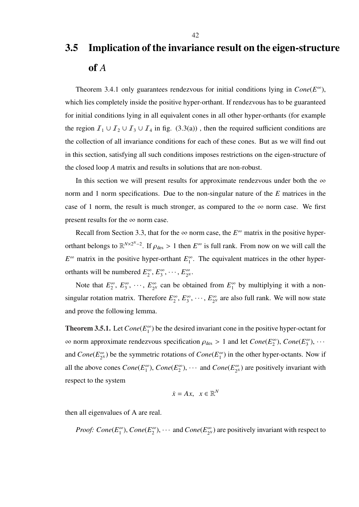## 3.5 Implication of the invariance result on the eigen-structure of *A*

Theorem 3.4.1 only guarantees rendezvous for initial conditions lying in  $Cone(E^{\infty})$ , which lies completely inside the positive hyper-orthant. If rendezvous has to be guaranteed for initial conditions lying in all equivalent cones in all other hyper-orthants (for example the region  $I_1 \cup I_2 \cup I_3 \cup I_4$  in fig. (3.3(a)), then the required sufficient conditions are the collection of all invariance conditions for each of these cones. But as we will find out in this section, satisfying all such conditions imposes restrictions on the eigen-structure of the closed loop *A* matrix and results in solutions that are non-robust.

In this section we will present results for approximate rendezvous under both the  $\infty$ norm and 1 norm specifications. Due to the non-singular nature of the *E* matrices in the case of 1 norm, the result is much stronger, as compared to the  $\infty$  norm case. We first present results for the  $\infty$  norm case.

Recall from Section 3.3, that for the  $\infty$  norm case, the  $E^{\infty}$  matrix in the positive hyperorthant belongs to  $\mathbb{R}^{N\times 2^N-2}$ . If  $\rho_{des} > 1$  then  $E^\infty$  is full rank. From now on we will call the  $E^{\infty}$  matrix in the positive hyper-orthant  $E_1^{\infty}$  $\int_{1}^{\infty}$ . The equivalent matrices in the other hyperorthants will be numbered *E* ∞  $2^{\infty}$ ,  $E_3^{\infty}$  $\frac{\infty}{3}, \cdots, E_{2^N}^{\infty}$ ∞<br>2<sup>N</sup>·

Note that  $E_2^{\infty}$  $\frac{2}{2}$ <sup>o</sup>,  $E_3^{\infty}$  $\frac{1}{3}^{\infty}$ ,  $\cdots$ ,  $E_{2^N}^{\infty}$  $\sum_{2^N}^{\infty}$  can be obtained from  $E_1^{\infty}$  $\int_{1}^{\infty}$  by multiplying it with a nonsingular rotation matrix. Therefore *E* ∞  $\frac{\infty}{2}$ ,  $E_3^{\infty}$  $\frac{\infty}{3}, \cdots, E_{2^N}^{\infty}$  $\frac{\infty}{2^N}$  are also full rank. We will now state and prove the following lemma.

**Theorem 3.5.1.** Let  $Cone(E_1^{\infty})$  $\binom{10}{1}$  be the desired invariant cone in the positive hyper-octant for  $\infty$  norm approximate rendezvous specification  $\rho_{\text{des}} > 1$  and let  $Cone(E_2^{\infty})$  $_{2}^{\infty}$ ), *Cone*( $E_{3}^{\infty}$  $\binom{8}{3}, \cdots$ and *Cone*(*E* ∞  $\binom{\infty}{2^N}$ ) be the symmetric rotations of *Cone*( $E_1^{\infty}$ )  $\binom{10}{1}$  in the other hyper-octants. Now if all the above cones  $Cone(E_1^{\infty})$  $\binom{1}{1}$ , *Cone*( $E_2^{\infty}$ )  $_{2}^{\infty}$ ),  $\cdots$  and *Cone*( $E_{2^N}^{\infty}$  $\sum_{2^N}^{\infty}$ ) are positively invariant with respect to the system

$$
\dot{x} = Ax, \quad x \in \mathbb{R}^N
$$

then all eigenvalues of A are real.

*Proof:* 
$$
Cone(E_1^{\infty})
$$
,  $Cone(E_2^{\infty})$ ,  $\cdots$  and  $Cone(E_{2^N}^{\infty})$  are positively invariant with respect to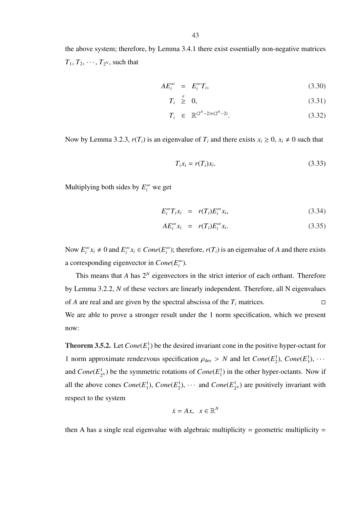the above system; therefore, by Lemma 3.4.1 there exist essentially non-negative matrices  $T_1, T_2, \cdots, T_{2^N}$ , such that

$$
AE_i^{\infty} = E_i^{\infty} T_i,
$$
\n(3.30)

$$
T_i \stackrel{e}{\geq} 0,\tag{3.31}
$$

$$
T_i \in \mathbb{R}^{(2^N - 2) \times (2^N - 2)}.
$$
\n(3.32)

Now by Lemma 3.2.3,  $r(T_i)$  is an eigenvalue of  $T_i$  and there exists  $x_i \geq 0$ ,  $x_i \neq 0$  such that

$$
T_i x_i = r(T_i) x_i. \tag{3.33}
$$

Multiplying both sides by  $E_i^{\infty}$  we get

$$
E_i^{\infty} T_i x_i = r(T_i) E_i^{\infty} x_i,
$$
\n(3.34)

$$
AE_i^{\infty} x_i = r(T_i)E_i^{\infty} x_i.
$$
 (3.35)

Now  $E_i^{\infty} x_i \neq 0$  and  $E_i^{\infty} x_i \in Cone(E_i^{\infty})$ ; therefore,  $r(T_i)$  is an eigenvalue of *A* and there exists a corresponding eigenvector in  $Cone(E_i^{\infty})$ .

This means that  $A$  has  $2^N$  eigenvectors in the strict interior of each orthant. Therefore by Lemma 3.2.2, *N* of these vectors are linearly independent. Therefore, all N eigenvalues of *A* are real and are given by the spectral abscissa of the  $T_i$  matrices. We are able to prove a stronger result under the 1 norm specification, which we present now:

Theorem 3.5.2. Let *Cone*(*E* 1  $_1^1$ ) be the desired invariant cone in the positive hyper-octant for 1 norm approximate rendezvous specification  $\rho_{des} > N$  and let  $Cone(E_2^1)$  $_{2}^{1}$ ), *Cone*( $E_3^1$  $\frac{1}{3}$ ),  $\cdots$ and  $Cone(E_2^1)$  $\frac{1}{2^N}$ ) be the symmetric rotations of *Cone*( $E_1^1$  $_1^1$ ) in the other hyper-octants. Now if all the above cones  $Cone(E_1^1)$  $^{1}_{1}$ ), *Cone*( $E_2^1$  $\frac{1}{2}$ ),  $\cdots$  and *Cone*( $E_2^1$  $\frac{1}{2^N}$ ) are positively invariant with respect to the system

$$
\dot{x} = Ax, \quad x \in \mathbb{R}^N
$$

then A has a single real eigenvalue with algebraic multiplicity = geometric multiplicity =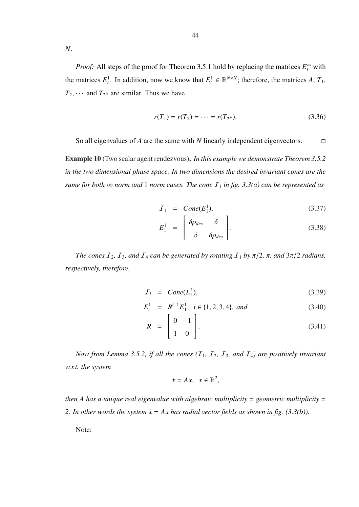*N*.

*Proof:* All steps of the proof for Theorem 3.5.1 hold by replacing the matrices  $E_i^{\infty}$  with the matrices  $E_i^1$ . In addition, now we know that  $E_i^1 \in \mathbb{R}^{N \times N}$ ; therefore, the matrices *A*,  $T_1$ ,  $T_2$ ,  $\cdots$  and  $T_{2^N}$  are similar. Thus we have

$$
r(T_1) = r(T_2) = \dots = r(T_{2^N}).
$$
\n(3.36)

So all eigenvalues of *A* are the same with *N* linearly independent eigenvectors.

Example 10 (Two scalar agent rendezvous). *In this example we demonstrate Theorem 3.5.2 in the two dimensional phase space. In two dimensions the desired invariant cones are the same for both*  $\infty$  *norm and* 1 *norm cases. The cone*  $I_1$  *in fig.* 3.3(*a*) *can be represented as* 

$$
I_1 = Cone(E_1^1), \t\t(3.37)
$$

$$
E_1^1 = \begin{bmatrix} \delta \rho_{des} & \delta \\ \delta & \delta \rho_{des} \end{bmatrix} . \tag{3.38}
$$

*The cones*  $I_2$ ,  $I_3$ , and  $I_4$  *can be generated by rotating*  $I_1$  *by*  $\pi/2$ ,  $\pi$ , and  $3\pi/2$  *radians*, *respectively, therefore,*

$$
\mathcal{I}_i = Cone(E_i^1), \tag{3.39}
$$

$$
E_i^1 = R^{i-1} E_1^1, \ i \in \{1, 2, 3, 4\}, \ and \tag{3.40}
$$

$$
R = \begin{bmatrix} 0 & -1 \\ 1 & 0 \end{bmatrix}.
$$
 (3.41)

*Now from Lemma 3.5.2, if all the cones*  $(I_1, I_2, I_3,$  *and*  $I_4)$  are positively invariant *w.r.t. the system*

$$
\dot{x} = Ax, \quad x \in \mathbb{R}^2,
$$

*then A has a unique real eigenvalue with algebraic multiplicity* = *geometric multiplicity* = *2. In other words the system*  $\dot{x} = Ax$  *has radial vector fields as shown in fig.* (3.3(b)).

Note: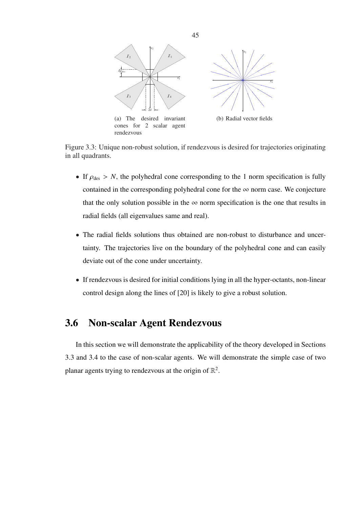

Figure 3.3: Unique non-robust solution, if rendezvous is desired for trajectories originating in all quadrants.

- If  $\rho_{des} > N$ , the polyhedral cone corresponding to the 1 norm specification is fully contained in the corresponding polyhedral cone for the  $\infty$  norm case. We conjecture that the only solution possible in the  $\infty$  norm specification is the one that results in radial fields (all eigenvalues same and real).
- The radial fields solutions thus obtained are non-robust to disturbance and uncertainty. The trajectories live on the boundary of the polyhedral cone and can easily deviate out of the cone under uncertainty.
- If rendezvous is desired for initial conditions lying in all the hyper-octants, non-linear control design along the lines of [20] is likely to give a robust solution.

### 3.6 Non-scalar Agent Rendezvous

In this section we will demonstrate the applicability of the theory developed in Sections 3.3 and 3.4 to the case of non-scalar agents. We will demonstrate the simple case of two planar agents trying to rendezvous at the origin of  $\mathbb{R}^2$ .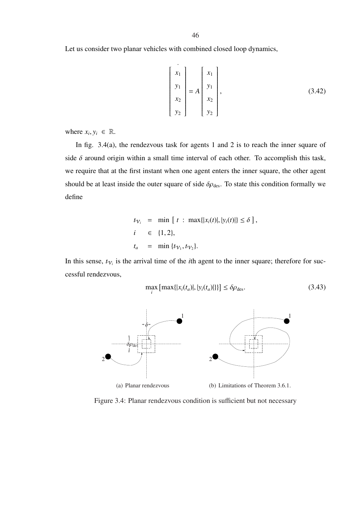Let us consider two planar vehicles with combined closed loop dynamics,

$$
\begin{bmatrix} x_1 \\ y_1 \\ x_2 \\ y_2 \end{bmatrix} = A \begin{bmatrix} x_1 \\ y_1 \\ x_2 \\ y_2 \end{bmatrix},
$$
 (3.42)

where  $x_i, y_i \in \mathbb{R}$ .

In fig. 3.4(a), the rendezvous task for agents 1 and 2 is to reach the inner square of side  $\delta$  around origin within a small time interval of each other. To accomplish this task, we require that at the first instant when one agent enters the inner square, the other agent should be at least inside the outer square of side  $\delta \rho_{\text{des}}$ . To state this condition formally we define

$$
t_{V_i} = \min [t : \max\{|x_i(t)|, |y_i(t)|\} \le \delta],
$$
  
\n
$$
i \in \{1, 2\},
$$
  
\n
$$
t_a = \min \{t_{V_1}, t_{V_2}\}.
$$

In this sense,  $t_{V_i}$  is the arrival time of the *i*th agent to the inner square; therefore for successful rendezvous,

$$
\max_{i} \left[ \max\{|x_i(t_a)|, |y_i(t_a)|\} \right] \le \delta \rho_{\text{des}}.
$$
 (3.43)



Figure 3.4: Planar rendezvous condition is sufficient but not necessary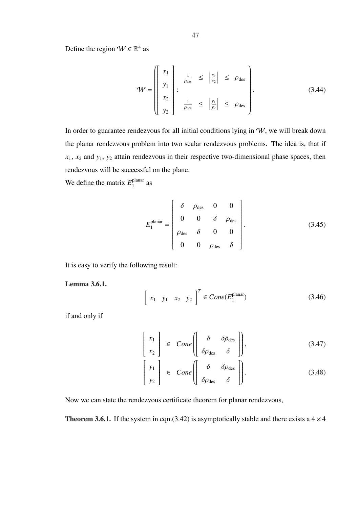Define the region  $W \in \mathbb{R}^4$  as

$$
\mathbf{W} = \begin{pmatrix} x_1 \\ y_1 \\ x_2 \\ y_2 \end{pmatrix} : \frac{1}{\rho_{\text{des}}} \le \left| \frac{x_1}{x_2} \right| \le \rho_{\text{des}} \quad (3.44)
$$

In order to guarantee rendezvous for all initial conditions lying in  $W$ , we will break down the planar rendezvous problem into two scalar rendezvous problems. The idea is, that if  $x_1$ ,  $x_2$  and  $y_1$ ,  $y_2$  attain rendezvous in their respective two-dimensional phase spaces, then rendezvous will be successful on the plane.

We define the matrix  $E_1^{\text{planar}}$  $_1^{\text{planar}}$  as

$$
E_1^{\text{planar}} = \begin{bmatrix} \delta & \rho_{\text{des}} & 0 & 0 \\ 0 & 0 & \delta & \rho_{\text{des}} \\ \rho_{\text{des}} & \delta & 0 & 0 \\ 0 & 0 & \rho_{\text{des}} & \delta \end{bmatrix} .
$$
 (3.45)

It is easy to verify the following result:

Lemma 3.6.1.

$$
\left[ x_1 \quad y_1 \quad x_2 \quad y_2 \right]^T \in Cone(E_1^{\text{planar}}) \tag{3.46}
$$

if and only if

$$
\begin{bmatrix} x_1 \\ x_2 \end{bmatrix} \in Cone \left( \begin{bmatrix} \delta & \delta \rho_{\text{des}} \\ \delta \rho_{\text{des}} & \delta \end{bmatrix} \right), \tag{3.47}
$$

$$
\begin{bmatrix} y_1 \\ y_2 \end{bmatrix} \in Cone \left( \begin{bmatrix} \delta & \delta \rho_{\text{des}} \\ \delta \rho_{\text{des}} & \delta \end{bmatrix} \right).
$$
 (3.48)

Now we can state the rendezvous certificate theorem for planar rendezvous,

**Theorem 3.6.1.** If the system in eqn.(3.42) is asymptotically stable and there exists a  $4 \times 4$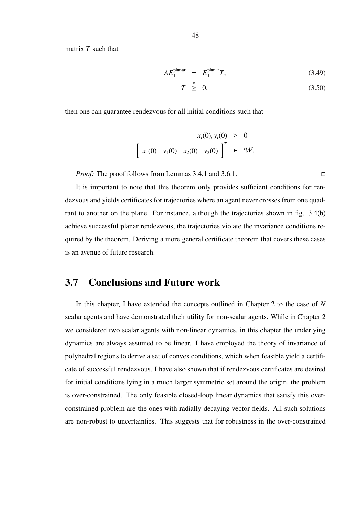48

matrix *T* such that

$$
AE_1^{\text{planar}} = E_1^{\text{planar}} T,\tag{3.49}
$$

$$
T \stackrel{e}{\geq} 0, \tag{3.50}
$$

then one can guarantee rendezvous for all initial conditions such that

$$
x_i(0), y_i(0) \ge 0
$$
  
\n
$$
\left[ x_1(0) \quad y_1(0) \quad x_2(0) \quad y_2(0) \right]^T \in W.
$$

*Proof:* The proof follows from Lemmas 3.4.1 and 3.6.1. □

It is important to note that this theorem only provides sufficient conditions for rendezvous and yields certificates for trajectories where an agent never crosses from one quadrant to another on the plane. For instance, although the trajectories shown in fig. 3.4(b) achieve successful planar rendezvous, the trajectories violate the invariance conditions required by the theorem. Deriving a more general certificate theorem that covers these cases is an avenue of future research.

#### 3.7 Conclusions and Future work

In this chapter, I have extended the concepts outlined in Chapter 2 to the case of *N* scalar agents and have demonstrated their utility for non-scalar agents. While in Chapter 2 we considered two scalar agents with non-linear dynamics, in this chapter the underlying dynamics are always assumed to be linear. I have employed the theory of invariance of polyhedral regions to derive a set of convex conditions, which when feasible yield a certificate of successful rendezvous. I have also shown that if rendezvous certificates are desired for initial conditions lying in a much larger symmetric set around the origin, the problem is over-constrained. The only feasible closed-loop linear dynamics that satisfy this overconstrained problem are the ones with radially decaying vector fields. All such solutions are non-robust to uncertainties. This suggests that for robustness in the over-constrained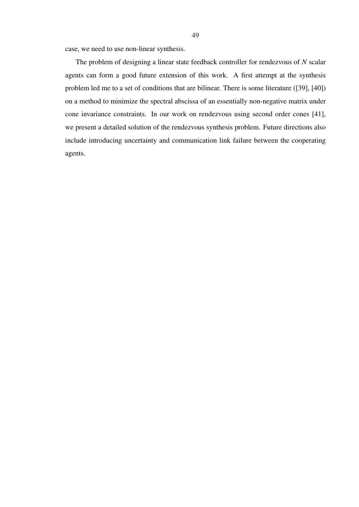case, we need to use non-linear synthesis.

The problem of designing a linear state feedback controller for rendezvous of *N* scalar agents can form a good future extension of this work. A first attempt at the synthesis problem led me to a set of conditions that are bilinear. There is some literature ([39], [40]) on a method to minimize the spectral abscissa of an essentially non-negative matrix under cone invariance constraints. In our work on rendezvous using second order cones [41], we present a detailed solution of the rendezvous synthesis problem. Future directions also include introducing uncertainty and communication link failure between the cooperating agents.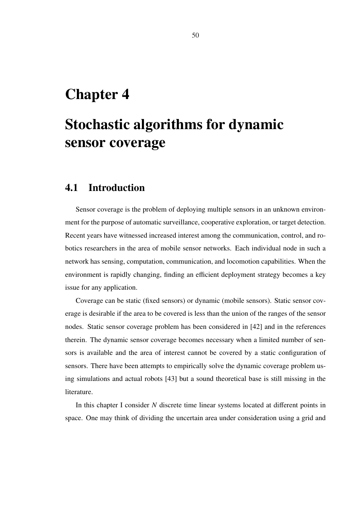## Chapter 4

# Stochastic algorithms for dynamic sensor coverage

#### 4.1 Introduction

Sensor coverage is the problem of deploying multiple sensors in an unknown environment for the purpose of automatic surveillance, cooperative exploration, or target detection. Recent years have witnessed increased interest among the communication, control, and robotics researchers in the area of mobile sensor networks. Each individual node in such a network has sensing, computation, communication, and locomotion capabilities. When the environment is rapidly changing, finding an efficient deployment strategy becomes a key issue for any application.

Coverage can be static (fixed sensors) or dynamic (mobile sensors). Static sensor coverage is desirable if the area to be covered is less than the union of the ranges of the sensor nodes. Static sensor coverage problem has been considered in [42] and in the references therein. The dynamic sensor coverage becomes necessary when a limited number of sensors is available and the area of interest cannot be covered by a static configuration of sensors. There have been attempts to empirically solve the dynamic coverage problem using simulations and actual robots [43] but a sound theoretical base is still missing in the literature.

In this chapter I consider *N* discrete time linear systems located at different points in space. One may think of dividing the uncertain area under consideration using a grid and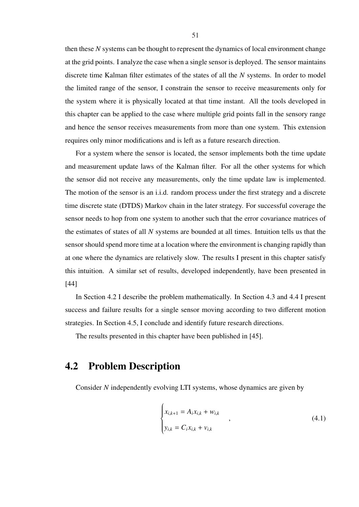then these *N* systems can be thought to represent the dynamics of local environment change at the grid points. I analyze the case when a single sensor is deployed. The sensor maintains discrete time Kalman filter estimates of the states of all the *N* systems. In order to model the limited range of the sensor, I constrain the sensor to receive measurements only for the system where it is physically located at that time instant. All the tools developed in this chapter can be applied to the case where multiple grid points fall in the sensory range and hence the sensor receives measurements from more than one system. This extension requires only minor modifications and is left as a future research direction.

For a system where the sensor is located, the sensor implements both the time update and measurement update laws of the Kalman filter. For all the other systems for which the sensor did not receive any measurements, only the time update law is implemented. The motion of the sensor is an i.i.d. random process under the first strategy and a discrete time discrete state (DTDS) Markov chain in the later strategy. For successful coverage the sensor needs to hop from one system to another such that the error covariance matrices of the estimates of states of all *N* systems are bounded at all times. Intuition tells us that the sensor should spend more time at a location where the environment is changing rapidly than at one where the dynamics are relatively slow. The results I present in this chapter satisfy this intuition. A similar set of results, developed independently, have been presented in [44]

In Section 4.2 I describe the problem mathematically. In Section 4.3 and 4.4 I present success and failure results for a single sensor moving according to two different motion strategies. In Section 4.5, I conclude and identify future research directions.

The results presented in this chapter have been published in [45].

 $\overline{1}$ 

#### 4.2 Problem Description

Consider *N* independently evolving LTI systems, whose dynamics are given by

$$
\begin{cases}\n x_{i,k+1} = A_i x_{i,k} + w_{i,k} \\
 y_{i,k} = C_i x_{i,k} + v_{i,k}\n\end{cases}
$$
\n(4.1)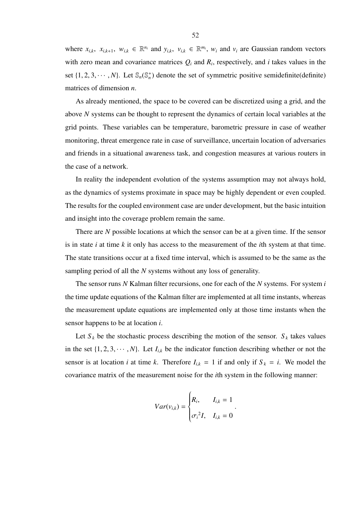where  $x_{i,k}$ ,  $x_{i,k+1}$ ,  $w_{i,k} \in \mathbb{R}^{n_i}$  and  $y_{i,k}$ ,  $v_{i,k} \in \mathbb{R}^{m_i}$ ,  $w_i$  and  $v_i$  are Gaussian random vectors with zero mean and covariance matrices  $Q_i$  and  $R_i$ , respectively, and *i* takes values in the set  $\{1, 2, 3, \dots, N\}$ . Let  $\mathbb{S}_n(\mathbb{S}_n^+)$  denote the set of symmetric positive semidefinite(definite) matrices of dimension *n*.

As already mentioned, the space to be covered can be discretized using a grid, and the above *N* systems can be thought to represent the dynamics of certain local variables at the grid points. These variables can be temperature, barometric pressure in case of weather monitoring, threat emergence rate in case of surveillance, uncertain location of adversaries and friends in a situational awareness task, and congestion measures at various routers in the case of a network.

In reality the independent evolution of the systems assumption may not always hold, as the dynamics of systems proximate in space may be highly dependent or even coupled. The results for the coupled environment case are under development, but the basic intuition and insight into the coverage problem remain the same.

There are *N* possible locations at which the sensor can be at a given time. If the sensor is in state *i* at time *k* it only has access to the measurement of the *i*th system at that time. The state transitions occur at a fixed time interval, which is assumed to be the same as the sampling period of all the *N* systems without any loss of generality.

The sensor runs *N* Kalman filter recursions, one for each of the *N* systems. For system *i* the time update equations of the Kalman filter are implemented at all time instants, whereas the measurement update equations are implemented only at those time instants when the sensor happens to be at location *i*.

Let  $S_k$  be the stochastic process describing the motion of the sensor.  $S_k$  takes values in the set  $\{1, 2, 3, \dots, N\}$ . Let  $I_{i,k}$  be the indicator function describing whether or not the sensor is at location *i* at time *k*. Therefore  $I_{i,k} = 1$  if and only if  $S_k = i$ . We model the covariance matrix of the measurement noise for the *i*th system in the following manner:

$$
Var(v_{i,k}) = \begin{cases} R_i, & I_{i,k} = 1 \\ \sigma_i^2 I, & I_{i,k} = 0 \end{cases}.
$$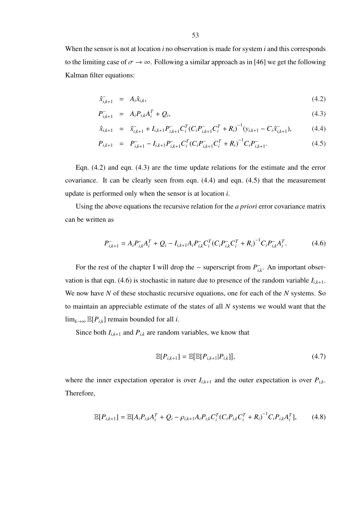When the sensor is not at location *i* no observation is made for system *i* and this corresponds to the limiting case of  $\sigma \to \infty$ . Following a similar approach as in [46] we get the following Kalman filter equations:

$$
\hat{x}_{i,k+1}^- = A_i \hat{x}_{i,k},\tag{4.2}
$$

$$
P_{i,k+1}^{-} = A_i P_{i,k} A_i^{T} + Q_i, \qquad (4.3)
$$

$$
\hat{x}_{i,k+1} = \hat{x}_{i,k+1}^- + I_{i,k+1} P_{i,k+1}^- C_i^T (C_i P_{i,k+1}^- C_i^T + R_i)^{-1} (y_{i,k+1} - C_i \hat{x}_{i,k+1}^-),
$$
\n(4.4)

$$
P_{i,k+1} = P_{i,k+1}^- - I_{i,k+1} P_{i,k+1}^- C_i^T (C_i P_{i,k+1}^- C_i^T + R_i)^{-1} C_i P_{i,k+1}^-.
$$
\n(4.5)

Eqn. (4.2) and eqn. (4.3) are the time update relations for the estimate and the error covariance. It can be clearly seen from eqn. (4.4) and eqn. (4.5) that the measurement update is performed only when the sensor is at location *i*.

Using the above equations the recursive relation for the *a priori* error covariance matrix can be written as

$$
P_{i,k+1}^{-} = A_i P_{i,k}^{-} A_i^{T} + Q_i - I_{i,k+1} A_i P_{i,k}^{-} C_i^{T} (C_i P_{i,k}^{-} C_i^{T} + R_i)^{-1} C_i P_{i,k}^{-} A_i^{T}.
$$
 (4.6)

For the rest of the chapter I will drop the – superscript from  $P_{i}^$ *i*,*k* . An important observation is that eqn. (4.6) is stochastic in nature due to presence of the random variable  $I_{i,k+1}$ . We now have *N* of these stochastic recursive equations, one for each of the *N* systems. So to maintain an appreciable estimate of the states of all *N* systems we would want that the lim<sub>*k*→∞</sub>  $\mathbb{E}[P_{i,k}]$  remain bounded for all *i*.

Since both  $I_{i,k+1}$  and  $P_{i,k}$  are random variables, we know that

$$
\mathbb{E}[P_{i,k+1}] = \mathbb{E}[\mathbb{E}[P_{i,k+1}|P_{i,k}]],
$$
\n(4.7)

where the inner expectation operator is over  $I_{i,k+1}$  and the outer expectation is over  $P_{i,k}$ . Therefore,

$$
\mathbb{E}[P_{i,k+1}] = \mathbb{E}[A_i P_{i,k} A_i^T + Q_i - \rho_{i,k+1} A_i P_{i,k} C_i^T (C_i P_{i,k} C_i^T + R_i)^{-1} C_i P_{i,k} A_i^T], \tag{4.8}
$$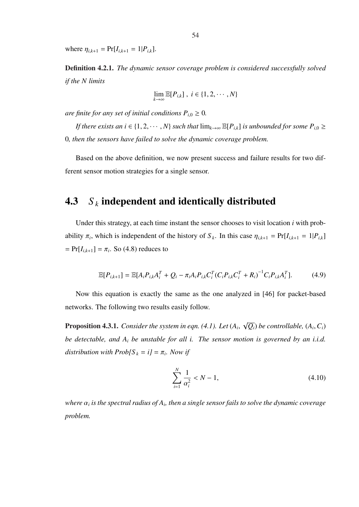where  $\eta_{i,k+1} = \Pr[I_{i,k+1} = 1 | P_{i,k}].$ 

Definition 4.2.1. *The dynamic sensor coverage problem is considered successfully solved if the N limits*

$$
\lim_{k \to \infty} \mathbb{E}[P_{i,k}], \ i \in \{1, 2, \cdots, N\}
$$

*are finite for any set of initial conditions*  $P_{i,0} \geq 0$ *.* 

*If there exists an*  $i \in \{1, 2, \dots, N\}$  *such that*  $\lim_{k\to\infty} \mathbb{E}[P_{i,k}]$  *is unbounded for some*  $P_{i,0} \geq$ 0*, then the sensors have failed to solve the dynamic coverage problem.*

Based on the above definition, we now present success and failure results for two different sensor motion strategies for a single sensor.

#### 4.3 *S <sup>k</sup>* independent and identically distributed

Under this strategy, at each time instant the sensor chooses to visit location *i* with probability  $\pi_i$ , which is independent of the history of  $S_k$ . In this case  $\eta_{i,k+1} = \Pr[I_{i,k+1} = 1 | P_{i,k}]$  $= Pr[I_{i,k+1}] = \pi_i$ . So (4.8) reduces to

$$
\mathbb{E}[P_{i,k+1}] = \mathbb{E}[A_i P_{i,k} A_i^T + Q_i - \pi_i A_i P_{i,k} C_i^T (C_i P_{i,k} C_i^T + R_i)^{-1} C_i P_{i,k} A_i^T].
$$
 (4.9)

Now this equation is exactly the same as the one analyzed in [46] for packet-based networks. The following two results easily follow.

Proposition 4.3.1. *Consider the system in eqn. (4.1). Let* (*A<sup>i</sup>* , √  $\overline{Q_i}$ ) be controllable,  $(A_i, C_i)$ *be detectable, and A<sup>i</sup> be unstable for all i. The sensor motion is governed by an i.i.d.*  $distriolution$  with  $Prob[S_k = i] = \pi_i$ . Now if

$$
\sum_{i=1}^{N} \frac{1}{\alpha_i^2} < N - 1,\tag{4.10}
$$

 $\omega$  *where*  $\alpha_i$  is the spectral radius of  $A_i$ , then a single sensor fails to solve the dynamic coverage *problem.*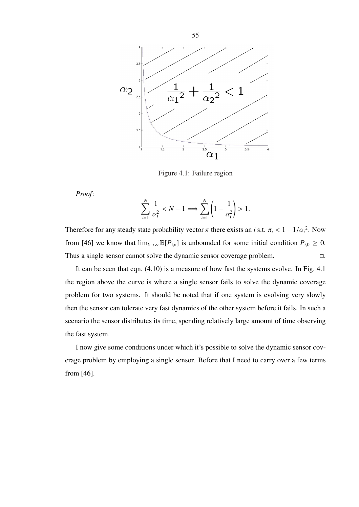

Figure 4.1: Failure region

*Proof* :

$$
\sum_{i=1}^N \frac{1}{\alpha_i^2} < N - 1 \Longrightarrow \sum_{i=1}^N \left(1 - \frac{1}{\alpha_i^2}\right) > 1.
$$

Therefore for any steady state probability vector  $\pi$  there exists an *i* s.t.  $\pi_i < 1 - 1/\alpha_i^2$ . Now from [46] we know that  $\lim_{k\to\infty} \mathbb{E}[P_{i,k}]$  is unbounded for some initial condition  $P_{i,0} \geq 0$ . Thus a single sensor cannot solve the dynamic sensor coverage problem.  $\Box$ .

It can be seen that eqn. (4.10) is a measure of how fast the systems evolve. In Fig. 4.1 the region above the curve is where a single sensor fails to solve the dynamic coverage problem for two systems. It should be noted that if one system is evolving very slowly then the sensor can tolerate very fast dynamics of the other system before it fails. In such a scenario the sensor distributes its time, spending relatively large amount of time observing the fast system.

I now give some conditions under which it's possible to solve the dynamic sensor coverage problem by employing a single sensor. Before that I need to carry over a few terms from [46].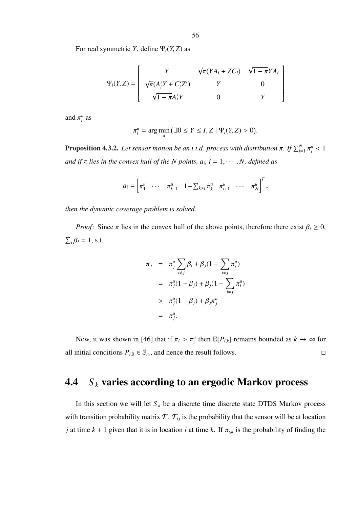$$
\Psi_i(Y, Z) = \begin{bmatrix} Y & \sqrt{\pi}(YA_i + ZC_i) & \sqrt{1 - \pi}YA_i \\ \sqrt{\pi}(A'_iY + C'_iZ') & Y & 0 \\ \sqrt{1 - \pi}A'_iY & 0 & Y \end{bmatrix}
$$

and  $\pi_i^u$  as

$$
\pi_i^u = \arg\min_{\pi} (\exists 0 \le Y \le I, Z \mid \Psi_i(Y, Z) > 0).
$$

**Proposition 4.3.2.** Let sensor motion be an i.i.d. process with distribution  $\pi$ . If  $\sum_{i=1}^{N} \pi_i^u < 1$ *and if* π *lies in the convex hull of the N points, a<sup>i</sup> , i* = 1, · · · , *N, defined as*

$$
a_i = \begin{bmatrix} \pi_1^u & \cdots & \pi_{i-1}^u & 1 - \sum_{k \neq i} \pi_k^u & \pi_{i+1}^u & \cdots & \pi_N^u \end{bmatrix}^T,
$$

*then the dynamic coverage problem is solved.*

*Proof*: Since  $\pi$  lies in the convex hull of the above points, therefore there exist  $\beta_i \geq 0$ ,  $\overline{ }$  $i\beta_i = 1$ , s.t.

$$
\pi_j = \pi_j^u \sum_{i \neq j} \beta_i + \beta_j (1 - \sum_{i \neq j} \pi_i^u) \n= \pi_j^u (1 - \beta_j) + \beta_j (1 - \sum_{i \neq j} \pi_i^u) \n> \pi_j^u (1 - \beta_j) + \beta_j \pi_j^u \n= \pi_j^u.
$$

Now, it was shown in [46] that if  $\pi_i > \pi_i^u$  then  $\mathbb{E}[P_{i,k}]$  remains bounded as  $k \to \infty$  for all initial conditions  $P_{i,0} \in \mathbb{S}_{n_i}$ , and hence the result follows.

## 4.4 *S <sup>k</sup>* varies according to an ergodic Markov process

In this section we will let  $S_k$  be a discrete time discrete state DTDS Markov process with transition probability matrix  $\mathcal{T}$ .  $\mathcal{T}_{ij}$  is the probability that the sensor will be at location *j* at time  $k + 1$  given that it is in location *i* at time *k*. If  $\pi_{i,k}$  is the probability of finding the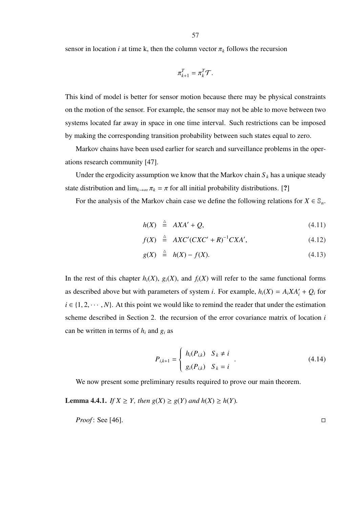sensor in location *i* at time k, then the column vector  $\pi_k$  follows the recursion

$$
\pi_{k+1}^T = \pi_k^T \mathcal{T}.
$$

This kind of model is better for sensor motion because there may be physical constraints on the motion of the sensor. For example, the sensor may not be able to move between two systems located far away in space in one time interval. Such restrictions can be imposed by making the corresponding transition probability between such states equal to zero.

Markov chains have been used earlier for search and surveillance problems in the operations research community [47].

Under the ergodicity assumption we know that the Markov chain  $S_k$  has a unique steady state distribution and  $\lim_{k\to\infty} \pi_k = \pi$  for all initial probability distributions. [?]

For the analysis of the Markov chain case we define the following relations for  $X \in \mathbb{S}_n$ .

$$
h(X) \stackrel{\triangle}{=} AXA' + Q, \tag{4.11}
$$

$$
f(X) \stackrel{\triangle}{=} AXC'(CXC'+R)^{-1}CXA', \qquad (4.12)
$$

$$
g(X) \stackrel{\triangle}{=} h(X) - f(X). \tag{4.13}
$$

In the rest of this chapter  $h_i(X)$ ,  $g_i(X)$ , and  $f_i(X)$  will refer to the same functional forms as described above but with parameters of system *i*. For example,  $h_i(X) = A_i X A'_i + Q_i$  for  $i \in \{1, 2, \dots, N\}$ . At this point we would like to remind the reader that under the estimation scheme described in Section 2. the recursion of the error covariance matrix of location *i* can be written in terms of  $h_i$  and  $g_i$  as

$$
P_{i,k+1} = \begin{cases} h_i(P_{i,k}) & S_k \neq i \\ g_i(P_{i,k}) & S_k = i \end{cases} .
$$
 (4.14)

We now present some preliminary results required to prove our main theorem.

**Lemma 4.4.1.** *If*  $X \geq Y$ *, then*  $g(X) \geq g(Y)$  *and*  $h(X) \geq h(Y)$ *.* 

*Proof:* See [46]. 
$$
\Box
$$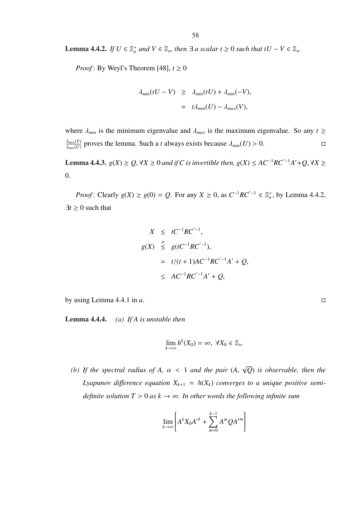**Lemma 4.4.2.** *If*  $U \in \mathbb{S}_n^+$  *and*  $V \in \mathbb{S}_n$ *, then* ∃ *a scalar*  $t \geq 0$  *such that*  $tU - V \in \mathbb{S}_n$ *.* 

*Proof*: By Weyl's Theorem [48],  $t \ge 0$ 

$$
\lambda_{min}(tU - V) \ge \lambda_{min}(tU) + \lambda_{min}(-V),
$$
  
=  $t\lambda_{min}(U) - \lambda_{max}(V),$ 

where  $\lambda_{min}$  is the minimum eigenvalue and  $\lambda_{max}$  is the maximum eigenvalue. So any  $t \geq$ λ*max*(*V*)  $\frac{\lambda_{max}(V)}{\lambda_{min}(U)}$  proves the lemma. Such a *t* always exists because  $\lambda_{min}(U) > 0$ .

**Lemma 4.4.3.**  $g(X) \geq Q$ , ∀*X* ≥ 0 *and if C is invertible then,*  $g(X) \leq AC^{-1}RC^{-1}A' + Q$ , ∀*X* ≥ 0.

*Proof*: Clearly  $g(X) \ge g(0) = Q$ . For any  $X \ge 0$ , as  $C^{-1}RC^{-1} \in \mathbb{S}_n^+$ , by Lemma 4.4.2,  $\exists t \geq 0$  such that

$$
X \leq tC^{-1}RC^{-1},
$$
  
\n
$$
g(X) \leq g(tC^{-1}RC^{-1}),
$$
  
\n
$$
= t/(t+1)AC^{-1}RC^{-1}A' + Q,
$$
  
\n
$$
\leq AC^{-1}RC^{-1}A' + Q,
$$

by using Lemma 4.4.1 in *a*.

Lemma 4.4.4. *(a) If A is unstable then*

$$
\lim_{k\to\infty}h^k(X_0)=\infty, \ \forall X_0\in\mathbb{S}_n.
$$

*(b)* If the spectral radius of A,  $\alpha$  < 1 and the pair (A, √ *Q*) *is observable, then the* Lyapunov difference equation  $X_{k+1} = h(X_k)$  converges to a unique positive semi*definite solution*  $T > 0$  *as*  $k \to \infty$ *. In other words the following infinite sum* 

$$
\lim_{k\to\infty}\left[A^kX_0A^{\prime k}+\sum_{m=0}^{k-1}A^mQA^{\prime m}\right]
$$

$$
\Box
$$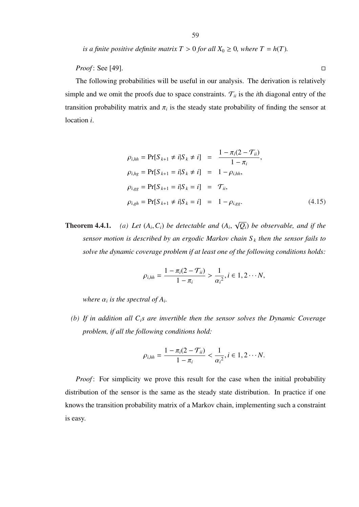*is a finite positive definite matrix*  $T > 0$  *for all*  $X_0 \ge 0$ *, where*  $T = h(T)$ *.* 

*Proof* : See [49]. □

The following probabilities will be useful in our analysis. The derivation is relatively simple and we omit the proofs due to space constraints.  $\mathcal{T}_{ii}$  is the *i*th diagonal entry of the transition probability matrix and  $\pi$ <sub>*i*</sub> is the steady state probability of finding the sensor at location *i*.

$$
\rho_{i,hh} = \Pr[S_{k+1} \neq i | S_k \neq i] = \frac{1 - \pi_i (2 - \mathcal{T}_{ii})}{1 - \pi_i},
$$
  
\n
$$
\rho_{i,hg} = \Pr[S_{k+1} = i | S_k \neq i] = 1 - \rho_{i,hh},
$$
  
\n
$$
\rho_{i,gg} = \Pr[S_{k+1} = i | S_k = i] = \mathcal{T}_{ii},
$$
  
\n
$$
\rho_{i,gh} = \Pr[S_{k+1} \neq i | S_k = i] = 1 - \rho_{i,gg}.
$$
\n(4.15)

**Theorem 4.4.1.** ,*Ci*) *be detectable and* (*A<sup>i</sup>* , √ *Qi*) *be observable, and if the sensor motion is described by an ergodic Markov chain S <sup>k</sup> then the sensor fails to solve the dynamic coverage problem if at least one of the following conditions holds:*

$$
\rho_{i, hh} = \frac{1 - \pi_i (2 - \mathcal{T}_{ii})}{1 - \pi_i} > \frac{1}{\alpha_i^2}, i \in 1, 2 \cdots N,
$$

*where*  $\alpha_i$  *is the spectral of*  $A_i$ .

*(b) If in addition all Cis are invertible then the sensor solves the Dynamic Coverage problem, if all the following conditions hold:*

$$
\rho_{i, hh} = \frac{1 - \pi_i (2 - \mathcal{T}_{ii})}{1 - \pi_i} < \frac{1}{\alpha_i^2}, i \in 1, 2 \cdots N.
$$

*Proof*: For simplicity we prove this result for the case when the initial probability distribution of the sensor is the same as the steady state distribution. In practice if one knows the transition probability matrix of a Markov chain, implementing such a constraint is easy.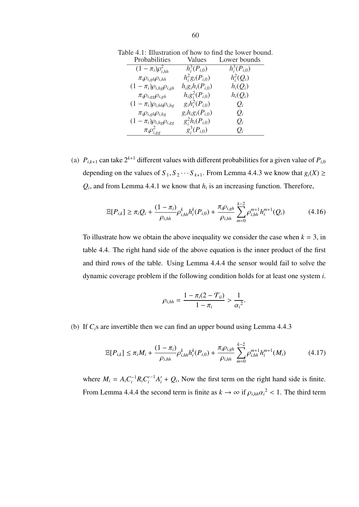| Probabilities                       | Values                  | Lower bounds     |
|-------------------------------------|-------------------------|------------------|
| $(1 - \pi_i)\rho_{i, hh}^2$         | $h_i^3(P_{i,0})$        | $h_i^3(P_{i,0})$ |
| $\pi_i \rho_{i,gh} \rho_{i,hh}$     | $h_i^2 g_i(P_{i,0})$    | $h_i^2(Q_i)$     |
| $(1 - \pi_i)\rho_{i,hg}\rho_{i,gh}$ | $h_i g_i h_i (P_{i,0})$ | $h_i(Q_i)$       |
| $\pi_i \rho_{i,gg} \rho_{i,gh}$     | $h_i g_i^2(P_{i,0})$    | $h_i(Q_i)$       |
| $(1-\pi_i)\rho_{i,hh}\rho_{i,hg}$   | $g_i h_i^2(P_{i,0})$    | $Q_i$            |
| $\pi_i \rho_{i,gh} \rho_{i,hg}$     | $g_i h_i g_i(P_{i,0})$  | $Q_i$            |
| $(1-\pi_i)\rho_{i,hg}\rho_{i,gg}$   | $g_i^2h_i(P_{i,0})$     | $Q_i$            |
| $\pi_i \rho_{i,gg}^2$               | $g_i^3(P_{i,0})$        | $O_i$            |

(a)  $P_{i,k+1}$  can take  $2^{k+1}$  different values with different probabilities for a given value of  $P_{i,0}$ depending on the values of  $S_1, S_2 \cdots S_{k+1}$ . From Lemma 4.4.3 we know that  $g_i(X) \ge$  $Q_i$ , and from Lemma 4.4.1 we know that  $h_i$  is an increasing function. Therefore,

$$
\mathbb{E}[P_{i,k}] \ge \pi_i Q_i + \frac{(1 - \pi_i)}{\rho_{i,hh}} \rho_{i,hh}^k h_i^k(P_{i,0}) + \frac{\pi_i \rho_{i,gh}}{\rho_{i,hh}} \sum_{m=0}^{k-2} \rho_{i,hh}^{m+1} h_i^{m+1}(Q_i)
$$
(4.16)

To illustrate how we obtain the above inequality we consider the case when  $k = 3$ , in table 4.4. The right hand side of the above equation is the inner product of the first and third rows of the table. Using Lemma 4.4.4 the sensor would fail to solve the dynamic coverage problem if the following condition holds for at least one system *i*.

$$
\rho_{i, hh} = \frac{1 - \pi_i (2 - \mathcal{T}_{ii})}{1 - \pi_i} > \frac{1}{\alpha_i^2}.
$$

(b) If *Ci*s are invertible then we can find an upper bound using Lemma 4.4.3

$$
\mathbb{E}[P_{i,k}] \le \pi_i M_i + \frac{(1-\pi_i)}{\rho_{i,hh}} \rho_{i,hh}^k h_i^k(P_{i,0}) + \frac{\pi_i \rho_{i,gh}}{\rho_{i,hh}} \sum_{m=0}^{k-2} \rho_{i,hh}^{m+1} h_i^{m+1}(M_i)
$$
(4.17)

where  $M_i = A_i C_i^{-1} R_i C_i'^{-1} A_i' + Q_i$ , Now the first term on the right hand side is finite. From Lemma 4.4.4 the second term is finite as  $k \to \infty$  if  $\rho_{i, hh} \alpha_i^2 < 1$ . The third term

Table 4.1: Illustration of how to find the lower bound.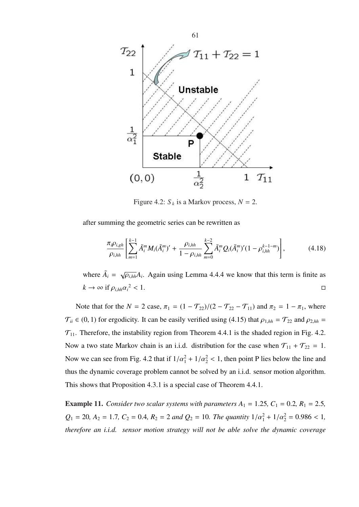

Figure 4.2:  $S_k$  is a Markov process,  $N = 2$ .

after summing the geometric series can be rewritten as

$$
\frac{\pi_i \rho_{i,gh}}{\rho_{i,hh}} \left[ \sum_{m=1}^{k-1} \tilde{A}_i^m M_i (\tilde{A}_i^m)' + \frac{\rho_{i,hh}}{1 - \rho_{i,hh}} \sum_{m=0}^{k-2} \tilde{A}_i^m Q_i (\tilde{A}_i^m)' (1 - \rho_{i,hh}^{k-1-m}) \right],
$$
(4.18)

where  $\tilde{A}_i = \sqrt{\rho_{i,hh}} A_i$ . Again using Lemma 4.4.4 we know that this term is finite as  $k \to \infty$  if  $\rho_{i,hh} \alpha_i^2 < 1$ .  $2 < 1$ .

Note that for the *N* = 2 case,  $\pi_1 = (1 - \mathcal{T}_{22})/(2 - \mathcal{T}_{22} - \mathcal{T}_{11})$  and  $\pi_2 = 1 - \pi_1$ , where  $\mathcal{T}_{ii} \in (0, 1)$  for ergodicity. It can be easily verified using (4.15) that  $\rho_{1, hh} = \mathcal{T}_{22}$  and  $\rho_{2, hh} =$  $\mathcal{T}_{11}$ . Therefore, the instability region from Theorem 4.4.1 is the shaded region in Fig. 4.2. Now a two state Markov chain is an i.i.d. distribution for the case when  $\mathcal{T}_{11} + \mathcal{T}_{22} = 1$ . Now we can see from Fig. 4.2 that if  $1/\alpha_1^2 + 1/\alpha_2^2 < 1$ , then point P lies below the line and thus the dynamic coverage problem cannot be solved by an i.i.d. sensor motion algorithm. This shows that Proposition 4.3.1 is a special case of Theorem 4.4.1.

**Example 11.** *Consider two scalar systems with parameters*  $A_1 = 1.25$ ,  $C_1 = 0.2$ ,  $R_1 = 2.5$ ,  $Q_1 = 20$ ,  $A_2 = 1.7$ ,  $C_2 = 0.4$ ,  $R_2 = 2$  *and*  $Q_2 = 10$ *. The quantity*  $1/a_1^2 + 1/a_2^2 = 0.986 < 1$ , *therefore an i.i.d. sensor motion strategy will not be able solve the dynamic coverage*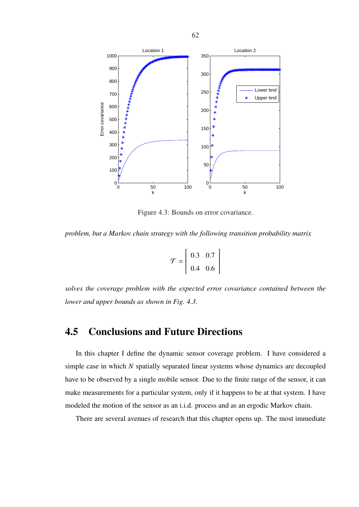

Figure 4.3: Bounds on error covariance.

*problem, but a Markov chain strategy with the following transition probability matrix*

$$
\mathcal{T} = \left[ \begin{array}{cc} 0.3 & 0.7 \\ 0.4 & 0.6 \end{array} \right]
$$

*solves the coverage problem with the expected error covariance contained between the lower and upper bounds as shown in Fig. 4.3.*

### 4.5 Conclusions and Future Directions

In this chapter I define the dynamic sensor coverage problem. I have considered a simple case in which *N* spatially separated linear systems whose dynamics are decoupled have to be observed by a single mobile sensor. Due to the finite range of the sensor, it can make measurements for a particular system, only if it happens to be at that system. I have modeled the motion of the sensor as an i.i.d. process and as an ergodic Markov chain.

There are several avenues of research that this chapter opens up. The most immediate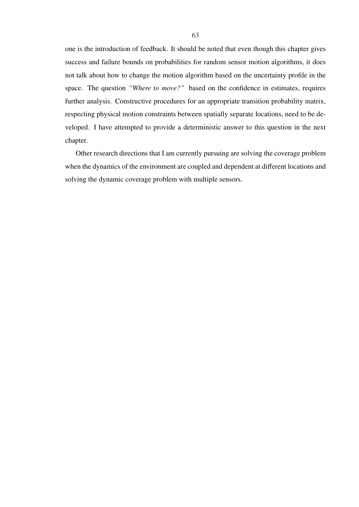one is the introduction of feedback. It should be noted that even though this chapter gives success and failure bounds on probabilities for random sensor motion algorithms, it does not talk about how to change the motion algorithm based on the uncertainty profile in the space. The question *"Where to move?"* based on the confidence in estimates, requires further analysis. Constructive procedures for an appropriate transition probability matrix, respecting physical motion constraints between spatially separate locations, need to be developed. I have attempted to provide a deterministic answer to this question in the next chapter.

Other research directions that I am currently pursuing are solving the coverage problem when the dynamics of the environment are coupled and dependent at different locations and solving the dynamic coverage problem with multiple sensors.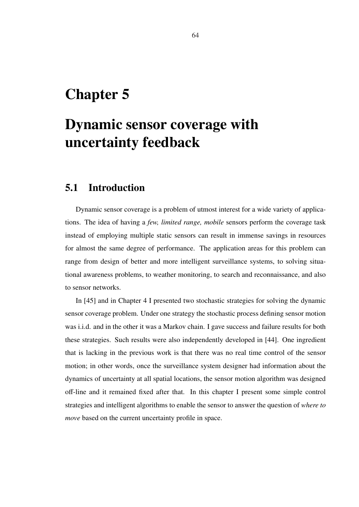## Chapter 5

# Dynamic sensor coverage with uncertainty feedback

## 5.1 Introduction

Dynamic sensor coverage is a problem of utmost interest for a wide variety of applications. The idea of having a *few, limited range, mobile* sensors perform the coverage task instead of employing multiple static sensors can result in immense savings in resources for almost the same degree of performance. The application areas for this problem can range from design of better and more intelligent surveillance systems, to solving situational awareness problems, to weather monitoring, to search and reconnaissance, and also to sensor networks.

In [45] and in Chapter 4 I presented two stochastic strategies for solving the dynamic sensor coverage problem. Under one strategy the stochastic process defining sensor motion was i.i.d. and in the other it was a Markov chain. I gave success and failure results for both these strategies. Such results were also independently developed in [44]. One ingredient that is lacking in the previous work is that there was no real time control of the sensor motion; in other words, once the surveillance system designer had information about the dynamics of uncertainty at all spatial locations, the sensor motion algorithm was designed off-line and it remained fixed after that. In this chapter I present some simple control strategies and intelligent algorithms to enable the sensor to answer the question of *where to move* based on the current uncertainty profile in space.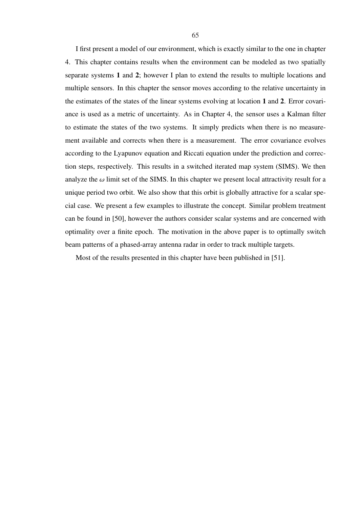I first present a model of our environment, which is exactly similar to the one in chapter 4. This chapter contains results when the environment can be modeled as two spatially separate systems 1 and 2; however I plan to extend the results to multiple locations and multiple sensors. In this chapter the sensor moves according to the relative uncertainty in the estimates of the states of the linear systems evolving at location 1 and 2. Error covariance is used as a metric of uncertainty. As in Chapter 4, the sensor uses a Kalman filter to estimate the states of the two systems. It simply predicts when there is no measurement available and corrects when there is a measurement. The error covariance evolves according to the Lyapunov equation and Riccati equation under the prediction and correction steps, respectively. This results in a switched iterated map system (SIMS). We then analyze the  $\omega$  limit set of the SIMS. In this chapter we present local attractivity result for a unique period two orbit. We also show that this orbit is globally attractive for a scalar special case. We present a few examples to illustrate the concept. Similar problem treatment can be found in [50], however the authors consider scalar systems and are concerned with optimality over a finite epoch. The motivation in the above paper is to optimally switch beam patterns of a phased-array antenna radar in order to track multiple targets.

Most of the results presented in this chapter have been published in [51].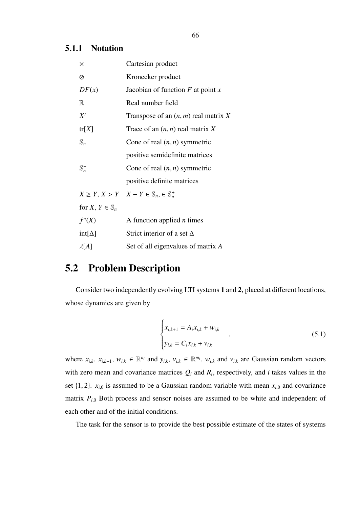#### 5.1.1 Notation

| ×                           | Cartesian product                                                     |
|-----------------------------|-----------------------------------------------------------------------|
| ⊗                           | Kronecker product                                                     |
| DF(x)                       | Jacobian of function $F$ at point $x$                                 |
| $\mathbb R$                 | Real number field                                                     |
| X'                          | Transpose of an $(n, m)$ real matrix X                                |
| tr[X]                       | Trace of an $(n, n)$ real matrix X                                    |
| $\mathbb{S}_n$              | Cone of real $(n, n)$ symmetric                                       |
|                             | positive semidefinite matrices                                        |
| $\mathbb{S}_n^+$            | Cone of real $(n, n)$ symmetric                                       |
|                             | positive definite matrices                                            |
|                             | $X \geq Y, X \geq Y \quad X - Y \in \mathbb{S}_n, \in \mathbb{S}_n^+$ |
| for $X, Y \in \mathbb{S}_n$ |                                                                       |
| $f^n(X)$                    | A function applied $n$ times                                          |
| $int[\Delta]$               | Strict interior of a set $\Delta$                                     |
| $\lambda[A]$                | Set of all eigenvalues of matrix A                                    |

## 5.2 Problem Description

Consider two independently evolving LTI systems 1 and 2, placed at different locations, whose dynamics are given by

$$
\begin{cases} x_{i,k+1} = A_i x_{i,k} + w_{i,k} \\ y_{i,k} = C_i x_{i,k} + v_{i,k} \end{cases}
$$
 (5.1)

where  $x_{i,k}$ ,  $x_{i,k+1}$ ,  $w_{i,k} \in \mathbb{R}^{n_i}$  and  $y_{i,k}$ ,  $v_{i,k} \in \mathbb{R}^{m_i}$ ,  $w_{i,k}$  and  $v_{i,k}$  are Gaussian random vectors with zero mean and covariance matrices  $Q_i$  and  $R_i$ , respectively, and *i* takes values in the set  $\{1, 2\}$ .  $x_{i,0}$  is assumed to be a Gaussian random variable with mean  $x_{i,0}$  and covariance matrix  $P_{i,0}$  Both process and sensor noises are assumed to be white and independent of each other and of the initial conditions.

The task for the sensor is to provide the best possible estimate of the states of systems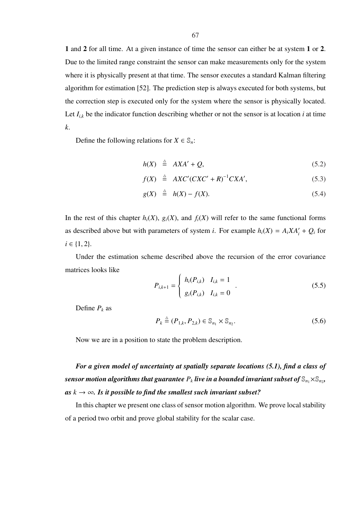1 and 2 for all time. At a given instance of time the sensor can either be at system 1 or 2. Due to the limited range constraint the sensor can make measurements only for the system where it is physically present at that time. The sensor executes a standard Kalman filtering algorithm for estimation [52]. The prediction step is always executed for both systems, but the correction step is executed only for the system where the sensor is physically located. Let  $I_{i,k}$  be the indicator function describing whether or not the sensor is at location  $i$  at time *k*.

Define the following relations for  $X \in \mathbb{S}_n$ :

$$
h(X) \stackrel{\triangle}{=} AXA' + Q,\tag{5.2}
$$

$$
f(X) \stackrel{\triangle}{=} AXC'(CXC'+R)^{-1}CXA', \qquad (5.3)
$$

$$
g(X) \stackrel{\triangle}{=} h(X) - f(X). \tag{5.4}
$$

In the rest of this chapter  $h_i(X)$ ,  $g_i(X)$ , and  $f_i(X)$  will refer to the same functional forms as described above but with parameters of system *i*. For example  $h_i(X) = A_i X A'_i + Q_i$  for  $i \in \{1, 2\}.$ 

Under the estimation scheme described above the recursion of the error covariance matrices looks like  $\overline{a}$ 

$$
P_{i,k+1} = \begin{cases} h_i(P_{i,k}) & I_{i,k} = 1 \\ g_i(P_{i,k}) & I_{i,k} = 0 \end{cases} .
$$
 (5.5)

Define  $P_k$  as

$$
P_k \stackrel{\Delta}{=} (P_{1,k}, P_{2,k}) \in \mathbb{S}_{n_1} \times \mathbb{S}_{n_2}.
$$
 (5.6)

Now we are in a position to state the problem description.

*For a given model of uncertainty at spatially separate locations (5.1), find a class of* sensor motion algorithms that guarantee  $P_k$  live in a bounded invariant subset of  $\mathbb{S}_{n_1}\times \mathbb{S}_{n_2}$ ,  $as k \rightarrow \infty$ *. Is it possible to find the smallest such invariant subset?* 

In this chapter we present one class of sensor motion algorithm. We prove local stability of a period two orbit and prove global stability for the scalar case.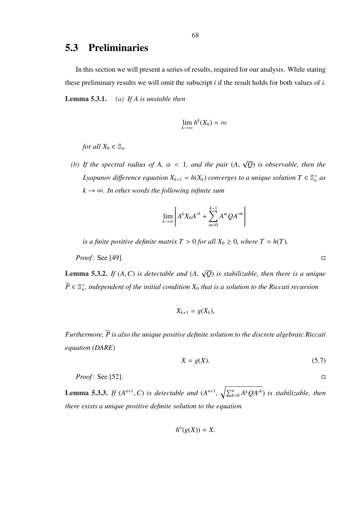## 5.3 Preliminaries

In this section we will present a series of results, required for our analysis. While stating these preliminary results we will omit the subscript *i* if the result holds for both values of *i*. Lemma 5.3.1. *(a) If A is unstable then*

$$
\lim_{k\to\infty} h^k(X_0)=\infty
$$

*for all*  $X_0 \in \mathbb{S}_n$ *.* 

*(b)* If the spectral radius of  $A$ ,  $\alpha$  < 1, and the pair  $(A)$ , √ *Q*) *is observable, then the Lyapunov difference equation*  $X_{k+1} = h(X_k)$  *converges to a unique solution*  $T \in \mathbb{S}_n^+$  *as*  $k \rightarrow \infty$ *. In other words the following infinite sum* 

$$
\lim_{k\to\infty}\left[A^kX_0A^{\prime k}+\sum_{m=0}^{k-1}A^mQA^{\prime m}\right]
$$

*is a finite positive definite matrix*  $T > 0$  *for all*  $X_0 \ge 0$ *, where*  $T = h(T)$ *.* 

*Proof*: See [49]. □

Lemma 5.3.2. *If* (*A*,*C*) *is detectable and* (*A*, √ *Q*) *is stabilizable, then there is a unique*  $\overline{P} \in \mathbb{S}^+_n$ , independent of the initial condition  $X_0$  that is a solution to the Riccati recursion

$$
X_{k+1}=g(X_k),
$$

*Furthermore, P is also the unique positive definite solution to the discrete algebraic Riccati equation (DARE)*

$$
X = g(X). \tag{5.7}
$$

*Proof*: See [52]. □

**Lemma 5.3.3.** *If*  $(A^{n+1}, C)$  *is detectable and*  $(A^{n+1}, \sqrt{\sum_{k}^{n}})$  $_{k=0}^{n}$  *A*<sup>*k*</sup>QA<sup>*r*<sup>*k*</sup>) *is stabilizable, then*</sup> *there exists a unique positive definite solution to the equation*

$$
h^{n}(g(X)) = X.
$$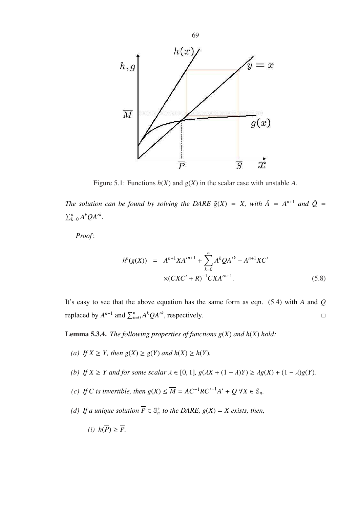

Figure 5.1: Functions  $h(X)$  and  $g(X)$  in the scalar case with unstable A.

*The solution can be found by solving the DARE*  $\tilde{g}(X) = X$ , with  $\tilde{A} = A^{n+1}$  *and*  $\tilde{Q} =$  $\sum n$  $_{k=0}^n A^k Q A'^k$ .

*Proof* :

$$
h^{n}(g(X)) = A^{n+1}XA^{n+1} + \sum_{k=0}^{n} A^{k}QA^{k} - A^{n+1}XC'
$$
  
 
$$
\times (CXC' + R)^{-1}CXA^{n+1}.
$$
 (5.8)

It's easy to see that the above equation has the same form as eqn. (5.4) with *A* and *Q* replaced by  $A^{n+1}$  and  $\sum_{k=0}^{n} A^k Q A^{k}$ , respectively.

**Lemma 5.3.4.** *The following properties of functions*  $g(X)$  *and*  $h(X)$  *hold:* 

- *(a) If*  $X \geq Y$ *, then*  $g(X) \geq g(Y)$  *and*  $h(X) \geq h(Y)$ *.*
- *(b) If*  $X \geq Y$  *and for some scalar*  $\lambda \in [0, 1]$ *,*  $g(\lambda X + (1 \lambda)Y) \geq \lambda g(X) + (1 \lambda)g(Y)$ *.*
- *(c) If C is invertible, then*  $g(X)$  ≤  $\overline{M}$  =  $AC^{-1}RC^{-1}A'$  +  $Q$  ∀*X* ∈  $\mathbb{S}_n$ *.*
- *(d)* If a unique solution  $\overline{P} \in \mathbb{S}_n^+$  to the DARE,  $g(X) = X$  exists, then,
	- (*i*)  $h(\overline{P}) > \overline{P}$ .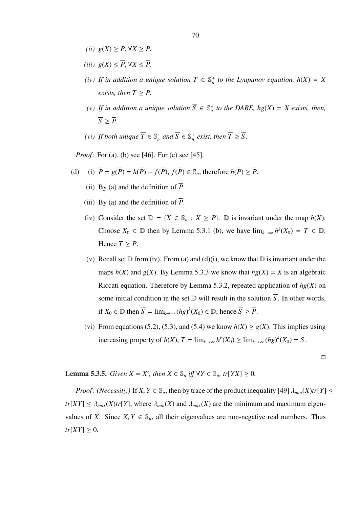- *(ii)*  $g(X) \geq \overline{P}$ , ∀*X*  $\geq \overline{P}$ .
- *(iii)*  $g(X)$  ≤  $\overline{P}$ ,  $\forall X$  ≤  $\overline{P}$ .
- *(iv)* If in addition a unique solution  $\overline{T} \in \mathbb{S}_n^+$  to the Lyapunov equation,  $h(X) = X$ *exists, then*  $\overline{T} \geq \overline{P}$ *.*
- *(v) If in addition a unique solution*  $\overline{S}$  ∈  $\mathbb{S}_n^+$  *to the DARE, hg*(*X*) = *X exists, then,*  $\overline{S} \geq \overline{P}$ .
- *(vi) If both unique*  $\overline{T} \in \mathbb{S}_n^+$  *and*  $\overline{S} \in \mathbb{S}_n^+$  *exist, then*  $\overline{T} \geq \overline{S}$ *.*

*Proof*: For (a), (b) see [46]. For (c) see [45].

(d) (i) 
$$
\overline{P} = g(\overline{P}) = h(\overline{P}) - f(\overline{P}), f(\overline{P}) \in \mathbb{S}_n
$$
, therefore  $h(\overline{P}) \ge \overline{P}$ .

- (ii) By (a) and the definition of  $\overline{P}$ .
- (iii) By (a) and the definition of  $\overline{P}$ .
- (iv) Consider the set  $D = \{X \in \mathbb{S}_n : X \geq \overline{P}\}$ .  $D$  is invariant under the map  $h(X)$ . Choose  $X_0 \in \mathbb{D}$  then by Lemma 5.3.1 (b), we have  $\lim_{k \to \infty} h^k(X_0) = \overline{T} \in \mathbb{D}$ . Hence  $\overline{T} \geq \overline{P}$ .
- (v) Recall set  $\mathbb D$  from (iv). From (a) and (d)(i), we know that  $\mathbb D$  is invariant under the maps  $h(X)$  and  $g(X)$ . By Lemma 5.3.3 we know that  $h g(X) = X$  is an algebraic Riccati equation. Therefore by Lemma 5.3.2, repeated application of  $hg(X)$  on some initial condition in the set  $D$  will result in the solution  $\overline{S}$ . In other words, if  $X_0 \in \mathbb{D}$  then  $\overline{S} = \lim_{k \to \infty} (hg)^k(X_0) \in \mathbb{D}$ , hence  $\overline{S} \geq \overline{P}$ .
- (vi) From equations (5.2), (5.3), and (5.4) we know  $h(X) \ge g(X)$ . This implies using increasing property of  $h(X)$ ,  $\overline{T} = \lim_{k \to \infty} h^k(X_0) \ge \lim_{k \to \infty} (hg)^k(X_0) = \overline{S}$ .

 $\Box$ 

**Lemma 5.3.5.** *Given*  $X = X'$ *, then*  $X \in \mathbb{S}_n$  *iff*  $\forall Y \in \mathbb{S}_n$ *, tr*[*YX*]  $\geq 0$ *.* 

*Proof*: *(Necessity.)* If *X*,  $Y \in \mathbb{S}_n$ , then by trace of the product inequality [49]  $\lambda_{min}(X)tr[Y] \leq$  $tr[XY] \leq \lambda_{max}(X)tr[Y]$ , where  $\lambda_{min}(X)$  and  $\lambda_{max}(X)$  are the minimum and maximum eigenvalues of *X*. Since *X*,  $Y \in \mathbb{S}_n$ , all their eigenvalues are non-negative real numbers. Thus  $tr[XY] \geq 0$ .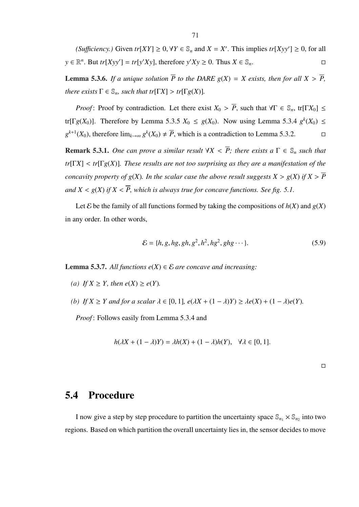*(Sufficiency.)* Given  $tr[XY] \ge 0$ ,  $\forall Y \in \mathbb{S}_n$  and  $X = X'$ . This implies  $tr[ Xyy' ] \ge 0$ , for all  $y \in \mathbb{R}^n$ . But  $tr[Xyy'] = tr[y'Xy]$ , therefore  $y'Xy \ge 0$ . Thus  $X \in \mathbb{S}_n$ .

**Lemma 5.3.6.** *If a unique solution*  $\overline{P}$  *to the DARE*  $g(X) = X$  *exists, then for all*  $X > \overline{P}$ *, there exists*  $\Gamma \in \mathbb{S}_n$ *, such that tr*[ $\Gamma X$ ] > *tr*[ $\Gamma g(X)$ ]*.* 

*Proof*: Proof by contradiction. Let there exist  $X_0 > \overline{P}$ , such that  $\forall \Gamma \in \mathbb{S}_n$ , tr[Γ*X*<sub>0</sub>] ≤ tr[ $\Gamma g(X_0)$ ]. Therefore by Lemma 5.3.5  $X_0 \le g(X_0)$ . Now using Lemma 5.3.4  $g^k(X_0) \le$  $g^{k+1}(X_0)$ , therefore lim<sub> $k→∞  $g^k(X_0) \neq \overline{P}$ , which is a contradiction to Lemma 5.3.2.  $\Box$ </sub>$ 

**Remark 5.3.1.** One can prove a similar result  $\forall X \leq \overline{P}$ ; there exists a  $\Gamma \in \mathbb{S}_n$  such that *tr*[Γ*X*] < *tr*[Γ*g*(*X*)]*. These results are not too surprising as they are a manifestation of the concavity property of*  $g(X)$ *. In the scalar case the above result suggests*  $X > g(X)$  *if*  $X > \overline{P}$ *and*  $X \leq g(X)$  *if*  $X \leq \overline{P}$ , *which is always true for concave functions. See fig. 5.1.* 

Let  $\mathcal E$  be the family of all functions formed by taking the compositions of  $h(X)$  and  $g(X)$ in any order. In other words,

$$
\mathcal{E} = \{h, g, hg, gh, g^2, h^2, hg^2, ghg \cdots\}.
$$
 (5.9)

**Lemma 5.3.7.** All functions  $e(X)$  ∈  $E$  are concave and increasing:

- *(a) If*  $X \geq Y$ *, then e*(*X*) ≥ *e*(*Y*)*.*
- *(b) If*  $X \geq Y$  *and for a scalar*  $\lambda \in [0, 1]$ *,*  $e(\lambda X + (1 \lambda)Y) \geq \lambda e(X) + (1 \lambda)e(Y)$ *.*

*Proof* : Follows easily from Lemma 5.3.4 and

$$
h(\lambda X + (1 - \lambda)Y) = \lambda h(X) + (1 - \lambda)h(Y), \quad \forall \lambda \in [0, 1].
$$

 $\Box$ 

## 5.4 Procedure

I now give a step by step procedure to partition the uncertainty space  $\mathbb{S}_{n_1} \times \mathbb{S}_{n_2}$  into two regions. Based on which partition the overall uncertainty lies in, the sensor decides to move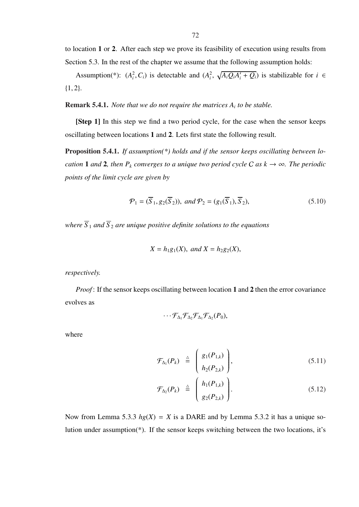to location 1 or 2. After each step we prove its feasibility of execution using results from Section 5.3. In the rest of the chapter we assume that the following assumption holds:

Assumption(\*):  $(A_i^2, C_i)$  is detectable and  $(A_i^2, A_i^2)$ p  $\overline{A_i Q_i A'_i + Q_i}$  is stabilizable for  $i \in$ {1, 2}.

Remark 5.4.1. *Note that we do not require the matrices A<sup>i</sup> to be stable.*

[Step 1] In this step we find a two period cycle, for the case when the sensor keeps oscillating between locations 1 and 2. Lets first state the following result.

Proposition 5.4.1. *If assumption(\*) holds and if the sensor keeps oscillating between location* **1** *and* **2***, then*  $P_k$  *converges to a unique two period cycle C as*  $k \rightarrow \infty$ *. The periodic points of the limit cycle are given by*

$$
\mathcal{P}_1 = (\overline{S}_1, g_2(\overline{S}_2)), \text{ and } \mathcal{P}_2 = (g_1(\overline{S}_1), \overline{S}_2), \tag{5.10}
$$

*where*  $\overline{S}_1$  *and*  $\overline{S}_2$  *are unique positive definite solutions to the equations* 

$$
X = h_1 g_1(X)
$$
, and  $X = h_2 g_2(X)$ ,

*respectively.*

*Proof*: If the sensor keeps oscillating between location 1 and 2 then the error covariance evolves as

$$
\cdots \mathcal{F}_{\Delta_1} \mathcal{F}_{\Delta_2} \mathcal{F}_{\Delta_1} \mathcal{F}_{\Delta_2} (P_0),
$$

where

$$
\mathcal{F}_{\Delta_1}(P_k) \triangleq \begin{pmatrix} g_1(P_{1,k}) \\ h_2(P_{2,k}) \end{pmatrix}, \qquad (5.11)
$$

$$
\mathcal{F}_{\Delta_2}(P_k) \triangleq \left(\begin{array}{c} h_1(P_{1,k}) \\ g_2(P_{2,k}) \end{array}\right). \tag{5.12}
$$

Now from Lemma 5.3.3  $hg(X) = X$  is a DARE and by Lemma 5.3.2 it has a unique solution under assumption(\*). If the sensor keeps switching between the two locations, it's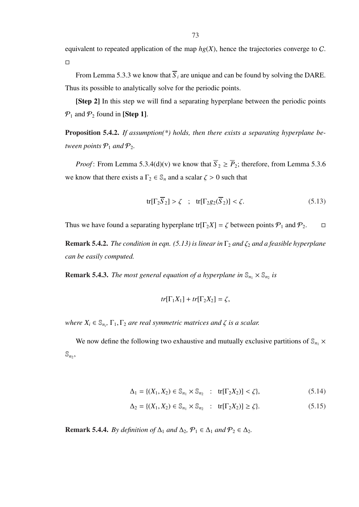equivalent to repeated application of the map  $hg(X)$ , hence the trajectories converge to C.  $\Box$ 

From Lemma 5.3.3 we know that  $\overline{S}_i$  are unique and can be found by solving the DARE. Thus its possible to analytically solve for the periodic points.

[Step 2] In this step we will find a separating hyperplane between the periodic points  $P_1$  and  $P_2$  found in [Step 1].

Proposition 5.4.2. *If assumption(\*) holds, then there exists a separating hyperplane between points*  $P_1$  *and*  $P_2$ *.* 

*Proof*: From Lemma 5.3.4(d)(v) we know that  $\overline{S}_2 \ge \overline{P}_2$ ; therefore, from Lemma 5.3.6 we know that there exists a  $\Gamma_2 \in \mathbb{S}_n$  and a scalar  $\zeta > 0$  such that

$$
\text{tr}[\Gamma_2 \overline{S}_2] > \zeta \quad ; \quad \text{tr}[\Gamma_2 g_2(\overline{S}_2)] < \zeta. \tag{5.13}
$$

Thus we have found a separating hyperplane tr[ $\Gamma_2 X$ ] =  $\zeta$  between points  $\mathcal{P}_1$  and  $\mathcal{P}_2$ .  $\Box$ 

**Remark 5.4.2.** *The condition in eqn.* (5.13) is linear in  $\Gamma_2$  *and*  $\zeta_2$  *and a feasible hyperplane can be easily computed.*

**Remark 5.4.3.** The most general equation of a hyperplane in  $\mathbb{S}_{n_1} \times \mathbb{S}_{n_2}$  is

$$
tr[\Gamma_1 X_1] + tr[\Gamma_2 X_2] = \zeta,
$$

*where*  $X_i \in \mathbb{S}_{n_i}$ ,  $\Gamma_1, \Gamma_2$  *are real symmetric matrices and*  $\zeta$  *is a scalar.* 

We now define the following two exhaustive and mutually exclusive partitions of  $\mathbb{S}_{n_1}$  ×  $\mathbb{S}_{n_2}$ 

$$
\Delta_1 = \{ (X_1, X_2) \in \mathbb{S}_{n_1} \times \mathbb{S}_{n_2} : \text{tr}[\Gamma_2 X_2] \} < \zeta \},\tag{5.14}
$$

$$
\Delta_2 = \{ (X_1, X_2) \in \mathbb{S}_{n_1} \times \mathbb{S}_{n_2} : \text{tr}[\Gamma_2 X_2] \ge \zeta \}. \tag{5.15}
$$

**Remark 5.4.4.** *By definition of*  $\Delta_1$  *and*  $\Delta_2$ ,  $\mathcal{P}_1 \in \Delta_1$  *and*  $\mathcal{P}_2 \in \Delta_2$ *.*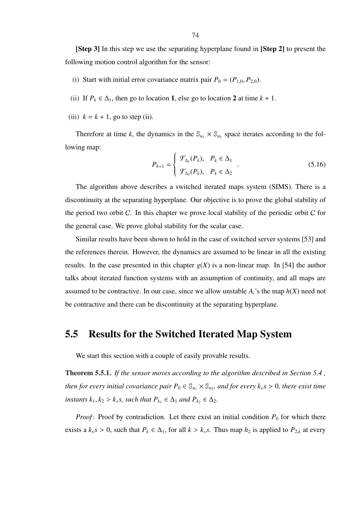- (i) Start with initial error covariance matrix pair  $P_0 = (P_{1,0}, P_{2,0})$ .
- (ii) If  $P_k \in \Delta_1$ , then go to location 1, else go to location 2 at time  $k + 1$ .
- (iii)  $k = k + 1$ , go to step (ii).

Therefore at time k, the dynamics in the  $\mathbb{S}_{n_1} \times \mathbb{S}_{n_2}$  space iterates according to the following map:  $\overline{a}$ 

$$
P_{k+1} = \begin{cases} \mathcal{F}_{\Delta_1}(P_k), & P_k \in \Delta_1 \\ \mathcal{F}_{\Delta_2}(P_k), & P_k \in \Delta_2 \end{cases} . \tag{5.16}
$$

The algorithm above describes a switched iterated maps system (SIMS). There is a discontinuity at the separating hyperplane. Our objective is to prove the global stability of the period two orbit  $C$ . In this chapter we prove local stability of the periodic orbit  $C$  for the general case. We prove global stability for the scalar case.

Similar results have been shown to hold in the case of switched server systems [53] and the references therein. However, the dynamics are assumed to be linear in all the existing results. In the case presented in this chapter  $g(X)$  is a non-linear map. In [54] the author talks about iterated function systems with an assumption of continuity, and all maps are assumed to be contractive. In our case, since we allow unstable  $A_i$ 's the map  $h(X)$  need not be contractive and there can be discontinuity at the separating hyperplane.

## 5.5 Results for the Switched Iterated Map System

We start this section with a couple of easily provable results.

Theorem 5.5.1. *If the sensor moves according to the algorithm described in Section 5.4 , then for every initial covariance pair*  $P_0 \in \mathbb{S}_{n_1} \times \mathbb{S}_{n_2}$ , and for every  $k_s s > 0$ , there exist time *instants*  $k_1, k_2 > k_s$ *s, such that*  $P_{k_1} \in \Delta_1$  *and*  $P_{k_2} \in \Delta_2$ *.* 

*Proof*: Proof by contradiction. Let there exist an initial condition  $P_0$  for which there exists a  $k_s s > 0$ , such that  $P_k \in \Delta_1$ , for all  $k > k_s s$ . Thus map  $h_2$  is applied to  $P_{2,k}$  at every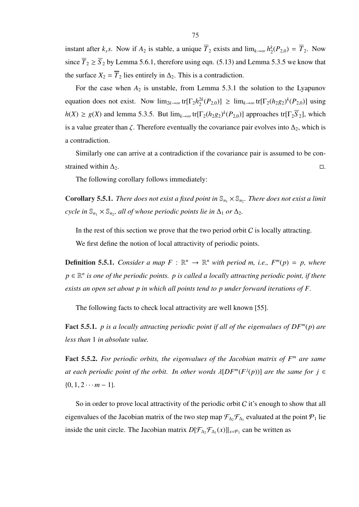instant after  $k_s s$ . Now if  $A_2$  is stable, a unique  $\overline{T}_2$  exists and  $\lim_{k\to\infty} h_2^k$  $_{2}^{k}(P_{2,0}) = \overline{T}_{2}$ . Now since  $\overline{T}_2 \ge \overline{S}_2$  by Lemma 5.6.1, therefore using eqn. (5.13) and Lemma 5.3.5 we know that the surface  $X_2 = \overline{T}_2$  lies entirely in  $\Delta_2$ . This is a contradiction.

For the case when  $A_2$  is unstable, from Lemma 5.3.1 the solution to the Lyapunov equation does not exist. Now  $\lim_{2k\to\infty}$  tr[ $\Gamma_2 h_2^{2k}$  $2^{2k}(P_{2,0})$ ] ≥  $\lim_{k\to\infty}$  tr[ $\Gamma_2(h_2g_2)^k(P_{2,0})$ ] using  $h(X) \ge g(X)$  and lemma 5.3.5. But  $\lim_{k \to \infty} \text{tr}[\Gamma_2(h_2g_2)^k(P_{2,0})]$  approaches tr $[\Gamma_2 \overline{S}_2]$ , which is a value greater than  $\zeta$ . Therefore eventually the covariance pair evolves into  $\Delta_2$ , which is a contradiction.

Similarly one can arrive at a contradiction if the covariance pair is assumed to be constrained within  $\Delta_2$ .  $\Box$ 

The following corollary follows immediately:

**Corollary 5.5.1.** *There does not exist a fixed point in*  $\mathbb{S}_{n_1} \times \mathbb{S}_{n_2}$ *. There does not exist a limit cycle in*  $\mathbb{S}_{n_1} \times \mathbb{S}_{n_2}$ , all of whose periodic points lie in  $\Delta_1$  *or*  $\Delta_2$ *.* 

In the rest of this section we prove that the two period orbit  $C$  is locally attracting. We first define the notion of local attractivity of periodic points.

**Definition 5.5.1.** *Consider a map*  $F : \mathbb{R}^n \to \mathbb{R}^n$  *with period m, i.e.,*  $F^m(p) = p$ *, where p* ∈ R *n is one of the periodic points. p is called a locally attracting periodic point, if there exists an open set about p in which all points tend to p under forward iterations of F.*

The following facts to check local attractivity are well known [55].

Fact 5.5.1. *p is a locally attracting periodic point if all of the eigenvalues of DF<sup>m</sup>* (*p*) *are less than* 1 *in absolute value.*

Fact 5.5.2. For periodic orbits, the eigenvalues of the Jacobian matrix of F<sup>m</sup> are same *at each periodic point of the orbit. In other words*  $\lambda[DF^m(F^j(p))]$  *are the same for*  $j \in$  $\{0, 1, 2 \cdots m-1\}.$ 

So in order to prove local attractivity of the periodic orbit  $C$  it's enough to show that all eigenvalues of the Jacobian matrix of the two step map  $\mathcal{F}_{\Delta_2}\mathcal{F}_{\Delta_1}$  evaluated at the point  $\mathcal{P}_1$  lie inside the unit circle. The Jacobian matrix  $D[\mathcal{F}_{\Delta_2} \mathcal{F}_{\Delta_1}(x)]|_{x=\mathcal{P}_1}$  can be written as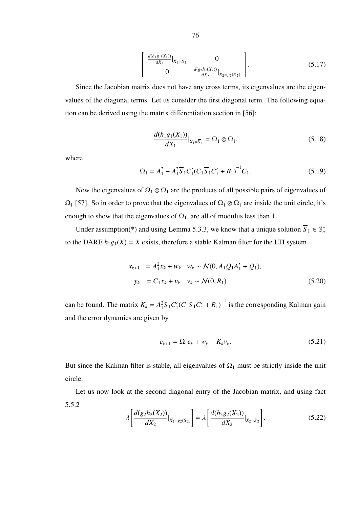$$
\begin{bmatrix} \frac{d(h_1g_1(X_1))}{dX_1} \Big|_{X_1 = \overline{S}_1} & 0 \\ 0 & \frac{d(g_2h_2(X_2))}{dX_2} \Big|_{X_2 = g_2(\overline{S}_2)} \end{bmatrix}.
$$
 (5.17)

Since the Jacobian matrix does not have any cross terms, its eigenvalues are the eigenvalues of the diagonal terms. Let us consider the first diagonal term. The following equation can be derived using the matrix differentiation section in [56]:

$$
\frac{d(h_{1}g_{1}(X_{1}))}{dX_{1}}|_{X_{1}=\overline{S}_{1}} = \Omega_{1} \otimes \Omega_{1},
$$
\n(5.18)

where

$$
\Omega_1 = A_1^2 - A_1^2 \overline{S}_1 C_1' (C_1 \overline{S}_1 C_1' + R_1)^{-1} C_1.
$$
\n(5.19)

Now the eigenvalues of  $\Omega_1 \otimes \Omega_1$  are the products of all possible pairs of eigenvalues of  $\Omega_1$  [57]. So in order to prove that the eigenvalues of  $\Omega_1 \otimes \Omega_1$  are inside the unit circle, it's enough to show that the eigenvalues of  $\Omega_1$ , are all of modulus less than 1.

Under assumption(\*) and using Lemma 5.3.3, we know that a unique solution  $\overline{S}_1 \in \mathbb{S}_n^+$ to the DARE  $h_1g_1(X) = X$  exists, therefore a stable Kalman filter for the LTI system

$$
x_{k+1} = A_1^2 x_k + w_k \quad w_k \sim \mathcal{N}(0, A_1 Q_1 A_1' + Q_1),
$$
  

$$
y_k = C_1 x_k + v_k \quad v_k \sim \mathcal{N}(0, R_1)
$$
 (5.20)

can be found. The matrix  $K_k = A_1^2$  $\frac{2}{1}S$ <sub>1</sub> $C_1'$  $\int_{1}^{1} (C_{1} \overline{S}_{1} C'_{1} + R_{1})^{-1}$  is the corresponding Kalman gain and the error dynamics are given by

$$
e_{k+1} = \Omega_1 e_k + w_k - K_k v_k. \tag{5.21}
$$

But since the Kalman filter is stable, all eigenvalues of  $\Omega_1$  must be strictly inside the unit circle.

Let us now look at the second diagonal entry of the Jacobian matrix, and using fact 5.5.2 .<br>Г .<br>1 .<br>r ,

$$
\lambda \left[ \frac{d(g_2 h_2(X_2))}{dX_2} \big|_{X_2 = g_2(\overline{S}_2)} \right] = \lambda \left[ \frac{d(h_2 g_2(X_2))}{dX_2} \big|_{X_2 = \overline{S}_2} \right].
$$
\n(5.22)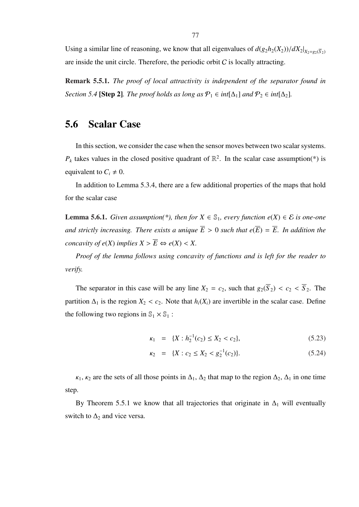Using a similar line of reasoning, we know that all eigenvalues of  $d(g_2h_2(X_2))/dX_2|_{X_2=g_2(\overline{S}_2)}$ are inside the unit circle. Therefore, the periodic orbit  $C$  is locally attracting.

Remark 5.5.1. *The proof of local attractivity is independent of the separator found in Section 5.4* [Step 2]*. The proof holds as long as*  $P_1 \in int[\Delta_1]$  *and*  $P_2 \in int[\Delta_2]$ *.* 

#### 5.6 Scalar Case

In this section, we consider the case when the sensor moves between two scalar systems.  $P_k$  takes values in the closed positive quadrant of  $\mathbb{R}^2$ . In the scalar case assumption(\*) is equivalent to  $C_i \neq 0$ .

In addition to Lemma 5.3.4, there are a few additional properties of the maps that hold for the scalar case

**Lemma 5.6.1.** *Given assumption*(\*), *then for*  $X \in \mathbb{S}_1$ , *every function e*( $X$ ) ∈  $E$  *is one-one and strictly increasing. There exists a unique*  $\overline{E} > 0$  *such that*  $e(\overline{E}) = \overline{E}$ . In addition the *concavity of*  $e(X)$  *implies*  $X > \overline{E} \Leftrightarrow e(X) < X$ .

*Proof of the lemma follows using concavity of functions and is left for the reader to verify.*

The separator in this case will be any line  $X_2 = c_2$ , such that  $g_2(\overline{S}_2) < c_2 < \overline{S}_2$ . The partition  $\Delta_1$  is the region  $X_2 < c_2$ . Note that  $h_i(X_i)$  are invertible in the scalar case. Define the following two regions in  $\mathbb{S}_1 \times \mathbb{S}_1$ :

$$
\kappa_1 = \{X : h_2^{-1}(c_2) \le X_2 < c_2\},\tag{5.23}
$$

$$
\kappa_2 = \{X : c_2 \le X_2 < g_2^{-1}(c_2)\}.\tag{5.24}
$$

 $\kappa_1$ ,  $\kappa_2$  are the sets of all those points in  $\Delta_1$ ,  $\Delta_2$  that map to the region  $\Delta_2$ ,  $\Delta_1$  in one time step.

By Theorem 5.5.1 we know that all trajectories that originate in  $\Delta_1$  will eventually switch to  $\Delta_2$  and vice versa.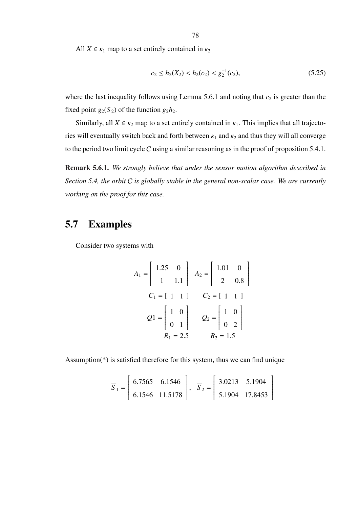All  $X \in \kappa_1$  map to a set entirely contained in  $\kappa_2$ 

$$
c_2 \le h_2(X_2) < h_2(c_2) < g_2^{-1}(c_2),\tag{5.25}
$$

where the last inequality follows using Lemma 5.6.1 and noting that  $c_2$  is greater than the fixed point  $g_2(\overline{S}_2)$  of the function  $g_2h_2$ .

Similarly, all  $X \in \kappa_2$  map to a set entirely contained in  $\kappa_1$ . This implies that all trajectories will eventually switch back and forth between  $\kappa_1$  and  $\kappa_2$  and thus they will all converge to the period two limit cycle C using a similar reasoning as in the proof of proposition 5.4.1.

Remark 5.6.1. *We strongly believe that under the sensor motion algorithm described in Section 5.4, the orbit* C *is globally stable in the general non-scalar case. We are currently working on the proof for this case.*

## 5.7 Examples

Consider two systems with

$$
A_1 = \begin{bmatrix} 1.25 & 0 \\ 1 & 1.1 \end{bmatrix} \quad A_2 = \begin{bmatrix} 1.01 & 0 \\ 2 & 0.8 \end{bmatrix}
$$
  
\n
$$
C_1 = \begin{bmatrix} 1 & 1 \end{bmatrix} \quad C_2 = \begin{bmatrix} 1 & 1 \end{bmatrix}
$$
  
\n
$$
Q1 = \begin{bmatrix} 1 & 0 \\ 0 & 1 \end{bmatrix} \quad Q_2 = \begin{bmatrix} 1 & 0 \\ 0 & 2 \end{bmatrix}
$$
  
\n
$$
R_1 = 2.5 \quad R_2 = 1.5
$$

Assumption(\*) is satisfied therefore for this system, thus we can find unique

$$
\overline{S}_1 = \begin{bmatrix} 6.7565 & 6.1546 \\ 6.1546 & 11.5178 \end{bmatrix}, \quad \overline{S}_2 = \begin{bmatrix} 3.0213 & 5.1904 \\ 5.1904 & 17.8453 \end{bmatrix}
$$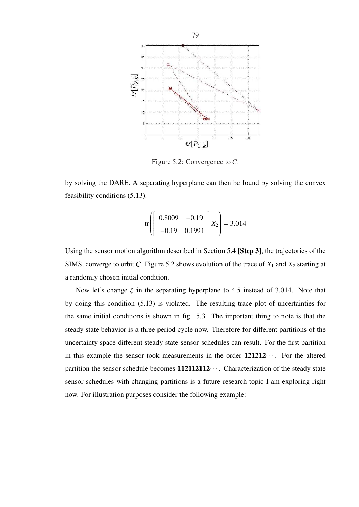

Figure 5.2: Convergence to C.

by solving the DARE. A separating hyperplane can then be found by solving the convex feasibility conditions (5.13).

$$
\text{tr}\left[\left[\begin{array}{cc} 0.8009 & -0.19 \\ -0.19 & 0.1991 \end{array}\right]X_2\right] = 3.014
$$

Using the sensor motion algorithm described in Section 5.4 [Step 3], the trajectories of the SIMS, converge to orbit C. Figure 5.2 shows evolution of the trace of *X*<sup>1</sup> and *X*<sup>2</sup> starting at a randomly chosen initial condition.

Now let's change  $\zeta$  in the separating hyperplane to 4.5 instead of 3.014. Note that by doing this condition (5.13) is violated. The resulting trace plot of uncertainties for the same initial conditions is shown in fig. 5.3. The important thing to note is that the steady state behavior is a three period cycle now. Therefore for different partitions of the uncertainty space different steady state sensor schedules can result. For the first partition in this example the sensor took measurements in the order  $121212...$  For the altered partition the sensor schedule becomes  $112112112...$  Characterization of the steady state sensor schedules with changing partitions is a future research topic I am exploring right now. For illustration purposes consider the following example: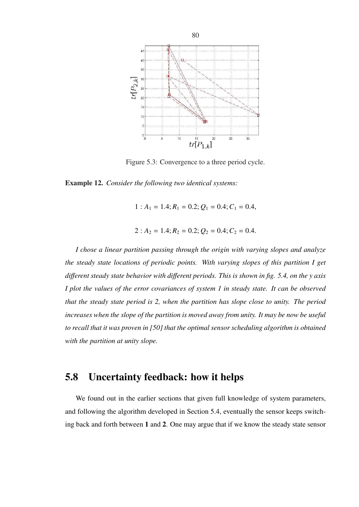

Figure 5.3: Convergence to a three period cycle.

Example 12. *Consider the following two identical systems:*

 $1: A_1 = 1.4; R_1 = 0.2; Q_1 = 0.4; C_1 = 0.4,$ 

$$
2: A_2 = 1.4; R_2 = 0.2; Q_2 = 0.4; C_2 = 0.4.
$$

*I chose a linear partition passing through the origin with varying slopes and analyze the steady state locations of periodic points. With varying slopes of this partition I get di*ff*erent steady state behavior with di*ff*erent periods. This is shown in fig. 5.4, on the y axis I plot the values of the error covariances of system 1 in steady state. It can be observed that the steady state period is 2, when the partition has slope close to unity. The period increases when the slope of the partition is moved away from unity. It may be now be useful to recall that it was proven in [50] that the optimal sensor scheduling algorithm is obtained with the partition at unity slope.*

## 5.8 Uncertainty feedback: how it helps

We found out in the earlier sections that given full knowledge of system parameters, and following the algorithm developed in Section 5.4, eventually the sensor keeps switching back and forth between 1 and 2. One may argue that if we know the steady state sensor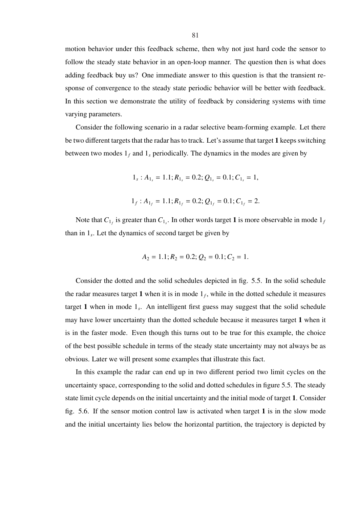motion behavior under this feedback scheme, then why not just hard code the sensor to follow the steady state behavior in an open-loop manner. The question then is what does adding feedback buy us? One immediate answer to this question is that the transient response of convergence to the steady state periodic behavior will be better with feedback. In this section we demonstrate the utility of feedback by considering systems with time varying parameters.

Consider the following scenario in a radar selective beam-forming example. Let there be two different targets that the radar has to track. Let's assume that target 1 keeps switching between two modes  $1_f$  and  $1_s$  periodically. The dynamics in the modes are given by

$$
1_s: A_{1_s}=1.1; R_{1_s}=0.2; Q_{1_s}=0.1; C_{1_s}=1,
$$

$$
1_f
$$
:  $A_{1_f} = 1.1$ ;  $R_{1_f} = 0.2$ ;  $Q_{1_f} = 0.1$ ;  $C_{1_f} = 2$ .

Note that  $C_{1_f}$  is greater than  $C_{1_s}$ . In other words target 1 is more observable in mode  $1_f$ than in 1*<sup>s</sup>* . Let the dynamics of second target be given by

$$
A_2 = 1.1; R_2 = 0.2; Q_2 = 0.1; C_2 = 1.
$$

Consider the dotted and the solid schedules depicted in fig. 5.5. In the solid schedule the radar measures target 1 when it is in mode  $1<sub>f</sub>$ , while in the dotted schedule it measures target 1 when in mode 1*<sup>s</sup>* . An intelligent first guess may suggest that the solid schedule may have lower uncertainty than the dotted schedule because it measures target 1 when it is in the faster mode. Even though this turns out to be true for this example, the choice of the best possible schedule in terms of the steady state uncertainty may not always be as obvious. Later we will present some examples that illustrate this fact.

In this example the radar can end up in two different period two limit cycles on the uncertainty space, corresponding to the solid and dotted schedules in figure 5.5. The steady state limit cycle depends on the initial uncertainty and the initial mode of target 1. Consider fig. 5.6. If the sensor motion control law is activated when target 1 is in the slow mode and the initial uncertainty lies below the horizontal partition, the trajectory is depicted by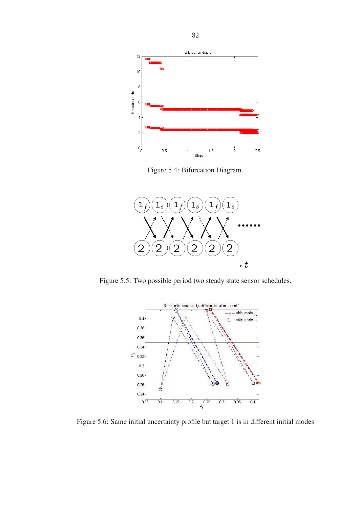

Figure 5.4: Bifurcation Diagram.



Figure 5.5: Two possible period two steady state sensor schedules.



Figure 5.6: Same initial uncertainty profile but target 1 is in different initial modes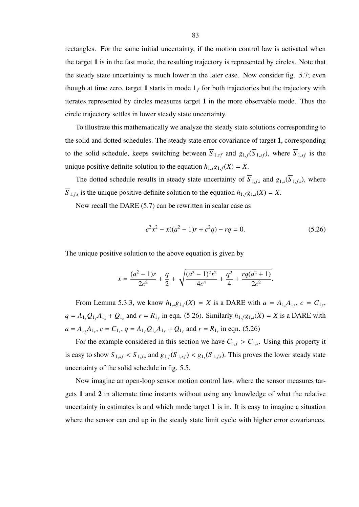rectangles. For the same initial uncertainty, if the motion control law is activated when the target 1 is in the fast mode, the resulting trajectory is represented by circles. Note that the steady state uncertainty is much lower in the later case. Now consider fig. 5.7; even though at time zero, target 1 starts in mode  $1<sub>f</sub>$  for both trajectories but the trajectory with iterates represented by circles measures target 1 in the more observable mode. Thus the circle trajectory settles in lower steady state uncertainty.

To illustrate this mathematically we analyze the steady state solutions corresponding to the solid and dotted schedules. The steady state error covariance of target 1, corresponding to the solid schedule, keeps switching between  $\overline{S}_{1,sf}$  and  $g_{1,f}(\overline{S}_{1,sf})$ , where  $\overline{S}_{1,sf}$  is the unique positive definite solution to the equation  $h_{1,s}g_{1,f}(X) = X$ .

The dotted schedule results in steady state uncertainty of  $\overline{S}_{1,f_s}$  and  $g_{1,s}(\overline{S}_{1,f_s})$ , where  $\overline{S}_{1,f,s}$  is the unique positive definite solution to the equation  $h_{1,f}g_{1,s}(X) = X$ .

Now recall the DARE (5.7) can be rewritten in scalar case as

$$
c^2x^2 - x((a^2 - 1)r + c^2q) - rq = 0.
$$
 (5.26)

The unique positive solution to the above equation is given by

$$
x = \frac{(a^2 - 1)r}{2c^2} + \frac{q}{2} + \sqrt{\frac{(a^2 - 1)^2r^2}{4c^4} + \frac{q^2}{4} + \frac{rq(a^2 + 1)}{2c^2}}.
$$

From Lemma 5.3.3, we know  $h_{1,s}g_{1,f}(X) = X$  is a DARE with  $a = A_{1,s}A_{1,f}$ ,  $c = C_{1,f}$ ,  $q = A_{1}Q_{1}A_{1} + Q_{1}$  and  $r = R_{1}$  in eqn. (5.26). Similarly  $h_{1}q_{1}g_{1}$  (*X*) = *X* is a DARE with  $a = A_{1f}A_{1s}$ ,  $c = C_{1s}$ ,  $q = A_{1f}Q_{1s}A_{1f} + Q_{1f}$  and  $r = R_{1s}$  in eqn. (5.26)

For the example considered in this section we have  $C_{1,f} > C_{1,s}$ . Using this property it is easy to show  $S_{1,sf} < S_{1,fs}$  and  $g_{1,f}(S_{1,sf}) < g_{1,s}(S_{1,fs})$ . This proves the lower steady state uncertainty of the solid schedule in fig. 5.5.

Now imagine an open-loop sensor motion control law, where the sensor measures targets 1 and 2 in alternate time instants without using any knowledge of what the relative uncertainty in estimates is and which mode target 1 is in. It is easy to imagine a situation where the sensor can end up in the steady state limit cycle with higher error covariances.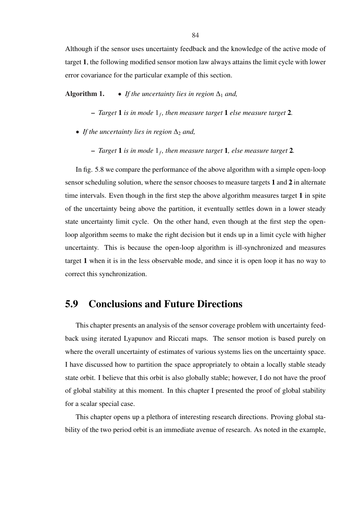Although if the sensor uses uncertainty feedback and the knowledge of the active mode of target 1, the following modified sensor motion law always attains the limit cycle with lower error covariance for the particular example of this section.

Algorithm 1. • *If the uncertainty lies in region*  $\Delta_1$  *and,* 

- *Target* 1 *is in mode* 1*<sup>f</sup> , then measure target* 1 *else measure target* 2*.*
- *If the uncertainty lies in region*  $\Delta_2$  *and,* 
	- *Target* 1 *is in mode* 1*<sup>f</sup> , then measure target* 1*, else measure target* 2*.*

In fig. 5.8 we compare the performance of the above algorithm with a simple open-loop sensor scheduling solution, where the sensor chooses to measure targets 1 and 2 in alternate time intervals. Even though in the first step the above algorithm measures target 1 in spite of the uncertainty being above the partition, it eventually settles down in a lower steady state uncertainty limit cycle. On the other hand, even though at the first step the openloop algorithm seems to make the right decision but it ends up in a limit cycle with higher uncertainty. This is because the open-loop algorithm is ill-synchronized and measures target 1 when it is in the less observable mode, and since it is open loop it has no way to correct this synchronization.

### 5.9 Conclusions and Future Directions

This chapter presents an analysis of the sensor coverage problem with uncertainty feedback using iterated Lyapunov and Riccati maps. The sensor motion is based purely on where the overall uncertainty of estimates of various systems lies on the uncertainty space. I have discussed how to partition the space appropriately to obtain a locally stable steady state orbit. I believe that this orbit is also globally stable; however, I do not have the proof of global stability at this moment. In this chapter I presented the proof of global stability for a scalar special case.

This chapter opens up a plethora of interesting research directions. Proving global stability of the two period orbit is an immediate avenue of research. As noted in the example,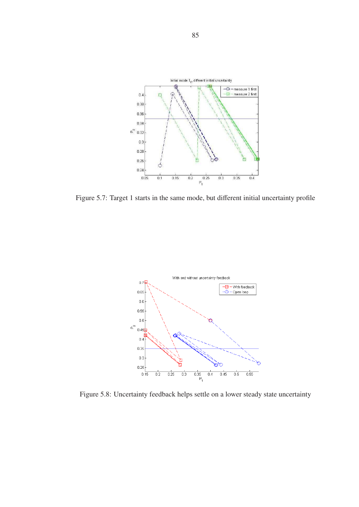

Figure 5.7: Target 1 starts in the same mode, but different initial uncertainty profile



Figure 5.8: Uncertainty feedback helps settle on a lower steady state uncertainty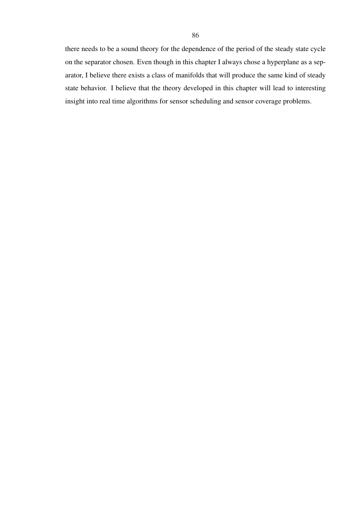there needs to be a sound theory for the dependence of the period of the steady state cycle on the separator chosen. Even though in this chapter I always chose a hyperplane as a separator, I believe there exists a class of manifolds that will produce the same kind of steady state behavior. I believe that the theory developed in this chapter will lead to interesting insight into real time algorithms for sensor scheduling and sensor coverage problems.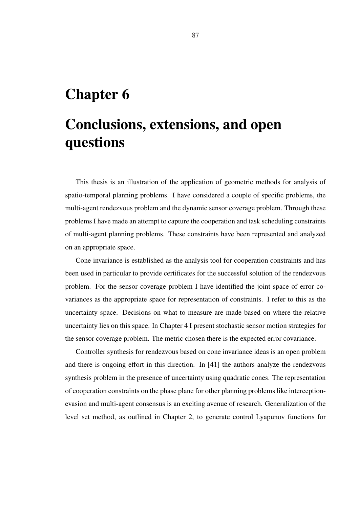## Chapter 6

# Conclusions, extensions, and open questions

This thesis is an illustration of the application of geometric methods for analysis of spatio-temporal planning problems. I have considered a couple of specific problems, the multi-agent rendezvous problem and the dynamic sensor coverage problem. Through these problems I have made an attempt to capture the cooperation and task scheduling constraints of multi-agent planning problems. These constraints have been represented and analyzed on an appropriate space.

Cone invariance is established as the analysis tool for cooperation constraints and has been used in particular to provide certificates for the successful solution of the rendezvous problem. For the sensor coverage problem I have identified the joint space of error covariances as the appropriate space for representation of constraints. I refer to this as the uncertainty space. Decisions on what to measure are made based on where the relative uncertainty lies on this space. In Chapter 4 I present stochastic sensor motion strategies for the sensor coverage problem. The metric chosen there is the expected error covariance.

Controller synthesis for rendezvous based on cone invariance ideas is an open problem and there is ongoing effort in this direction. In [41] the authors analyze the rendezvous synthesis problem in the presence of uncertainty using quadratic cones. The representation of cooperation constraints on the phase plane for other planning problems like interceptionevasion and multi-agent consensus is an exciting avenue of research. Generalization of the level set method, as outlined in Chapter 2, to generate control Lyapunov functions for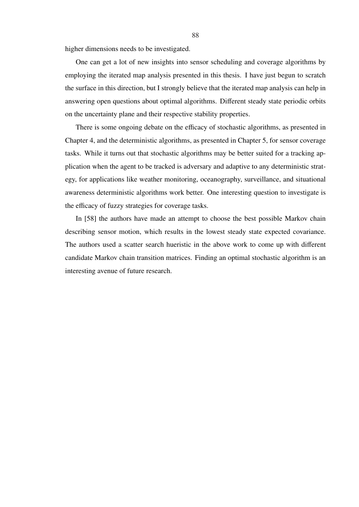higher dimensions needs to be investigated.

One can get a lot of new insights into sensor scheduling and coverage algorithms by employing the iterated map analysis presented in this thesis. I have just begun to scratch the surface in this direction, but I strongly believe that the iterated map analysis can help in answering open questions about optimal algorithms. Different steady state periodic orbits on the uncertainty plane and their respective stability properties.

There is some ongoing debate on the efficacy of stochastic algorithms, as presented in Chapter 4, and the deterministic algorithms, as presented in Chapter 5, for sensor coverage tasks. While it turns out that stochastic algorithms may be better suited for a tracking application when the agent to be tracked is adversary and adaptive to any deterministic strategy, for applications like weather monitoring, oceanography, surveillance, and situational awareness deterministic algorithms work better. One interesting question to investigate is the efficacy of fuzzy strategies for coverage tasks.

In [58] the authors have made an attempt to choose the best possible Markov chain describing sensor motion, which results in the lowest steady state expected covariance. The authors used a scatter search hueristic in the above work to come up with different candidate Markov chain transition matrices. Finding an optimal stochastic algorithm is an interesting avenue of future research.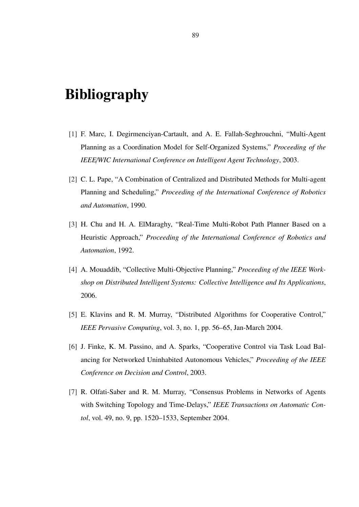## **Bibliography**

- [1] F. Marc, I. Degirmenciyan-Cartault, and A. E. Fallah-Seghrouchni, "Multi-Agent Planning as a Coordination Model for Self-Organized Systems," *Proceeding of the IEEE*/*WIC International Conference on Intelligent Agent Technology*, 2003.
- [2] C. L. Pape, "A Combination of Centralized and Distributed Methods for Multi-agent Planning and Scheduling," *Proceeding of the International Conference of Robotics and Automation*, 1990.
- [3] H. Chu and H. A. ElMaraghy, "Real-Time Multi-Robot Path Planner Based on a Heuristic Approach," *Proceeding of the International Conference of Robotics and Automation*, 1992.
- [4] A. Mouaddib, "Collective Multi-Objective Planning," *Proceeding of the IEEE Workshop on Distributed Intelligent Systems: Collective Intelligence and Its Applications*, 2006.
- [5] E. Klavins and R. M. Murray, "Distributed Algorithms for Cooperative Control," *IEEE Pervasive Computing*, vol. 3, no. 1, pp. 56–65, Jan-March 2004.
- [6] J. Finke, K. M. Passino, and A. Sparks, "Cooperative Control via Task Load Balancing for Networked Uninhabited Autonomous Vehicles," *Proceeding of the IEEE Conference on Decision and Control*, 2003.
- [7] R. Olfati-Saber and R. M. Murray, "Consensus Problems in Networks of Agents with Switching Topology and Time-Delays," *IEEE Transactions on Automatic Contol*, vol. 49, no. 9, pp. 1520–1533, September 2004.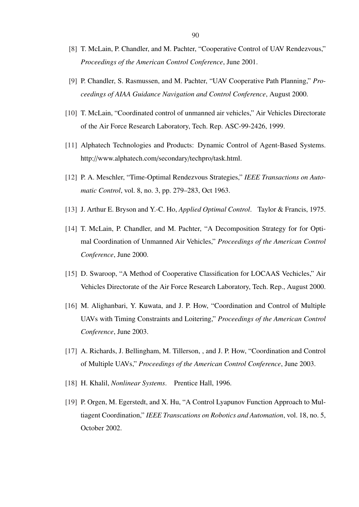- [8] T. McLain, P. Chandler, and M. Pachter, "Cooperative Control of UAV Rendezvous," *Proceedings of the American Control Conference*, June 2001.
- [9] P. Chandler, S. Rasmussen, and M. Pachter, "UAV Cooperative Path Planning," *Proceedings of AIAA Guidance Navigation and Control Conference*, August 2000.
- [10] T. McLain, "Coordinated control of unmanned air vehicles," Air Vehicles Directorate of the Air Force Research Laboratory, Tech. Rep. ASC-99-2426, 1999.
- [11] Alphatech Technologies and Products: Dynamic Control of Agent-Based Systems. http://www.alphatech.com/secondary/techpro/task.html.
- [12] P. A. Meschler, "Time-Optimal Rendezvous Strategies," *IEEE Transactions on Automatic Control*, vol. 8, no. 3, pp. 279–283, Oct 1963.
- [13] J. Arthur E. Bryson and Y.-C. Ho, *Applied Optimal Control*. Taylor & Francis, 1975.
- [14] T. McLain, P. Chandler, and M. Pachter, "A Decomposition Strategy for for Optimal Coordination of Unmanned Air Vehicles," *Proceedings of the American Control Conference*, June 2000.
- [15] D. Swaroop, "A Method of Cooperative Classification for LOCAAS Vechicles," Air Vehicles Directorate of the Air Force Research Laboratory, Tech. Rep., August 2000.
- [16] M. Alighanbari, Y. Kuwata, and J. P. How, "Coordination and Control of Multiple UAVs with Timing Constraints and Loitering," *Proceedings of the American Control Conference*, June 2003.
- [17] A. Richards, J. Bellingham, M. Tillerson, , and J. P. How, "Coordination and Control" of Multiple UAVs," *Proceedings of the American Control Conference*, June 2003.
- [18] H. Khalil, *Nonlinear Systems*. Prentice Hall, 1996.
- [19] P. Orgen, M. Egerstedt, and X. Hu, "A Control Lyapunov Function Approach to Multiagent Coordination," *IEEE Transcations on Robotics and Automation*, vol. 18, no. 5, October 2002.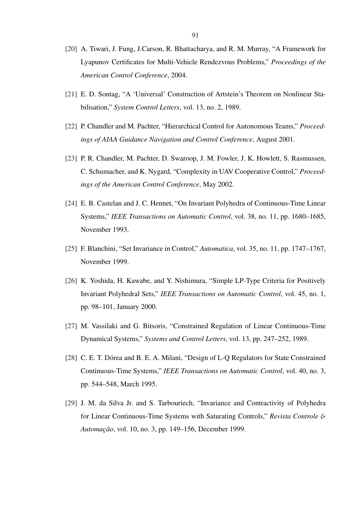- [20] A. Tiwari, J. Fung, J.Carson, R. Bhattacharya, and R. M. Murray, "A Framework for Lyapunov Certificates for Multi-Vehicle Rendezvous Problems," *Proceedings of the American Control Conference*, 2004.
- [21] E. D. Sontag, "A 'Universal' Construction of Artstein's Theorem on Nonlinear Stabilisation," *System Control Letters*, vol. 13, no. 2, 1989.
- [22] P. Chandler and M. Pachter, "Hierarchical Control for Autonomous Teams," *Proceedings of AIAA Guidance Navigation and Control Conference*, August 2001.
- [23] P. R. Chandler, M. Pachter, D. Swaroop, J. M. Fowler, J. K. Howlett, S. Rasmussen, C. Schumacher, and K. Nygard, "Complexity in UAV Cooperative Control," *Proceedings of the American Control Conference*, May 2002.
- [24] E. B. Castelan and J. C. Hennet, "On Invariant Polyhedra of Continuous-Time Linear Systems," *IEEE Transactions on Automatic Control*, vol. 38, no. 11, pp. 1680–1685, November 1993.
- [25] F. Blanchini, "Set Invariance in Control," *Automatica*, vol. 35, no. 11, pp. 1747–1767, November 1999.
- [26] K. Yoshida, H. Kawabe, and Y. Nishimura, "Simple LP-Type Criteria for Positively Invariant Polyhedral Sets," *IEEE Transactions on Automatic Control*, vol. 45, no. 1, pp. 98–101, January 2000.
- [27] M. Vassilaki and G. Bitsoris, "Constrained Regulation of Linear Continuous-Time Dynamical Systems," *Systems and Control Letters*, vol. 13, pp. 247–252, 1989.
- [28] C. E. T. Dórea and B. E. A. Milani, "Design of L-Q Regulators for State Constrained Continuous-Time Systems," *IEEE Transactions on Automatic Control*, vol. 40, no. 3, pp. 544–548, March 1995.
- [29] J. M. da Silva Jr. and S. Tarbouriech, "Invariance and Contractivity of Polyhedra for Linear Continuous-Time Systems with Saturating Controls," *Revista Controle* & *Automa¸c˜ao*, vol. 10, no. 3, pp. 149–156, December 1999.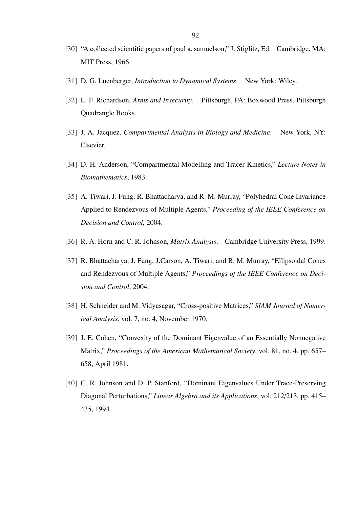- [30] "A collected scientific papers of paul a. samuelson," J. Stiglitz, Ed. Cambridge, MA: MIT Press, 1966.
- [31] D. G. Luenberger, *Introduction to Dynamical Systems*. New York: Wiley.
- [32] L. F. Richardson, *Arms and Insecurity*. Pittsburgh, PA: Boxwood Press, Pittsburgh Quadrangle Books.
- [33] J. A. Jacquez, *Compartmental Analysis in Biology and Medicine*. New York, NY: Elsevier.
- [34] D. H. Anderson, "Compartmental Modelling and Tracer Kinetics," *Lecture Notes in Biomathematics*, 1983.
- [35] A. Tiwari, J. Fung, R. Bhattacharya, and R. M. Murray, "Polyhedral Cone Invariance" Applied to Rendezvous of Multiple Agents," *Proceeding of the IEEE Conference on Decision and Control*, 2004.
- [36] R. A. Horn and C. R. Johnson, *Matrix Analysis*. Cambridge University Press, 1999.
- [37] R. Bhattacharya, J. Fung, J.Carson, A. Tiwari, and R. M. Murray, "Ellipsoidal Cones and Rendezvous of Multiple Agents," *Proceedings of the IEEE Conference on Decision and Control*, 2004.
- [38] H. Schneider and M. Vidyasagar, "Cross-positive Matrices," *SIAM Journal of Numerical Analysis*, vol. 7, no. 4, November 1970.
- [39] J. E. Cohen, "Convexity of the Dominant Eigenvalue of an Essentially Nonnegative Matrix," *Proceedings of the American Mathematical Society*, vol. 81, no. 4, pp. 657– 658, April 1981.
- [40] C. R. Johnson and D. P. Stanford, "Dominant Eigenvalues Under Trace-Preserving Diagonal Perturbations," *Linear Algebra and its Applications*, vol. 212/213, pp. 415– 435, 1994.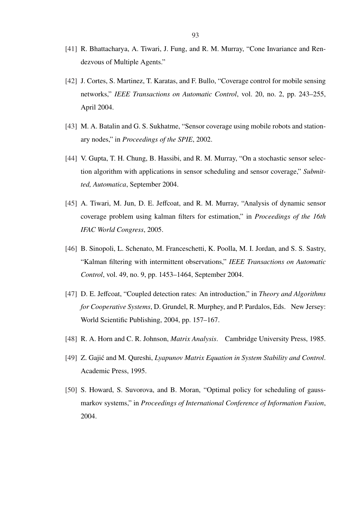- [41] R. Bhattacharya, A. Tiwari, J. Fung, and R. M. Murray, "Cone Invariance and Rendezvous of Multiple Agents."
- [42] J. Cortes, S. Martinez, T. Karatas, and F. Bullo, "Coverage control for mobile sensing networks," *IEEE Transactions on Automatic Control*, vol. 20, no. 2, pp. 243–255, April 2004.
- [43] M. A. Batalin and G. S. Sukhatme, "Sensor coverage using mobile robots and stationary nodes," in *Proceedings of the SPIE*, 2002.
- [44] V. Gupta, T. H. Chung, B. Hassibi, and R. M. Murray, "On a stochastic sensor selection algorithm with applications in sensor scheduling and sensor coverage," *Submitted, Automatica*, September 2004.
- [45] A. Tiwari, M. Jun, D. E. Jeffcoat, and R. M. Murray, "Analysis of dynamic sensor coverage problem using kalman filters for estimation," in *Proceedings of the 16th IFAC World Congress*, 2005.
- [46] B. Sinopoli, L. Schenato, M. Franceschetti, K. Poolla, M. I. Jordan, and S. S. Sastry, "Kalman filtering with intermittent observations," *IEEE Transactions on Automatic Control*, vol. 49, no. 9, pp. 1453–1464, September 2004.
- [47] D. E. Jeffcoat, "Coupled detection rates: An introduction," in *Theory and Algorithms for Cooperative Systems*, D. Grundel, R. Murphey, and P. Pardalos, Eds. New Jersey: World Scientific Publishing, 2004, pp. 157–167.
- [48] R. A. Horn and C. R. Johnson, *Matrix Analysis*. Cambridge University Press, 1985.
- [49] Z. Gajić and M. Qureshi, *Lyapunov Matrix Equation in System Stability and Control*. Academic Press, 1995.
- [50] S. Howard, S. Suvorova, and B. Moran, "Optimal policy for scheduling of gaussmarkov systems," in *Proceedings of International Conference of Information Fusion*, 2004.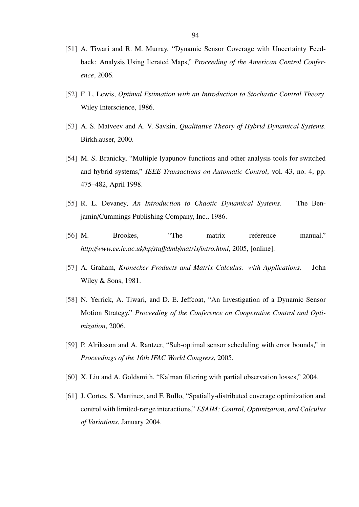- [51] A. Tiwari and R. M. Murray, "Dynamic Sensor Coverage with Uncertainty Feedback: Analysis Using Iterated Maps," *Proceeding of the American Control Conference*, 2006.
- [52] F. L. Lewis, *Optimal Estimation with an Introduction to Stochastic Control Theory*. Wiley Interscience, 1986.
- [53] A. S. Matveev and A. V. Savkin, *Qualitative Theory of Hybrid Dynamical Systems*. Birkh.auser, 2000.
- [54] M. S. Branicky, "Multiple lyapunov functions and other analysis tools for switched and hybrid systems," *IEEE Transactions on Automatic Control*, vol. 43, no. 4, pp. 475–482, April 1998.
- [55] R. L. Devaney, *An Introduction to Chaotic Dynamical Systems*. The Benjamin/Cummings Publishing Company, Inc., 1986.
- [56] M. Brookes, "The matrix reference manual," *http:*//*www.ee.ic.ac.uk*/*hp*/*sta*ff/*dmb*/*matrix*/*intro.html*, 2005, [online].
- [57] A. Graham, *Kronecker Products and Matrix Calculus: with Applications*. John Wiley & Sons, 1981.
- [58] N. Yerrick, A. Tiwari, and D. E. Jeffcoat, "An Investigation of a Dynamic Sensor Motion Strategy," *Proceeding of the Conference on Cooperative Control and Optimization*, 2006.
- [59] P. Alriksson and A. Rantzer, "Sub-optimal sensor scheduling with error bounds," in *Proceedings of the 16th IFAC World Congress*, 2005.
- [60] X. Liu and A. Goldsmith, "Kalman filtering with partial observation losses," 2004.
- [61] J. Cortes, S. Martinez, and F. Bullo, "Spatially-distributed coverage optimization and control with limited-range interactions," *ESAIM: Control, Optimization, and Calculus of Variations*, January 2004.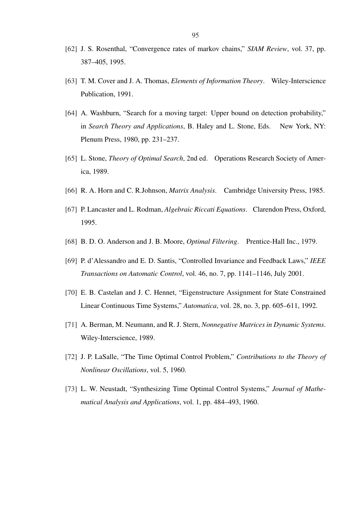- [62] J. S. Rosenthal, "Convergence rates of markov chains," *SIAM Review*, vol. 37, pp. 387–405, 1995.
- [63] T. M. Cover and J. A. Thomas, *Elements of Information Theory*. Wiley-Interscience Publication, 1991.
- [64] A. Washburn, "Search for a moving target: Upper bound on detection probability," in *Search Theory and Applications*, B. Haley and L. Stone, Eds. New York, NY: Plenum Press, 1980, pp. 231–237.
- [65] L. Stone, *Theory of Optimal Search*, 2nd ed. Operations Research Society of America, 1989.
- [66] R. A. Horn and C. R.Johnson, *Matrix Analysis*. Cambridge University Press, 1985.
- [67] P. Lancaster and L. Rodman, *Algebraic Riccati Equations*. Clarendon Press, Oxford, 1995.
- [68] B. D. O. Anderson and J. B. Moore, *Optimal Filtering*. Prentice-Hall Inc., 1979.
- [69] P. d'Alessandro and E. D. Santis, "Controlled Invariance and Feedback Laws," *IEEE Transactions on Automatic Control*, vol. 46, no. 7, pp. 1141–1146, July 2001.
- [70] E. B. Castelan and J. C. Hennet, "Eigenstructure Assignment for State Constrained Linear Continuous Time Systems," *Automatica*, vol. 28, no. 3, pp. 605–611, 1992.
- [71] A. Berman, M. Neumann, and R. J. Stern, *Nonnegative Matrices in Dynamic Systems*. Wiley-Interscience, 1989.
- [72] J. P. LaSalle, "The Time Optimal Control Problem," *Contributions to the Theory of Nonlinear Oscillations*, vol. 5, 1960.
- [73] L. W. Neustadt, "Synthesizing Time Optimal Control Systems," *Journal of Mathematical Analysis and Applications*, vol. 1, pp. 484–493, 1960.